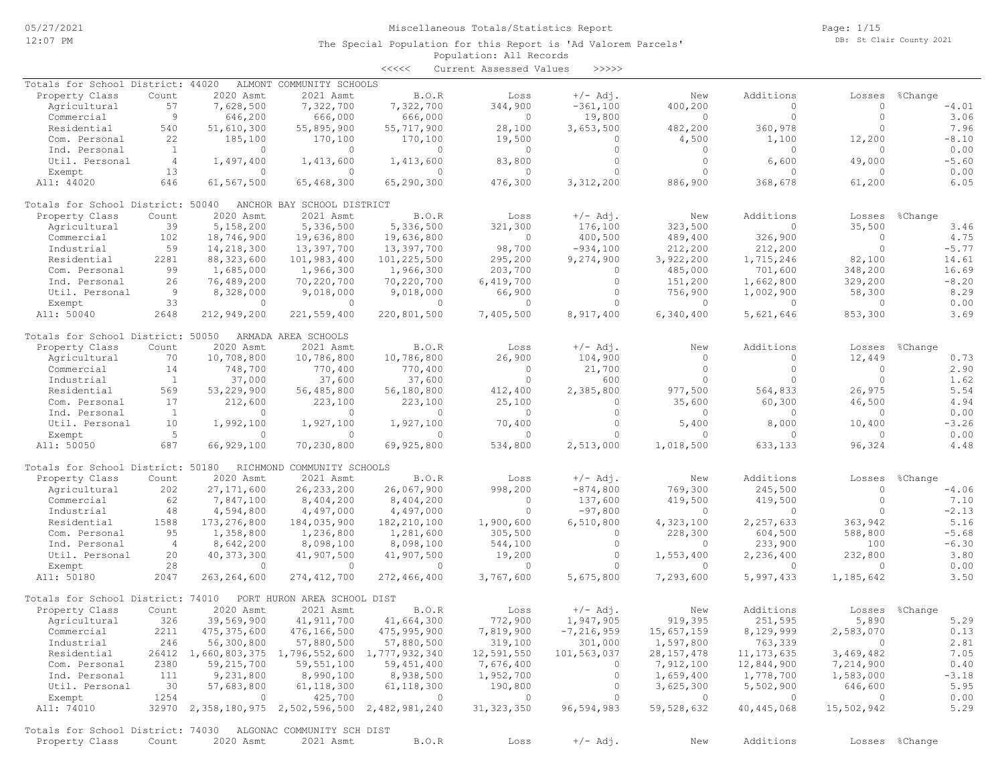Page: 1/15 DB: St Clair County 2021

| くくくくく | Current Assessed Values |  | >>>>> |
|-------|-------------------------|--|-------|
|-------|-------------------------|--|-------|

| Totals for School District: 44020                            |                |               | ALMONT COMMUNITY SCHOOLS                        |                |                |                |                |                |                |                |
|--------------------------------------------------------------|----------------|---------------|-------------------------------------------------|----------------|----------------|----------------|----------------|----------------|----------------|----------------|
| Property Class                                               | Count          | 2020 Asmt     | 2021 Asmt                                       | B.O.R          | Loss           | $+/-$ Adj.     | New            | Additions      | Losses         | %Change        |
| Agricultural                                                 | 57             | 7,628,500     | 7,322,700                                       | 7,322,700      | 344,900        | $-361, 100$    | 400,200        | 0              | $\Omega$       | $-4.01$        |
| Commercial                                                   | 9              | 646,200       | 666,000                                         | 666,000        | $\circ$        | 19,800         | $\circ$        | $\circ$        | $\circ$        | 3.06           |
| Residential                                                  | 540            | 51,610,300    | 55,895,900                                      | 55,717,900     | 28,100         | 3,653,500      | 482,200        | 360,978        | $\bigcap$      | 7.96           |
| Com. Personal                                                | 22             | 185,100       | 170,100                                         | 170,100        | 19,500         | 0              | 4,500          | 1,100          | 12,200         | $-8.10$        |
| Ind. Personal                                                | <sup>1</sup>   | $\circ$       | $\mathbf{0}$                                    | $\circ$        | 0              | $\circ$        | 0              | 0              | $\Omega$       | 0.00           |
| Util. Personal                                               | $\overline{4}$ | 1,497,400     | 1,413,600                                       | 1,413,600      | 83,800         | $\circ$        | $\circ$        | 6,600          | 49,000         | $-5.60$        |
| Exempt                                                       | 13             | $\mathbf{0}$  | $\circ$                                         | $\circ$        | $\circ$        | $\circ$        | $\circ$        | 0              | $\Omega$       | 0.00           |
| All: 44020                                                   | 646            | 61,567,500    |                                                 | 65,290,300     | 476,300        | 3,312,200      | 886,900        | 368,678        | 61,200         | 6.05           |
|                                                              |                |               | 65,468,300                                      |                |                |                |                |                |                |                |
| Totals for School District: 50040                            |                |               | ANCHOR BAY SCHOOL DISTRICT                      |                |                |                |                |                |                |                |
| Property Class                                               | Count          | 2020 Asmt     | 2021 Asmt                                       | B.O.R          | Loss           | $+/-$ Adj.     | New            | Additions      | Losses         | %Change        |
| Agricultural                                                 | 39             | 5,158,200     | 5,336,500                                       | 5,336,500      | 321,300        | 176,100        | 323,500        | $\Omega$       | 35,500         | 3.46           |
| Commercial                                                   | 102            | 18,746,900    | 19,636,800                                      | 19,636,800     | $\circ$        | 400,500        | 489,400        | 326,900        | $\circ$        | 4.75           |
| Industrial                                                   | 59             | 14,218,300    | 13,397,700                                      | 13,397,700     | 98,700         | $-934,100$     | 212,200        | 212,200        | $\Omega$       | $-5.77$        |
| Residential                                                  | 2281           | 88, 323, 600  |                                                 | 101,225,500    | 295,200        | 9,274,900      | 3,922,200      | 1,715,246      | 82,100         | 14.61          |
|                                                              |                |               | 101,983,400                                     |                |                |                |                |                |                |                |
| Com. Personal                                                | 99             | 1,685,000     | 1,966,300                                       | 1,966,300      | 203,700        | $\circ$        | 485,000        | 701,600        | 348,200        | 16.69          |
| Ind. Personal                                                | 26             | 76,489,200    | 70,220,700                                      | 70,220,700     | 6,419,700      | $\circ$        | 151,200        | 1,662,800      | 329,200        | $-8.20$        |
| Util. Personal                                               | $\overline{9}$ | 8,328,000     | 9,018,000                                       | 9,018,000      | 66,900         | $\circ$        | 756,900        | 1,002,900      | 58,300         | 8.29           |
| Exempt                                                       | 33             | $\mathbf{0}$  | $\circ$                                         | $\circ$        | $\circ$        | $\circ$        | $\circ$        | $\circ$        | 0              | 0.00           |
| All: 50040                                                   | 2648           | 212,949,200   | 221,559,400                                     | 220,801,500    | 7,405,500      | 8,917,400      | 6,340,400      | 5,621,646      | 853,300        | 3.69           |
|                                                              |                |               | ARMADA AREA SCHOOLS                             |                |                |                |                |                |                |                |
| Totals for School District:                                  |                | 50050         |                                                 |                |                |                |                |                |                |                |
| Property Class                                               | Count          | 2020 Asmt     | 2021 Asmt                                       | B.O.R          | Loss           | $+/-$ Adj.     | New            | Additions      | Losses         | %Change        |
| Agricultural                                                 | 70             | 10,708,800    | 10,786,800                                      | 10,786,800     | 26,900         | 104,900        | $\circ$        | $\Omega$       | 12,449         | 0.73           |
| Commercial                                                   | 14             | 748,700       | 770,400                                         | 770,400        | 0              | 21,700         | $\circ$        | $\circ$        | $\circ$        | 2.90           |
| Industrial                                                   | $\mathbf{1}$   | 37,000        | 37,600                                          | 37,600         | $\circ$        | 600            | $\Omega$       | $\Omega$       | $\Omega$       | 1.62           |
| Residential                                                  | 569            | 53,229,900    | 56,485,800                                      | 56,180,800     | 412,400        | 2,385,800      | 977,500        | 564,833        | 26,975         | 5.54           |
| Com. Personal                                                | 17             | 212,600       | 223,100                                         | 223,100        | 25,100         | $\circ$        | 35,600         | 60,300         | 46,500         | 4.94           |
| Ind. Personal                                                | $\mathbf{1}$   | $\mathbf{0}$  | $\circ$                                         | $\circ$        | $\circ$        | $\circ$        | $\circ$        | $\mathbf{0}$   | 0              | 0.00           |
| Util. Personal                                               | 10             | 1,992,100     | 1,927,100                                       | 1,927,100      | 70,400         | $\circ$        | 5,400          | 8,000          | 10,400         | $-3.26$        |
| Exempt                                                       | 5              | $\mathbf{0}$  | $\Omega$                                        | $\circ$        | $\circ$        | $\Omega$       | $\bigcap$      | 0              | $\bigcap$      | 0.00           |
| All: 50050                                                   | 687            | 66,929,100    | 70,230,800                                      | 69,925,800     | 534,800        | 2,513,000      | 1,018,500      | 633,133        | 96,324         | 4.48           |
|                                                              |                |               |                                                 |                |                |                |                |                |                |                |
| Totals for School District: 50180                            |                |               | RICHMOND COMMUNITY SCHOOLS                      |                |                |                |                |                |                |                |
| Property Class                                               | Count          | 2020 Asmt     | 2021 Asmt                                       | B.O.R          | Loss           | $+/-$ Adj.     | New            | Additions      | Losses         | %Change        |
| Agricultural                                                 | 202            | 27, 171, 600  | 26, 233, 200                                    | 26,067,900     | 998,200        | $-874,800$     | 769,300        | 245,500        | $\circ$        | $-4.06$        |
| Commercial                                                   | 62             | 7,847,100     | 8,404,200                                       | 8,404,200      | $\circ$        | 137,600        | 419,500        | 419,500        | $\circ$        | 7.10           |
| Industrial                                                   | 48             | 4,594,800     | 4,497,000                                       | 4,497,000      | $\Omega$       | $-97,800$      | 0              | $\mathbf{0}$   | $\bigcap$      | $-2.13$        |
| Residential                                                  | 1588           | 173, 276, 800 | 184,035,900                                     | 182, 210, 100  | 1,900,600      | 6,510,800      | 4,323,100      | 2,257,633      | 363,942        | 5.16           |
| Com. Personal                                                | 95             | 1,358,800     | 1,236,800                                       | 1,281,600      | 305,500        | $\circ$        | 228,300        | 604,500        | 588,800        | $-5.68$        |
| Ind. Personal                                                | $\overline{4}$ | 8,642,200     |                                                 | 8,098,100      | 544,100        | $\circ$        | $\circ$        | 233,900        | 100            | $-6.30$        |
|                                                              |                |               | 8,098,100                                       |                |                |                |                |                |                |                |
| Util. Personal                                               | 20             | 40, 373, 300  | 41,907,500                                      | 41,907,500     | 19,200         | $\circ$        | 1,553,400      | 2,236,400      | 232,800        | 3.80           |
| Exempt                                                       | 28             | $\circ$       | $\circ$                                         | $\circ$        | $\circ$        | $\circ$        | $\circ$        | $\circ$        | $\Omega$       | 0.00           |
| All: 50180                                                   | 2047           | 263, 264, 600 | 274, 412, 700                                   | 272,466,400    | 3,767,600      | 5,675,800      | 7,293,600      | 5,997,433      | 1,185,642      | 3.50           |
| Totals for School District: 74010                            |                |               | PORT HURON AREA SCHOOL DIST                     |                |                |                |                |                |                |                |
| Property Class                                               | Count          | 2020 Asmt     | 2021 Asmt                                       | B.O.R          | Loss           | $+/-$ Adj.     | New            | Additions      | Losses         | %Change        |
| Agricultural                                                 | 326            | 39,569,900    | 41, 911, 700                                    | 41,664,300     | 772,900        | 1,947,905      | 919,395        | 251,595        | 5,890          | 5.29           |
| Commercial                                                   | 2211           | 475, 375, 600 | 476,166,500                                     | 475,995,900    | 7,819,900      | $-7, 216, 959$ | 15,657,159     | 8,129,999      | 2,583,070      | 0.13           |
|                                                              |                |               |                                                 |                |                |                |                |                |                |                |
| Industrial                                                   | 246            | 56,300,800    | 57,880,500                                      | 57,880,500     | 319,100        | 301,000        | 1,597,800      | 763,339        |                | 2.81           |
| Residential                                                  |                |               | 26412 1,660,803,375 1,796,552,600 1,777,932,340 |                | 12,591,550     | 101,563,037    | 28, 157, 478   | 11, 173, 635   | 3,469,482      | 7.05           |
| Com. Personal                                                | 2380           | 59,215,700    | 59,551,100                                      | 59,451,400     | 7,676,400      | $\circ$        | 7,912,100      | 12,844,900     | 7,214,900      | 0.40           |
| Ind. Personal                                                | 111            | 9,231,800     | 8,990,100                                       | 8,938,500      | 1,952,700      | $\circ$        | 1,659,400      | 1,778,700      | 1,583,000      | $-3.18$        |
| Util. Personal                                               | 30             | 57,683,800    | 61, 118, 300                                    | 61, 118, 300   | 190,800        | $\circ$        | 3,625,300      | 5,502,900      | 646,600        | 5.95           |
| Exempt                                                       | 1254           | $\circ$       | 425,700                                         | $\overline{0}$ | $\overline{0}$ | $\circ$        | $\overline{0}$ | $\overline{0}$ | $\overline{0}$ | 0.00           |
| All: 74010                                                   |                |               | 32970 2,358,180,975 2,502,596,500 2,482,981,240 |                | 31, 323, 350   | 96,594,983     | 59,528,632     | 40,445,068     | 15,502,942     | 5.29           |
|                                                              |                |               |                                                 |                |                |                |                |                |                |                |
| Totals for School District: 74030 ALGONAC COMMUNITY SCH DIST |                |               |                                                 |                |                |                |                |                |                |                |
| Property Class                                               | Count          | 2020 Asmt     | 2021 Asmt                                       | B.O.R          | Loss           | $+/-$ Adj.     | New            | Additions      |                | Losses %Change |
|                                                              |                |               |                                                 |                |                |                |                |                |                |                |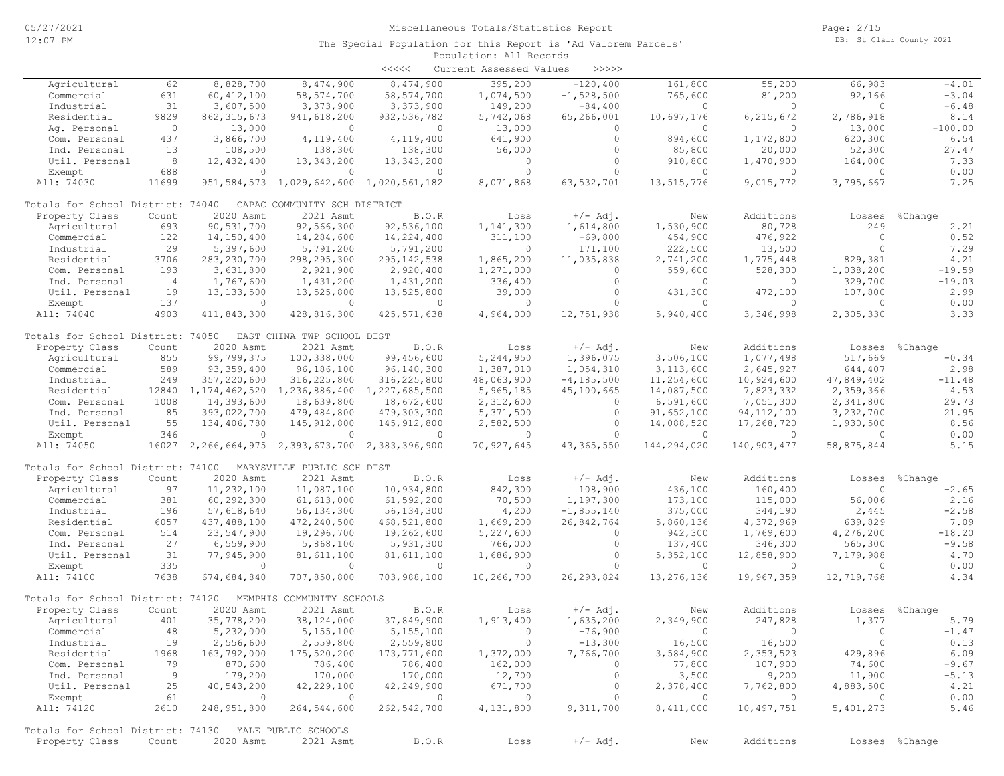|                                                              |                |                |                                                                | <<<<          | Current Assessed Values | >>>>>                    |                         |                          |                       |                |
|--------------------------------------------------------------|----------------|----------------|----------------------------------------------------------------|---------------|-------------------------|--------------------------|-------------------------|--------------------------|-----------------------|----------------|
| Agricultural                                                 | 62             | 8,828,700      | 8,474,900                                                      | 8,474,900     | 395,200                 | $-120, 400$              | 161,800                 | 55,200                   | 66,983                | $-4.01$        |
| Commercial                                                   | 631            | 60, 412, 100   | 58, 574, 700                                                   | 58, 574, 700  | 1,074,500               | $-1,528,500$             | 765,600                 | 81,200                   | 92,166                | $-3.04$        |
| Industrial                                                   | 31             | 3,607,500      | 3,373,900                                                      | 3,373,900     | 149,200                 | $-84,400$                | $\circ$                 | $\circ$                  | $\circ$               | $-6.48$        |
| Residential                                                  | 9829           | 862, 315, 673  | 941,618,200                                                    | 932,536,782   | 5,742,068               | 65,266,001               | 10,697,176              | 6,215,672                | 2,786,918             | 8.14           |
| Ag. Personal                                                 | $\circ$        | 13,000         | $\circ$                                                        | $\circ$       | 13,000                  | $\circ$                  | $\circ$                 | $\circ$                  | 13,000                | $-100.00$      |
| Com. Personal                                                | 437            | 3,866,700      | 4,119,400                                                      | 4,119,400     | 641,900                 | $\circ$                  | 894,600                 | 1,172,800                | 620,300               | 6.54           |
| Ind. Personal                                                | 13             | 108,500        | 138,300                                                        | 138,300       | 56,000                  | $\circ$                  | 85,800                  | 20,000                   | 52,300                | 27.47          |
| Util. Personal                                               | 8              | 12,432,400     | 13,343,200                                                     | 13, 343, 200  | $\circ$                 | $\circ$                  | 910,800                 | 1,470,900                | 164,000               | 7.33           |
|                                                              | 688            | $\circ$        | $\Omega$                                                       | $\Omega$      | $\circ$                 | $\Omega$                 | $\circ$                 | $\Omega$                 | $\circ$               | 0.00           |
| Exempt                                                       | 11699          |                |                                                                |               |                         |                          |                         |                          |                       |                |
| All: 74030                                                   |                |                | 951, 584, 573 1, 029, 642, 600 1, 020, 561, 182                |               | 8,071,868               | 63,532,701               | 13,515,776              | 9,015,772                | 3,795,667             | 7.25           |
| Totals for School District: 74040                            |                |                | CAPAC COMMUNITY SCH DISTRICT                                   |               |                         |                          |                         |                          |                       |                |
| Property Class                                               | Count          | 2020 Asmt      | 2021 Asmt                                                      | B.O.R         | Loss                    | $+/-$ Adj.               | New                     | Additions                | Losses                | %Change        |
| Agricultural                                                 | 693            | 90,531,700     | 92,566,300                                                     | 92,536,100    | 1,141,300               | 1,614,800                | 1,530,900               | 80,728                   | 249                   | 2.21           |
| Commercial                                                   | 122            | 14,150,400     | 14,284,600                                                     | 14,224,400    | 311,100                 | $-69,800$                | 454,900                 | 476,922                  | $\circ$               | 0.52           |
| Industrial                                                   | 29             | 5,397,600      | 5,791,200                                                      | 5,791,200     | $\circ$                 | 171,100                  | 222,500                 | 13,500                   | $\circ$               | 7.29           |
| Residential                                                  | 3706           | 283, 230, 700  | 298,295,300                                                    | 295, 142, 538 | 1,865,200               | 11,035,838               | 2,741,200               | 1,775,448                | 829,381               | 4.21           |
| Com. Personal                                                | 193            | 3,631,800      | 2,921,900                                                      | 2,920,400     | 1,271,000               | $\circ$                  | 559,600                 | 528,300                  | 1,038,200             | $-19.59$       |
| Ind. Personal                                                | $\overline{4}$ | 1,767,600      | 1,431,200                                                      | 1,431,200     | 336,400                 | $\circ$                  | $\circ$                 | $\circ$                  | 329,700               | $-19.03$       |
| Util. Personal                                               | 19             | 13, 133, 500   | 13,525,800                                                     | 13,525,800    | 39,000                  | $\circ$                  | 431,300                 | 472,100                  | 107,800               | 2.99           |
|                                                              | 137            | $\circ$        | $\circ$                                                        | 0             | $\Omega$                | $\Omega$                 | $\overline{0}$          | $\circ$                  | $\circ$               |                |
| Exempt                                                       |                |                |                                                                |               |                         |                          |                         |                          |                       | 0.00           |
| All: 74040                                                   | 4903           | 411,843,300    | 428,816,300                                                    | 425, 571, 638 | 4,964,000               | 12,751,938               | 5,940,400               | 3,346,998                | 2,305,330             | 3.33           |
| Totals for School District: 74050 EAST CHINA TWP SCHOOL DIST |                |                |                                                                |               |                         |                          |                         |                          |                       |                |
| Property Class                                               | Count          | 2020 Asmt      | 2021 Asmt                                                      | B.O.R         | Loss                    | $+/-$ Adj.               | New                     | Additions                | Losses                | %Change        |
| Agricultural                                                 | 855            | 99,799,375     | 100,338,000                                                    | 99,456,600    | 5,244,950               | 1,396,075                | 3,506,100               | 1,077,498                | 517,669               | $-0.34$        |
| Commercial                                                   | 589            | 93, 359, 400   | 96,186,100                                                     | 96,140,300    | 1,387,010               | 1,054,310                | 3, 113, 600             | 2,645,927                | 644,407               | 2.98           |
| Industrial                                                   | 249            | 357,220,600    | 316, 225, 800                                                  | 316,225,800   | 48,063,900              | $-4, 185, 500$           | 11,254,600              | 10,924,600               | 47,849,402            | $-11.48$       |
| Residential                                                  |                |                | 12840 1, 174, 462, 520 1, 236, 886, 400 1, 227, 685, 500       |               | 5,965,185               | 45,100,665               | 14,087,500              | 7,823,332                | 2,359,366             | 4.53           |
| Com. Personal                                                | 1008           | 14,393,600     | 18,639,800                                                     | 18,672,600    | 2,312,600               | $\circ$                  | 6,591,600               | 7,051,300                | 2,341,800             | 29.73          |
| Ind. Personal                                                | 85             | 393,022,700    | 479,484,800                                                    | 479,303,300   | 5,371,500               | $\circ$                  | 91,652,100              | 94, 112, 100             | 3,232,700             | 21.95          |
|                                                              | 55             |                |                                                                |               |                         | $\circ$                  |                         | 17,268,720               |                       |                |
| Util. Personal                                               |                | 134,406,780    | 145, 912, 800                                                  | 145, 912, 800 | 2,582,500               |                          | 14,088,520              |                          | 1,930,500             | 8.56           |
| Exempt<br>All: 74050                                         | 346<br>16027   | $\Omega$       | $\Omega$<br>2, 266, 664, 975 2, 393, 673, 700 2, 383, 396, 900 | $\Omega$      | $\circ$<br>70,927,645   | $\Omega$<br>43, 365, 550 | $\Omega$<br>144,294,020 | 0<br>140,903,477         | $\circ$<br>58,875,844 | 0.00<br>5.15   |
|                                                              |                |                |                                                                |               |                         |                          |                         |                          |                       |                |
| Totals for School District: 74100                            |                |                | MARYSVILLE PUBLIC SCH DIST                                     |               |                         |                          |                         |                          |                       |                |
| Property Class                                               | Count          | 2020 Asmt      | 2021 Asmt                                                      | B.O.R         | Loss                    | $+/-$ Adj.               | New                     | Additions                | Losses                | %Change        |
| Agricultural                                                 | 97             | 11,232,100     | 11,087,100                                                     | 10,934,800    | 842,300                 | 108,900                  | 436,100                 | 160,400                  | $\circ$               | $-2.65$        |
| Commercial                                                   | 381            | 60,292,300     | 61, 613, 000                                                   | 61,592,200    | 70,500                  | 1,197,300                | 173,100                 | 115,000                  | 56,006                | 2.16           |
| Industrial                                                   | 196            | 57,618,640     | 56,134,300                                                     | 56,134,300    | 4,200                   | $-1,855,140$             | 375,000                 | 344,190                  | 2,445                 | $-2.58$        |
| Residential                                                  | 6057           | 437,488,100    | 472,240,500                                                    | 468,521,800   | 1,669,200               | 26,842,764               | 5,860,136               | 4,372,969                | 639,829               | 7.09           |
| Com. Personal                                                | 514            | 23,547,900     | 19,296,700                                                     | 19,262,600    | 5,227,600               | $\circ$                  | 942,300                 | 1,769,600                | 4,276,200             | $-18.20$       |
| Ind. Personal                                                | 27             | 6,559,900      | 5,868,100                                                      | 5,931,300     | 766,000                 | $\circ$                  | 137,400                 | 346,300                  | 565,300               | $-9.58$        |
| Util. Personal                                               | 31             | 77,945,900     | 81,611,100                                                     | 81,611,100    | 1,686,900               | $\circ$                  | 5,352,100               | 12,858,900               | 7,179,988             | 4.70           |
| Exempt                                                       | 335            | $\circ$        | $\circ$                                                        | $\circ$       | $\overline{0}$          | $\Omega$                 | $\circ$                 | $\circ$                  | $\circ$               | 0.00           |
| All: 74100                                                   | 7638           | 674,684,840    | 707,850,800                                                    | 703,988,100   | 10,266,700              | 26, 293, 824             | 13,276,136              | 19,967,359               | 12,719,768            | 4.34           |
|                                                              |                |                |                                                                |               |                         |                          |                         |                          |                       |                |
| Totals for School District: 74120                            |                | MEMPHIS        | COMMUNITY SCHOOLS                                              |               |                         |                          |                         |                          |                       |                |
| Property Class                                               | Count          | 2020 Asmt      | 2021 Asmt                                                      | B.O.R         | Loss                    | $+/-$ Adj.               | New                     | Additions                |                       | Losses %Change |
| Agricultural                                                 | 401            | 35,778,200     | 38,124,000                                                     | 37,849,900    | 1,913,400               | 1,635,200                | 2,349,900               | 247,828                  | 1,377                 | 5.79           |
| Commercial                                                   | 48             | 5,232,000      | 5,155,100                                                      | 5,155,100     | $\overline{0}$          | $-76,900$                |                         | $\overline{\phantom{0}}$ | $\overline{0}$        | $-1.47$        |
| Industrial                                                   | 19             | 2,556,600      | 2,559,800                                                      | 2,559,800     | $\overline{0}$          | $-13,300$                | 16,500                  | 16,500                   | $\circ$               | 0.13           |
| Residential                                                  | 1968           | 163,792,000    | 175,520,200                                                    | 173,771,600   | 1,372,000               | 7,766,700                | 3,584,900               | 2,353,523                | 429,896               | 6.09           |
| Com. Personal                                                | 79             | 870,600        | 786,400                                                        | 786,400       | 162,000                 | $\circ$                  | 77,800                  | 107,900                  | 74,600                | $-9.67$        |
| Ind. Personal                                                | - 9            | 179,200        | 170,000                                                        | 170,000       | 12,700                  | $\circ$                  | 3,500                   | 9,200                    | 11,900                | $-5.13$        |
| Util. Personal                                               | 25             | 40,543,200     | 42,229,100                                                     | 42,249,900    | 671,700                 | $\circ$                  | 2,378,400               | 7,762,800                | 4,883,500             | 4.21           |
| Exempt                                                       | 61             | $\overline{0}$ | $\overline{0}$                                                 | $\sim$ 0      | $\overline{0}$          | $\circ$                  | $\overline{0}$          | $\overline{0}$           | $\overline{0}$        | 0.00           |
| All: 74120                                                   | 2610           | 248,951,800    | 264,544,600                                                    | 262,542,700   | 4,131,800               | 9, 311, 700              | 8,411,000               | 10,497,751               | 5,401,273             | 5.46           |
|                                                              |                |                |                                                                |               |                         |                          |                         |                          |                       |                |
| Totals for School District: 74130 YALE PUBLIC SCHOOLS        |                |                |                                                                |               |                         |                          |                         |                          |                       |                |
| Property Class                                               | Count          | 2020 Asmt      | 2021 Asmt                                                      | B.O.R         | Loss                    | $+/-$ Adj.               | New                     | Additions                |                       | Losses %Change |
|                                                              |                |                |                                                                |               |                         |                          |                         |                          |                       |                |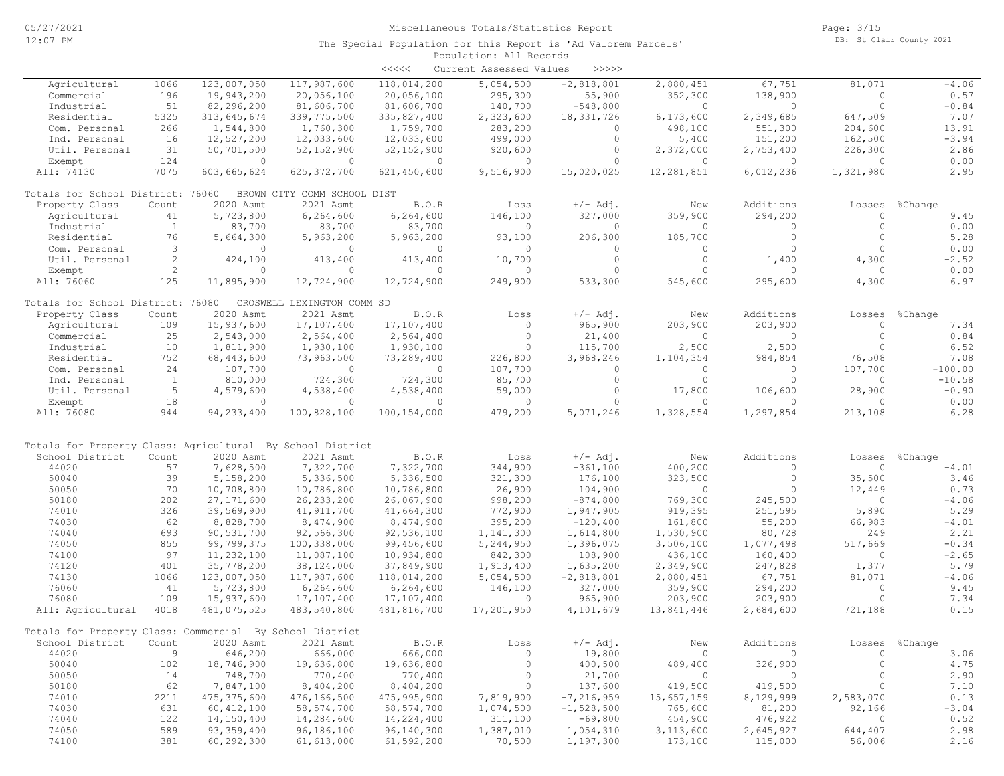|                                                            |              |               |                             | <<<<           | Current Assessed Values | >>>>>        |                |                |           |           |
|------------------------------------------------------------|--------------|---------------|-----------------------------|----------------|-------------------------|--------------|----------------|----------------|-----------|-----------|
| Agricultural                                               | 1066         | 123,007,050   | 117,987,600                 | 118,014,200    | 5,054,500               | $-2,818,801$ | 2,880,451      | 67,751         | 81,071    | $-4.06$   |
| Commercial                                                 | 196          | 19,943,200    | 20,056,100                  | 20,056,100     | 295,300                 | 55,900       | 352,300        | 138,900        | $\circ$   | 0.57      |
| Industrial                                                 | 51           | 82,296,200    | 81,606,700                  | 81,606,700     | 140,700                 | $-548,800$   | $\circ$        | $\circ$        | $\circ$   | $-0.84$   |
| Residential                                                | 5325         | 313,645,674   | 339,775,500                 | 335,827,400    | 2,323,600               | 18, 331, 726 | 6,173,600      | 2,349,685      | 647,509   | 7.07      |
| Com. Personal                                              | 266          | 1,544,800     | 1,760,300                   | 1,759,700      | 283,200                 | $\circ$      | 498,100        | 551,300        | 204,600   | 13.91     |
| Ind. Personal                                              | 16           | 12,527,200    | 12,033,600                  | 12,033,600     | 499,000                 | $\circ$      | 5,400          | 151,200        | 162,500   | $-3.94$   |
| Util. Personal                                             | 31           | 50,701,500    | 52, 152, 900                | 52, 152, 900   | 920,600                 | $\circ$      | 2,372,000      | 2,753,400      | 226,300   | 2.86      |
| Exempt                                                     | 124          | $\circ$       | $\overline{0}$              | $\overline{0}$ | $\overline{0}$          | $\circ$      | $\overline{0}$ | $\circ$        | $\circ$   | 0.00      |
| All: 74130                                                 | 7075         | 603,665,624   | 625, 372, 700               | 621, 450, 600  | 9,516,900               | 15,020,025   | 12,281,851     | 6,012,236      | 1,321,980 | 2.95      |
| Totals for School District: 76060                          |              |               | BROWN CITY COMM SCHOOL DIST |                |                         |              |                |                |           |           |
| Property Class                                             | Count        | 2020 Asmt     | 2021 Asmt                   | B.O.R          | Loss                    | $+/-$ Adj.   | New            | Additions      | Losses    | %Change   |
| Agricultural                                               | 41           | 5,723,800     | 6,264,600                   | 6,264,600      | 146,100                 | 327,000      | 359,900        | 294,200        | $\circ$   | 9.45      |
| Industrial                                                 | $\mathbf{1}$ | 83,700        | 83,700                      | 83,700         | $\Omega$                | $\Omega$     | $\Omega$       | $\Omega$       | $\circ$   | 0.00      |
| Residential                                                | 76           | 5,664,300     | 5,963,200                   | 5,963,200      | 93,100                  | 206,300      | 185,700        | $\circ$        | $\circ$   | 5.28      |
| Com. Personal                                              | 3            | $\circ$       | $\circ$                     | $\circ$        | $\circ$                 | $\circ$      | $\circ$        | $\circ$        | $\Omega$  | 0.00      |
| Util. Personal                                             | 2            | 424,100       | 413,400                     | 413,400        | 10,700                  | $\circ$      | $\circ$        | 1,400          | 4,300     | $-2.52$   |
| Exempt                                                     | 2            | 0             | $\circ$                     | $\mathbf{0}$   | $\mathbf{0}$            | $\Omega$     | $\Omega$       | $\circ$        | $\Omega$  | 0.00      |
| All: 76060                                                 | 125          | 11,895,900    | 12,724,900                  | 12,724,900     | 249,900                 | 533,300      | 545,600        | 295,600        | 4,300     | 6.97      |
| Totals for School District: 76080                          |              |               | CROSWELL LEXINGTON COMM SD  |                |                         |              |                |                |           |           |
| Property Class                                             | Count        | 2020 Asmt     | 2021 Asmt                   | B.O.R          | Loss                    | $+/-$ Adj.   | New            | Additions      | Losses    | %Change   |
| Agricultural                                               | 109          | 15,937,600    | 17,107,400                  | 17,107,400     | $\circ$                 | 965,900      | 203,900        | 203,900        | $\circ$   | 7.34      |
| Commercial                                                 | 25           | 2,543,000     | 2,564,400                   | 2,564,400      | $\circ$                 | 21,400       | $\circ$        | $\circ$        | $\circ$   | 0.84      |
| Industrial                                                 | 10           | 1,811,900     | 1,930,100                   | 1,930,100      | $\Omega$                | 115,700      | 2,500          | 2,500          | $\Omega$  | 6.52      |
| Residential                                                | 752          | 68,443,600    | 73,963,500                  | 73,289,400     | 226,800                 | 3,968,246    | 1,104,354      | 984,854        | 76,508    | 7.08      |
| Com. Personal                                              | 24           | 107,700       | $\circ$                     | $\circ$        | 107,700                 | $\circ$      | $\circ$        | $\circ$        | 107,700   | $-100.00$ |
| Ind. Personal                                              | $\mathbf{1}$ | 810,000       | 724,300                     | 724,300        | 85,700                  | $\circ$      | $\circ$        | $\circ$        | $\circ$   | $-10.58$  |
| Util. Personal                                             | -5           | 4,579,600     | 4,538,400                   | 4,538,400      | 59,000                  | $\circ$      | 17,800         | 106,600        | 28,900    | $-0.90$   |
| Exempt                                                     | 18           | $\Omega$      | $\Omega$                    | $\Omega$       | $\Omega$                | $\Omega$     | $\Omega$       | $\Omega$       | $\Omega$  | 0.00      |
| All: 76080                                                 | 944          | 94, 233, 400  | 100,828,100                 | 100,154,000    | 479,200                 | 5,071,246    | 1,328,554      | 1,297,854      | 213,108   | 6.28      |
|                                                            |              |               |                             |                |                         |              |                |                |           |           |
| Totals for Property Class: Agricultural By School District |              |               |                             |                |                         |              |                |                |           |           |
| School District                                            | Count        | 2020 Asmt     | 2021 Asmt                   | B.O.R          | Loss                    | $+/-$ Adj.   | New            | Additions      | Losses    | %Change   |
| 44020                                                      | 57           | 7,628,500     | 7,322,700                   | 7,322,700      | 344,900                 | $-361,100$   | 400,200        | $\mathbf{0}$   | $\circ$   | $-4.01$   |
| 50040                                                      | 39           | 5,158,200     | 5,336,500                   | 5,336,500      | 321,300                 | 176,100      | 323,500        | $\circ$        | 35,500    | 3.46      |
| 50050                                                      | 70           | 10,708,800    | 10,786,800                  | 10,786,800     | 26,900                  | 104,900      | $\circ$        | $\circ$        | 12,449    | 0.73      |
| 50180                                                      | 202          | 27, 171, 600  | 26, 233, 200                | 26,067,900     | 998,200                 | $-874, 800$  | 769,300        | 245,500        | $\circ$   | $-4.06$   |
| 74010                                                      | 326          | 39,569,900    | 41, 911, 700                | 41,664,300     | 772,900                 | 1,947,905    | 919,395        | 251,595        | 5,890     | 5.29      |
| 74030                                                      | 62           | 8,828,700     | 8,474,900                   | 8,474,900      | 395,200                 | $-120,400$   | 161,800        | 55,200         | 66,983    | $-4.01$   |
| 74040                                                      | 693          | 90,531,700    | 92,566,300                  | 92,536,100     | 1,141,300               | 1,614,800    | 1,530,900      | 80,728         | 249       | 2.21      |
| 74050                                                      | 855          | 99,799,375    | 100,338,000                 | 99,456,600     | 5,244,950               | 1,396,075    | 3,506,100      | 1,077,498      | 517,669   | $-0.34$   |
| 74100                                                      | 97           | 11,232,100    | 11,087,100                  | 10,934,800     | 842,300                 | 108,900      | 436,100        | 160,400        | $\circ$   | $-2.65$   |
| 74120                                                      | 401          | 35,778,200    | 38,124,000                  | 37,849,900     | 1,913,400               | 1,635,200    | 2,349,900      | 247,828        | 1,377     | 5.79      |
| 74130                                                      | 1066         | 123,007,050   | 117,987,600                 | 118,014,200    | 5,054,500               | $-2,818,801$ | 2,880,451      | 67,751         | 81,071    | $-4.06$   |
| 76060                                                      | 41           | 5,723,800     | 6, 264, 600                 | 6, 264, 600    | 146,100                 | 327,000      | 359,900        | 294,200        | $\circ$   | 9.45      |
| 76080                                                      | 109          | 15,937,600    | 17,107,400                  | 17,107,400     | $\mathbf{0}$            | 965,900      | 203,900        | 203,900        | $\circ$   | 7.34      |
| All: Agricultural                                          | 4018         | 481,075,525   | 483,540,800                 | 481,816,700    | 17,201,950              | 4,101,679    | 13,841,446     | 2,684,600      | 721,188   | 0.15      |
| Totals for Property Class: Commercial By School District   |              |               |                             |                |                         |              |                |                |           |           |
| School District                                            | Count        | 2020 Asmt     | 2021 Asmt                   | B.O.R          | Loss                    | $+/-$ Adj.   | New            | Additions      | Losses    | %Change   |
| 44020                                                      | 9            | 646,200       | 666,000                     | 666,000        | $\mathbf{0}$            | 19,800       | $\circ$        | 0              | $\circ$   | 3.06      |
| 50040                                                      | 102          | 18,746,900    | 19,636,800                  | 19,636,800     | $\circ$                 | 400,500      | 489,400        | 326,900        | $\circ$   | 4.75      |
| 50050                                                      | 14           | 748,700       | 770,400                     | 770,400        | $\mathbf{0}$            | 21,700       | $\circ$        | $\overline{0}$ | $\circ$   | 2.90      |
| 50180                                                      | 62           | 7,847,100     | 8,404,200                   | 8,404,200      | $\circ$                 | 137,600      | 419,500        | 419,500        | $\circ$   | 7.10      |
| 74010                                                      | 2211         | 475, 375, 600 | 476,166,500                 | 475,995,900    | 7,819,900               | $-7,216,959$ | 15,657,159     | 8,129,999      | 2,583,070 | 0.13      |
| 74030                                                      | 631          | 60, 412, 100  | 58, 574, 700                | 58, 574, 700   | 1,074,500               | $-1,528,500$ | 765,600        | 81,200         | 92,166    | $-3.04$   |
| 74040                                                      | 122          | 14,150,400    | 14,284,600                  | 14,224,400     | 311,100                 | $-69,800$    | 454,900        | 476,922        | 0         | 0.52      |
| 74050                                                      | 589          | 93, 359, 400  | 96,186,100                  | 96,140,300     | 1,387,010               | 1,054,310    | 3,113,600      | 2,645,927      | 644,407   | 2.98      |
| 74100                                                      | 381          | 60, 292, 300  | 61, 613, 000                | 61,592,200     | 70,500                  | 1,197,300    | 173,100        | 115,000        | 56,006    | 2.16      |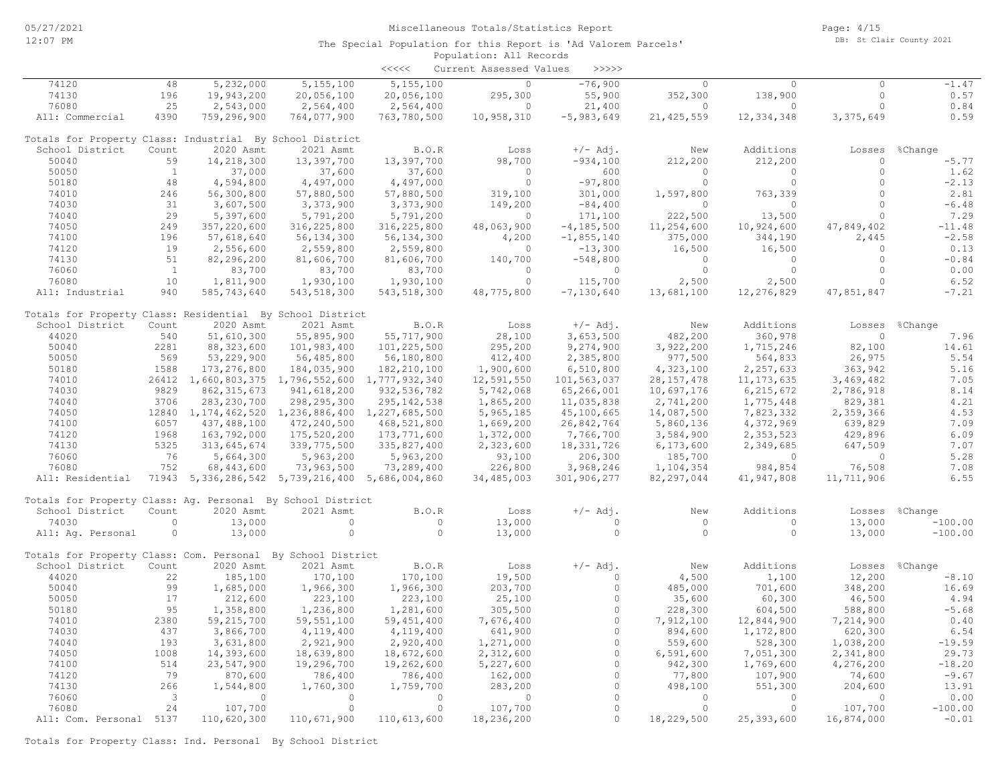|                                                             |              |                                                          |               | <<<<          | Current Assessed Values | >>>>>          |              |                |                |                |
|-------------------------------------------------------------|--------------|----------------------------------------------------------|---------------|---------------|-------------------------|----------------|--------------|----------------|----------------|----------------|
| 74120                                                       | 48           | 5,232,000                                                | 5,155,100     | 5,155,100     | $\circ$                 | $-76,900$      | $\circ$      | $\circ$        | $\circ$        | $-1.47$        |
| 74130                                                       | 196          | 19,943,200                                               | 20,056,100    | 20,056,100    | 295,300                 | 55,900         | 352,300      | 138,900        | $\circ$        | 0.57           |
| 76080                                                       | 25           | 2,543,000                                                | 2,564,400     | 2,564,400     | $\Omega$                | 21,400         | $\Omega$     | $\circ$        | $\circ$        | 0.84           |
| All: Commercial                                             | 4390         | 759,296,900                                              | 764,077,900   | 763,780,500   | 10,958,310              | $-5,983,649$   | 21, 425, 559 | 12,334,348     | 3,375,649      | 0.59           |
| Totals for Property Class: Industrial By School District    |              |                                                          |               |               |                         |                |              |                |                |                |
| School District                                             | Count        | 2020 Asmt                                                | 2021 Asmt     | B.O.R         | Loss                    | $+/-$ Adj.     | New          | Additions      | Losses         | %Change        |
| 50040                                                       | 59           | 14,218,300                                               | 13,397,700    | 13,397,700    | 98,700                  | $-934,100$     | 212,200      | 212,200        | $\circ$        | $-5.77$        |
| 50050                                                       | $\mathbf{1}$ | 37,000                                                   | 37,600        | 37,600        | $\cap$                  | 600            | $\Omega$     | $\Omega$       | $\circ$        | 1.62           |
| 50180                                                       | 48           | 4,594,800                                                | 4,497,000     | 4,497,000     | $\circ$                 | $-97,800$      | $\circ$      | $\circ$        | $\circ$        | $-2.13$        |
| 74010                                                       | 246          | 56,300,800                                               | 57,880,500    | 57,880,500    | 319,100                 | 301,000        | 1,597,800    | 763,339        | $\circ$        | 2.81           |
| 74030                                                       | 31           | 3,607,500                                                | 3,373,900     | 3,373,900     | 149,200                 | $-84,400$      | $\circ$      | $\circ$        | $\circ$        | $-6.48$        |
| 74040                                                       | 29           | 5,397,600                                                | 5,791,200     | 5,791,200     | $\circ$                 | 171,100        | 222,500      | 13,500         | $\circ$        | 7.29           |
| 74050                                                       | 249          | 357,220,600                                              | 316, 225, 800 | 316,225,800   | 48,063,900              | $-4, 185, 500$ | 11,254,600   | 10,924,600     | 47,849,402     | $-11.48$       |
| 74100                                                       | 196          | 57,618,640                                               | 56, 134, 300  | 56, 134, 300  | 4,200                   | $-1,855,140$   | 375,000      | 344,190        | 2,445          | $-2.58$        |
| 74120                                                       | 19           | 2,556,600                                                | 2,559,800     | 2,559,800     | $\circ$                 | $-13,300$      | 16,500       | 16,500         | $\circ$        | 0.13           |
| 74130                                                       | 51           | 82,296,200                                               | 81,606,700    | 81,606,700    | 140,700                 | $-548,800$     | $\circ$      | $\circ$        | $\circ$        | $-0.84$        |
| 76060                                                       | <sup>1</sup> | 83,700                                                   | 83,700        | 83,700        | $\circ$                 | $\circ$        | $\circ$      | $\circ$        | $\circ$        | 0.00           |
| 76080                                                       | 10           | 1,811,900                                                | 1,930,100     | 1,930,100     | $\Omega$                | 115,700        | 2,500        | 2,500          | $\circ$        | 6.52           |
| All: Industrial                                             | 940          | 585,743,640                                              | 543, 518, 300 | 543, 518, 300 | 48,775,800              | $-7,130,640$   | 13,681,100   | 12,276,829     | 47,851,847     | $-7.21$        |
| Totals for Property Class: Residential By School District   |              |                                                          |               |               |                         |                |              |                |                |                |
| School District                                             | Count        | 2020 Asmt                                                | 2021 Asmt     | B.O.R         | Loss                    | $+/-$ Adj.     | New          | Additions      |                | Losses %Change |
| 44020                                                       | 540          | 51,610,300                                               | 55,895,900    | 55,717,900    | 28,100                  | 3,653,500      | 482,200      | 360,978        | $\circ$        | 7.96           |
| 50040                                                       | 2281         | 88, 323, 600                                             | 101,983,400   | 101,225,500   | 295,200                 | 9,274,900      | 3,922,200    | 1,715,246      | 82,100         | 14.61          |
| 50050                                                       | 569          | 53,229,900                                               | 56,485,800    | 56,180,800    | 412,400                 | 2,385,800      | 977,500      | 564,833        | 26,975         | 5.54           |
| 50180                                                       | 1588         | 173, 276, 800                                            | 184,035,900   | 182, 210, 100 | 1,900,600               | 6,510,800      | 4,323,100    | 2,257,633      | 363,942        | 5.16           |
| 74010                                                       |              | 26412 1,660,803,375 1,796,552,600 1,777,932,340          |               |               | 12,591,550              | 101,563,037    | 28, 157, 478 | 11, 173, 635   | 3,469,482      | 7.05           |
| 74030                                                       | 9829         | 862, 315, 673                                            | 941,618,200   | 932, 536, 782 | 5,742,068               | 65,266,001     | 10,697,176   | 6, 215, 672    | 2,786,918      | 8.14           |
| 74040                                                       | 3706         | 283, 230, 700                                            | 298, 295, 300 | 295, 142, 538 | 1,865,200               | 11,035,838     | 2,741,200    | 1,775,448      | 829,381        | 4.21           |
| 74050                                                       |              | 12840 1, 174, 462, 520 1, 236, 886, 400 1, 227, 685, 500 |               |               | 5,965,185               | 45,100,665     | 14,087,500   | 7,823,332      | 2,359,366      | 4.53           |
| 74100                                                       | 6057         | 437,488,100                                              | 472,240,500   | 468,521,800   | 1,669,200               | 26,842,764     | 5,860,136    | 4,372,969      | 639,829        | 7.09           |
| 74120                                                       | 1968         | 163,792,000                                              | 175,520,200   | 173,771,600   | 1,372,000               | 7,766,700      | 3,584,900    | 2,353,523      | 429,896        | 6.09           |
| 74130                                                       | 5325         | 313,645,674                                              | 339,775,500   | 335,827,400   | 2,323,600               | 18,331,726     | 6,173,600    | 2,349,685      | 647,509        | 7.07           |
| 76060                                                       | 76           | 5,664,300                                                | 5,963,200     | 5,963,200     | 93,100                  | 206,300        | 185,700      | $\overline{0}$ | $\overline{0}$ | 5.28           |
| 76080                                                       | 752          | 68,443,600                                               | 73,963,500    | 73,289,400    | 226,800                 | 3,968,246      | 1,104,354    | 984,854        | 76,508         | 7.08           |
| All: Residential                                            |              | 71943 5,336,286,542 5,739,216,400 5,686,004,860          |               |               | 34,485,003              | 301,906,277    | 82, 297, 044 | 41,947,808     | 11,711,906     | 6.55           |
| Totals for Property Class: Ag. Personal By School District  |              |                                                          |               |               |                         |                |              |                |                |                |
| School District                                             | Count        | 2020 Asmt                                                | 2021 Asmt     | B.O.R         | Loss                    | $+/-$ Adj.     | New          | Additions      | Losses         | %Change        |
| 74030                                                       | $\circ$      | 13,000                                                   | $\circ$       | $\circ$       | 13,000                  | $\circ$        | $\circ$      | $\circ$        | 13,000         | $-100.00$      |
| All: Aq. Personal                                           | $\circ$      | 13,000                                                   | $\circ$       | $\circ$       | 13,000                  | $\circ$        | $\circ$      | $\circ$        | 13,000         | $-100.00$      |
| Totals for Property Class: Com. Personal By School District |              |                                                          |               |               |                         |                |              |                |                |                |
| School District                                             | Count        | 2020 Asmt                                                | 2021 Asmt     | B.O.R         | Loss                    | $+/-$ Adj.     | New          | Additions      | Losses         | %Change        |
| 44020                                                       | 22           | 185,100                                                  | 170,100       | 170,100       | 19,500                  | $\Omega$       | 4,500        | 1,100          | 12,200         | $-8.10$        |
| 50040                                                       | 99           | 1,685,000                                                | 1,966,300     | 1,966,300     | 203,700                 | $\circ$        | 485,000      | 701,600        | 348,200        | 16.69          |
| 50050                                                       | 17           | 212,600                                                  | 223,100       | 223,100       | 25,100                  | $\Omega$       | 35,600       | 60,300         | 46,500         | 4.94           |
| 50180                                                       | 95           | 1,358,800                                                | 1,236,800     | 1,281,600     | 305,500                 | $\circ$        | 228,300      | 604,500        | 588,800        | $-5.68$        |
| 74010                                                       | 2380         | 59, 215, 700                                             | 59, 551, 100  | 59, 451, 400  | 7,676,400               | $\circ$        | 7,912,100    | 12,844,900     | 7,214,900      | 0.40           |
| 74030                                                       | 437          | 3,866,700                                                | 4,119,400     | 4,119,400     | 641,900                 | $\Omega$       | 894,600      | 1,172,800      | 620,300        | 6.54           |
| 74040                                                       | 193          | 3,631,800                                                | 2,921,900     | 2,920,400     | 1,271,000               | $\Omega$       | 559,600      | 528,300        | 1,038,200      | $-19.59$       |
| 74050                                                       | 1008         | 14,393,600                                               | 18,639,800    | 18,672,600    | 2,312,600               | $\circ$        | 6,591,600    | 7,051,300      | 2,341,800      | 29.73          |
| 74100                                                       | 514          | 23,547,900                                               | 19,296,700    | 19,262,600    | 5,227,600               | $\Omega$       | 942,300      | 1,769,600      | 4,276,200      | $-18.20$       |
| 74120                                                       | 79           | 870,600                                                  | 786,400       | 786,400       | 162,000                 | $\circ$        | 77,800       | 107,900        | 74,600         | $-9.67$        |
| 74130                                                       | 266          | 1,544,800                                                | 1,760,300     | 1,759,700     | 283,200                 | $\Omega$       | 498,100      | 551,300        | 204,600        | 13.91          |
| 76060                                                       | $\mathbf{3}$ | $\circ$                                                  | $\circ$       | $\Omega$      | $\circ$                 | $\Omega$       | $\bigcirc$   | $\circ$        | $\circ$        | 0.00           |
| 76080                                                       | 24           | 107,700                                                  | $\circ$       | $\circ$       | 107,700                 | $\Omega$       | $\Omega$     | $\circ$        | 107,700        | $-100.00$      |
| All: Com. Personal 5137                                     |              | 110,620,300                                              | 110,671,900   | 110,613,600   | 18,236,200              | $\circ$        | 18,229,500   | 25,393,600     | 16,874,000     | $-0.01$        |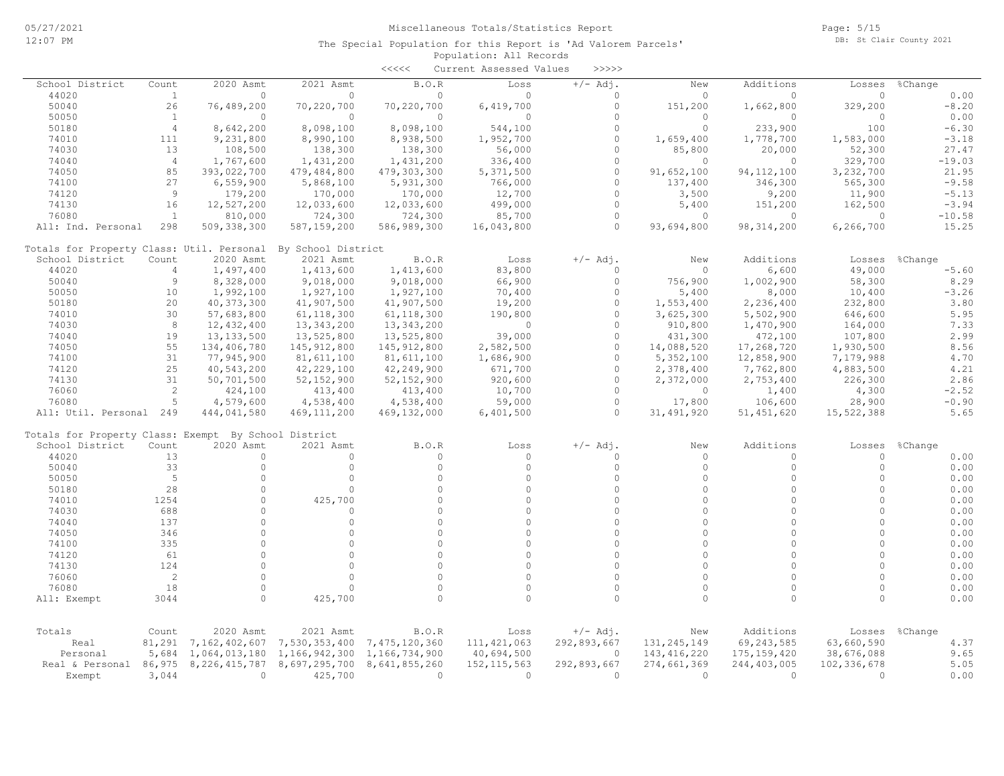|                                                      |                |                  |                    | $\prec\prec\prec\prec\prec$ | Current Assessed Values | >>>>>       |               |               |             |         |          |
|------------------------------------------------------|----------------|------------------|--------------------|-----------------------------|-------------------------|-------------|---------------|---------------|-------------|---------|----------|
| School District                                      | Count          | 2020 Asmt        | 2021 Asmt          | B.O.R                       | Loss                    | $+/-$ Adj.  | New           | Additions     | Losses      | %Change |          |
| 44020                                                | $\mathbf{1}$   | $\circ$          | $\circ$            | $\mathbf{0}$                | $\Omega$                | $\circ$     | 0             | $\circ$       | $\circ$     |         | 0.00     |
| 50040                                                | 26             | 76,489,200       | 70,220,700         | 70,220,700                  | 6,419,700               | $\circ$     | 151,200       | 1,662,800     | 329,200     |         | $-8.20$  |
| 50050                                                | $\mathbf{1}$   | $\mathbf{0}$     | $\circ$            | $\mathbf{0}$                | $\circ$                 | $\Omega$    | $\Omega$      | $\circ$       | $\circ$     |         | 0.00     |
| 50180                                                | $\overline{4}$ | 8,642,200        | 8,098,100          | 8,098,100                   | 544,100                 | $\Omega$    | $\Omega$      | 233,900       | 100         |         | $-6.30$  |
| 74010                                                | 111            | 9,231,800        | 8,990,100          | 8,938,500                   | 1,952,700               | $\Omega$    | 1,659,400     | 1,778,700     | 1,583,000   |         | $-3.18$  |
| 74030                                                | 13             | 108,500          | 138,300            | 138,300                     | 56,000                  | $\Omega$    | 85,800        | 20,000        | 52,300      |         | 27.47    |
| 74040                                                | $\overline{4}$ | 1,767,600        | 1,431,200          | 1,431,200                   | 336,400                 | $\circ$     | $\circ$       | $\circ$       | 329,700     |         | $-19.03$ |
| 74050                                                | 85             | 393,022,700      | 479,484,800        | 479,303,300                 | 5,371,500               | $\Omega$    | 91,652,100    | 94, 112, 100  | 3,232,700   |         | 21.95    |
| 74100                                                | 27             | 6,559,900        | 5,868,100          | 5,931,300                   | 766,000                 | $\circ$     | 137,400       | 346,300       | 565,300     |         | $-9.58$  |
| 74120                                                | 9              | 179,200          | 170,000            | 170,000                     | 12,700                  | $\Omega$    | 3,500         | 9,200         | 11,900      |         | $-5.13$  |
| 74130                                                | 16             | 12,527,200       | 12,033,600         | 12,033,600                  | 499,000                 | $\circ$     | 5,400         | 151,200       | 162,500     |         | $-3.94$  |
| 76080                                                | $\mathbf{1}$   | 810,000          | 724,300            | 724,300                     | 85,700                  | $\Omega$    | 0             | 0             | $\circ$     |         | $-10.58$ |
| All: Ind. Personal                                   | 298            | 509, 338, 300    | 587,159,200        | 586,989,300                 | 16,043,800              | $\circ$     | 93,694,800    | 98, 314, 200  | 6,266,700   |         | 15.25    |
| Totals for Property Class: Util. Personal            |                |                  | By School District |                             |                         |             |               |               |             |         |          |
| School District                                      | Count          | 2020 Asmt        | 2021 Asmt          | B.O.R                       | Loss                    | $+/-$ Adj.  | New           | Additions     | Losses      | %Change |          |
| 44020                                                | $\overline{4}$ | 1,497,400        | 1,413,600          | 1,413,600                   | 83,800                  | $\Omega$    | $\Omega$      | 6,600         | 49,000      |         | $-5.60$  |
| 50040                                                | $\overline{9}$ | 8,328,000        | 9,018,000          | 9,018,000                   | 66,900                  | $\Omega$    | 756,900       | 1,002,900     | 58,300      |         | 8.29     |
| 50050                                                | 10             | 1,992,100        | 1,927,100          | 1,927,100                   | 70,400                  | $\Omega$    | 5,400         | 8,000         | 10,400      |         | $-3.26$  |
| 50180                                                | 20             | 40, 373, 300     | 41,907,500         | 41,907,500                  | 19,200                  | $\Omega$    | 1,553,400     | 2,236,400     | 232,800     |         | 3.80     |
| 74010                                                | 30             | 57,683,800       | 61, 118, 300       | 61, 118, 300                | 190,800                 | $\Omega$    | 3,625,300     | 5,502,900     | 646,600     |         | 5.95     |
| 74030                                                | 8              | 12,432,400       | 13,343,200         | 13, 343, 200                | $\Omega$                | $\Omega$    | 910,800       | 1,470,900     | 164,000     |         | 7.33     |
| 74040                                                | 19             | 13, 133, 500     | 13,525,800         | 13,525,800                  | 39,000                  | $\Omega$    | 431,300       | 472,100       | 107,800     |         | 2.99     |
| 74050                                                | 55             | 134,406,780      | 145, 912, 800      | 145, 912, 800               | 2,582,500               | $\Omega$    | 14,088,520    | 17,268,720    | 1,930,500   |         | 8.56     |
| 74100                                                | 31             | 77,945,900       | 81,611,100         | 81,611,100                  | 1,686,900               | $\Omega$    | 5,352,100     | 12,858,900    | 7,179,988   |         | 4.70     |
| 74120                                                | 25             | 40,543,200       | 42,229,100         | 42,249,900                  | 671,700                 | $\Omega$    | 2,378,400     | 7,762,800     | 4,883,500   |         | 4.21     |
| 74130                                                | 31             | 50,701,500       | 52, 152, 900       | 52, 152, 900                | 920,600                 | $\Omega$    | 2,372,000     | 2,753,400     | 226,300     |         | 2.86     |
| 76060                                                | 2              | 424,100          | 413,400            | 413,400                     | 10,700                  | $\Omega$    | 0             | 1,400         | 4,300       |         | $-2.52$  |
| 76080                                                | 5              | 4,579,600        | 4,538,400          | 4,538,400                   | 59,000                  | $\Omega$    | 17,800        | 106,600       | 28,900      |         | $-0.90$  |
| All: Util. Personal 249                              |                | 444,041,580      | 469, 111, 200      | 469, 132, 000               | 6,401,500               | $\circ$     | 31, 491, 920  | 51, 451, 620  | 15,522,388  |         | 5.65     |
| Totals for Property Class: Exempt By School District |                |                  |                    |                             |                         |             |               |               |             |         |          |
| School District                                      | Count          | 2020 Asmt        | 2021 Asmt          | B.O.R                       | Loss                    | $+/-$ Adj.  | New           | Additions     | Losses      | %Change |          |
| 44020                                                | 13             | $\circ$          | $\circ$            | 0                           | $\circ$                 | $\Omega$    | 0             | $\circ$       | $\circ$     |         | 0.00     |
| 50040                                                | 33             | $\circ$          | $\Omega$           | $\Omega$                    | $\circ$                 | $\Omega$    | $\Omega$      | $\circ$       | $\Omega$    |         | 0.00     |
| 50050                                                | 5              | $\Omega$         | $\circ$            | $\Omega$                    | $\Omega$                | $\Omega$    | $\Omega$      | $\Omega$      | $\Omega$    |         | 0.00     |
| 50180                                                | 28             | $\Omega$         | $\Omega$           | $\Omega$                    | $\Omega$                | $\Omega$    | $\Omega$      | $\Omega$      | $\Omega$    |         | 0.00     |
| 74010                                                | 1254           | $\circ$          | 425,700            | $\Omega$                    | $\Omega$                | $\Omega$    | $\Omega$      | $\circ$       | $\Omega$    |         | 0.00     |
| 74030                                                | 688            | $\circ$          | $\Omega$           | $\Omega$                    | $\Omega$                | $\Omega$    | $\Omega$      | $\Omega$      | $\Omega$    |         | 0.00     |
| 74040                                                | 137            | $\Omega$         | $\Omega$           | $\Omega$                    | $\Omega$                | $\Omega$    | $\Omega$      | $\Omega$      | $\Omega$    |         | 0.00     |
| 74050                                                | 346            | $\Omega$         | $\Omega$           | $\Omega$                    | $\Omega$                | $\Omega$    | $\Omega$      | $\Omega$      | $\Omega$    |         | 0.00     |
| 74100                                                | 335            | $\Omega$         | $\circ$            | $\circ$                     | $\Omega$                | $\Omega$    | $\Omega$      | $\Omega$      | $\Omega$    |         | 0.00     |
| 74120                                                | 61             | $\Omega$         | $\circ$            | $\circ$                     | $\Omega$                | $\Omega$    | $\cap$        | $\Omega$      | $\cap$      |         | 0.00     |
| 74130                                                | 124            | $\Omega$         | $\Omega$           | $\Omega$                    | $\Omega$                | $\Omega$    | $\Omega$      | $\Omega$      | $\Omega$    |         | 0.00     |
| 76060                                                | 2              | $\Omega$         | $\Omega$           | $\Omega$                    | $\Omega$                | $\Omega$    | $\Omega$      | $\Omega$      | $\Omega$    |         | 0.00     |
| 76080                                                | 18             | $\Omega$         | $\Omega$           | $\circ$                     | $\Omega$                | $\Omega$    | $\Omega$      | $\Omega$      | $\Omega$    |         | 0.00     |
| All: Exempt                                          | 3044           | $\Omega$         | 425,700            | $\Omega$                    | $\Omega$                | $\Omega$    | $\Omega$      | $\Omega$      | $\Omega$    |         | 0.00     |
|                                                      |                |                  |                    |                             |                         |             |               |               |             |         |          |
| Totals                                               | Count          | 2020 Asmt        | 2021 Asmt          | B.O.R                       | Loss                    | $+/-$ Adj.  | New           | Additions     | Losses      | %Change |          |
| Real                                                 | 81,291         | 7,162,402,607    | 7,530,353,400      | 7,475,120,360               | 111, 421, 063           | 292,893,667 | 131, 245, 149 | 69,243,585    | 63,660,590  |         | 4.37     |
| Personal                                             | 5,684          | 1,064,013,180    | 1,166,942,300      | 1,166,734,900               | 40,694,500              | 0           | 143, 416, 220 | 175, 159, 420 | 38,676,088  |         | 9.65     |
| Real & Personal 86,975                               |                | 8, 226, 415, 787 | 8,697,295,700      | 8,641,855,260               | 152, 115, 563           | 292,893,667 | 274,661,369   | 244,403,005   | 102,336,678 |         | 5.05     |
| Exempt                                               | 3,044          | $\mathbf{0}$     | 425,700            | $\Omega$                    | $\Omega$                | $\Omega$    | $\Omega$      | $\Omega$      | $\Omega$    |         | 0.00     |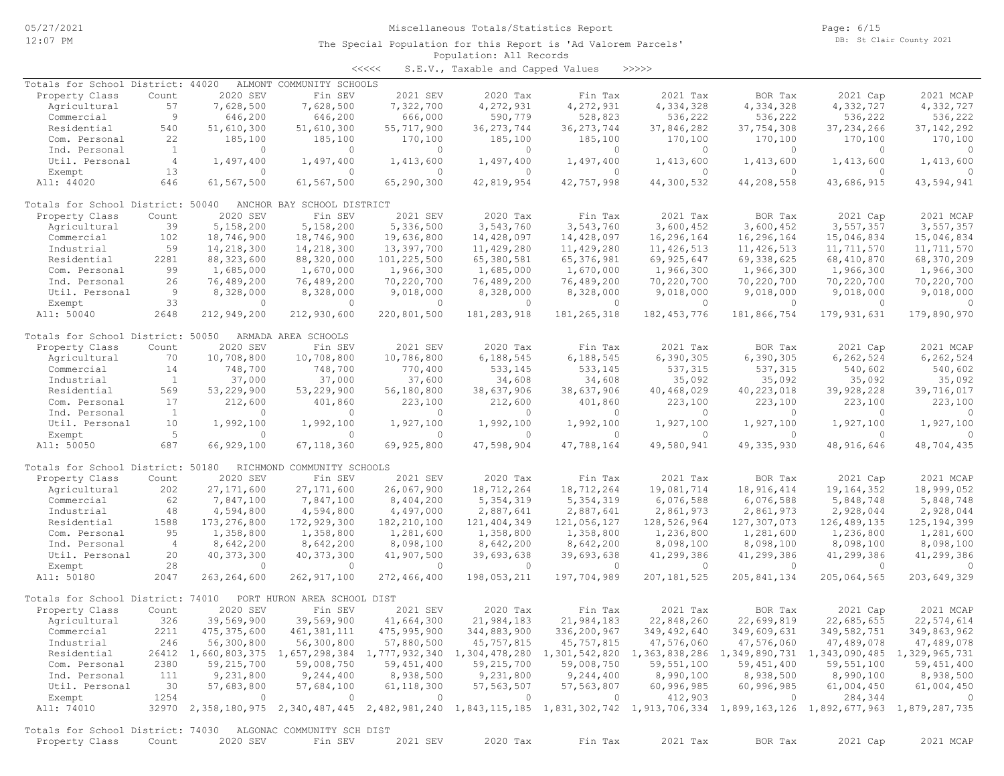Page: 6/15 DB: St Clair County 2021

#### Population: All Records The Special Population for this Report is 'Ad Valorem Parcels'

<<<<< S.E.V., Taxable and Capped Values >>>>>

| Totals for School District: 44020                            |                |                | ALMONT COMMUNITY SCHOOLS    |               |                |               |                                                                                                                                     |               |                |               |
|--------------------------------------------------------------|----------------|----------------|-----------------------------|---------------|----------------|---------------|-------------------------------------------------------------------------------------------------------------------------------------|---------------|----------------|---------------|
| Property Class                                               | Count          | 2020 SEV       | Fin SEV                     | 2021 SEV      | 2020 Tax       | Fin Tax       | 2021 Tax                                                                                                                            | BOR Tax       | 2021 Cap       | 2021 MCAP     |
| Agricultural                                                 | 57             | 7,628,500      | 7,628,500                   | 7,322,700     | 4,272,931      | 4,272,931     | 4,334,328                                                                                                                           | 4,334,328     | 4,332,727      | 4,332,727     |
| Commercial                                                   | 9              | 646,200        | 646,200                     | 666,000       | 590,779        | 528,823       | 536,222                                                                                                                             | 536,222       | 536,222        | 536,222       |
| Residential                                                  | 540            | 51,610,300     | 51,610,300                  | 55,717,900    | 36, 273, 744   | 36, 273, 744  | 37,846,282                                                                                                                          | 37,754,308    | 37, 234, 266   | 37, 142, 292  |
| Com. Personal                                                | 22             | 185,100        | 185,100                     | 170,100       | 185,100        | 185,100       | 170,100                                                                                                                             | 170,100       | 170,100        | 170,100       |
| Ind. Personal                                                | $\mathbf{1}$   | $\Omega$       | $\circ$                     | $\circ$       | 0              | $\circ$       | $\Omega$                                                                                                                            | $\circ$       | $\Omega$       | $\Omega$      |
| Util. Personal                                               | $\overline{4}$ | 1,497,400      | 1,497,400                   | 1,413,600     | 1,497,400      | 1,497,400     | 1,413,600                                                                                                                           | 1,413,600     | 1,413,600      | 1,413,600     |
| Exempt                                                       | 13             | $\circ$        | $\Omega$                    | $\circ$       | 0              | $\circ$       | $\circ$                                                                                                                             | $\circ$       | $\Omega$       | $\Omega$      |
| All: 44020                                                   | 646            | 61,567,500     | 61,567,500                  | 65,290,300    | 42,819,954     | 42,757,998    | 44,300,532                                                                                                                          | 44,208,558    | 43,686,915     | 43,594,941    |
|                                                              |                |                |                             |               |                |               |                                                                                                                                     |               |                |               |
| Totals for School District: 50040                            |                |                | ANCHOR BAY SCHOOL DISTRICT  |               |                |               |                                                                                                                                     |               |                |               |
| Property Class                                               | Count          | 2020 SEV       | Fin SEV                     | 2021 SEV      | 2020 Tax       | Fin Tax       | 2021 Tax                                                                                                                            | BOR Tax       | 2021 Cap       | 2021 MCAP     |
| Agricultural                                                 | 39             | 5,158,200      | 5,158,200                   | 5,336,500     | 3,543,760      | 3,543,760     | 3,600,452                                                                                                                           | 3,600,452     | 3,557,357      | 3,557,357     |
| Commercial                                                   | 102            | 18,746,900     | 18,746,900                  | 19,636,800    | 14,428,097     | 14,428,097    | 16,296,164                                                                                                                          | 16,296,164    | 15,046,834     | 15,046,834    |
| Industrial                                                   | 59             | 14,218,300     | 14,218,300                  | 13,397,700    | 11,429,280     | 11, 429, 280  | 11, 426, 513                                                                                                                        | 11, 426, 513  | 11,711,570     | 11,711,570    |
| Residential                                                  | 2281           | 88, 323, 600   | 88,320,000                  | 101,225,500   | 65,380,581     | 65, 376, 981  | 69,925,647                                                                                                                          | 69,338,625    | 68,410,870     | 68,370,209    |
| Com. Personal                                                | 99             | 1,685,000      | 1,670,000                   | 1,966,300     | 1,685,000      | 1,670,000     | 1,966,300                                                                                                                           | 1,966,300     | 1,966,300      | 1,966,300     |
| Ind. Personal                                                | 26             | 76,489,200     | 76,489,200                  | 70,220,700    | 76,489,200     | 76,489,200    | 70,220,700                                                                                                                          | 70,220,700    | 70,220,700     | 70,220,700    |
| Util. Personal                                               | 9              | 8,328,000      | 8,328,000                   | 9,018,000     | 8,328,000      | 8,328,000     | 9,018,000                                                                                                                           | 9,018,000     | 9,018,000      | 9,018,000     |
| Exempt                                                       | 33             | $\circ$        | $\Omega$                    | $\circ$       | $\circ$        | $\circ$       | $\circ$                                                                                                                             | $\circ$       | $\overline{0}$ | $\Omega$      |
|                                                              |                |                |                             |               |                |               |                                                                                                                                     |               |                |               |
| All: 50040                                                   | 2648           | 212,949,200    | 212,930,600                 | 220,801,500   | 181, 283, 918  | 181, 265, 318 | 182, 453, 776                                                                                                                       | 181,866,754   | 179, 931, 631  | 179,890,970   |
| Totals for School District: 50050                            |                |                | ARMADA AREA SCHOOLS         |               |                |               |                                                                                                                                     |               |                |               |
| Property Class                                               | Count          | 2020 SEV       | Fin SEV                     | 2021 SEV      | 2020 Tax       | Fin Tax       | 2021 Tax                                                                                                                            | BOR Tax       | 2021 Cap       | 2021 MCAP     |
| Agricultural                                                 | 70             | 10,708,800     | 10,708,800                  | 10,786,800    | 6,188,545      | 6,188,545     | 6,390,305                                                                                                                           | 6,390,305     | 6, 262, 524    | 6,262,524     |
|                                                              | 14             |                | 748,700                     |               | 533,145        |               | 537,315                                                                                                                             | 537,315       |                | 540,602       |
| Commercial                                                   |                | 748,700        |                             | 770,400       |                | 533,145       |                                                                                                                                     |               | 540,602        |               |
| Industrial                                                   | <sup>1</sup>   | 37,000         | 37,000                      | 37,600        | 34,608         | 34,608        | 35,092                                                                                                                              | 35,092        | 35,092         | 35,092        |
| Residential                                                  | 569            | 53,229,900     | 53,229,900                  | 56,180,800    | 38,637,906     | 38,637,906    | 40,468,029                                                                                                                          | 40,223,018    | 39,928,228     | 39,716,017    |
| Com. Personal                                                | 17             | 212,600        | 401,860                     | 223,100       | 212,600        | 401,860       | 223,100                                                                                                                             | 223,100       | 223,100        | 223,100       |
| Ind. Personal                                                | $\mathbf{1}$   | $\overline{0}$ | $\Omega$                    | $\circ$       | $\circ$        | $\circ$       | $\mathbf{0}$                                                                                                                        | $\circ$       | $\Omega$       | $\circ$       |
| Util. Personal                                               | 10             | 1,992,100      | 1,992,100                   | 1,927,100     | 1,992,100      | 1,992,100     | 1,927,100                                                                                                                           | 1,927,100     | 1,927,100      | 1,927,100     |
| Exempt                                                       | 5              | $\Omega$       | $\Omega$                    | $\Omega$      | $\Omega$       | $\circ$       | $\Omega$                                                                                                                            | $\Omega$      | $\Omega$       |               |
| All: 50050                                                   | 687            | 66,929,100     | 67,118,360                  | 69,925,800    | 47,598,904     | 47,788,164    | 49,580,941                                                                                                                          | 49, 335, 930  | 48, 916, 646   | 48,704,435    |
|                                                              |                |                |                             |               |                |               |                                                                                                                                     |               |                |               |
| Totals for School District: 50180                            |                |                | RICHMOND COMMUNITY SCHOOLS  |               |                |               |                                                                                                                                     |               |                |               |
| Property Class                                               | Count          | 2020 SEV       | Fin SEV                     | 2021 SEV      | 2020 Tax       | Fin Tax       | 2021 Tax                                                                                                                            | BOR Tax       | 2021 Cap       | 2021 MCAP     |
| Agricultural                                                 | 202            | 27, 171, 600   | 27, 171, 600                | 26,067,900    | 18,712,264     | 18,712,264    | 19,081,714                                                                                                                          | 18,916,414    | 19, 164, 352   | 18,999,052    |
| Commercial                                                   | 62             | 7,847,100      | 7,847,100                   | 8,404,200     | 5,354,319      | 5, 354, 319   | 6,076,588                                                                                                                           | 6,076,588     | 5,848,748      | 5,848,748     |
| Industrial                                                   | 48             | 4,594,800      | 4,594,800                   | 4,497,000     | 2,887,641      | 2,887,641     | 2,861,973                                                                                                                           | 2,861,973     | 2,928,044      | 2,928,044     |
| Residential                                                  | 1588           | 173, 276, 800  | 172,929,300                 | 182, 210, 100 | 121, 404, 349  | 121,056,127   | 128,526,964                                                                                                                         | 127,307,073   | 126, 489, 135  | 125, 194, 399 |
| Com. Personal                                                | 95             | 1,358,800      | 1,358,800                   | 1,281,600     | 1,358,800      | 1,358,800     | 1,236,800                                                                                                                           | 1,281,600     | 1,236,800      | 1,281,600     |
| Ind. Personal                                                | $\overline{4}$ | 8,642,200      | 8,642,200                   | 8,098,100     | 8,642,200      | 8,642,200     | 8,098,100                                                                                                                           | 8,098,100     | 8,098,100      | 8,098,100     |
| Util. Personal                                               | 20             | 40, 373, 300   | 40, 373, 300                | 41,907,500    | 39,693,638     | 39,693,638    | 41,299,386                                                                                                                          | 41,299,386    | 41,299,386     | 41,299,386    |
| Exempt                                                       | 28             | $\circ$        | $\Omega$                    | $\circ$       | $\circ$        | $\circ$       | $\circ$                                                                                                                             | $\circ$       | $\Omega$       | $\Omega$      |
| All: 50180                                                   | 2047           | 263, 264, 600  | 262, 917, 100               | 272,466,400   | 198,053,211    | 197,704,989   | 207, 181, 525                                                                                                                       | 205, 841, 134 | 205,064,565    | 203,649,329   |
|                                                              |                |                |                             |               |                |               |                                                                                                                                     |               |                |               |
| Totals for School District: 74010                            |                |                | PORT HURON AREA SCHOOL DIST |               |                |               |                                                                                                                                     |               |                |               |
| Property Class                                               | Count          | 2020 SEV       | Fin SEV                     | 2021 SEV      | 2020 Tax       | Fin Tax       | 2021 Tax                                                                                                                            | BOR Tax       | 2021 Cap       | 2021 MCAP     |
| Agricultural                                                 | 326            | 39,569,900     | 39,569,900                  | 41,664,300    | 21,984,183     | 21,984,183    | 22,848,260                                                                                                                          | 22,699,819    | 22,685,655     | 22,574,614    |
| Commercial                                                   | 2211           | 475, 375, 600  | 461, 381, 111               | 475,995,900   | 344,883,900    | 336,200,967   | 349, 492, 640                                                                                                                       | 349,609,631   | 349,582,751    | 349,863,962   |
| Industrial                                                   | 246            | 56,300,800     | 56,300,800                  | 57,880,500    | 45,757,815     | 45,757,815    | 47,576,060                                                                                                                          | 47,576,060    | 47,489,078     | 47,489,078    |
| Residential                                                  |                |                |                             |               |                |               | 26412 1,660,803,375 1,657,298,384 1,777,932,340 1,304,478,280 1,301,542,820 1,363,838,286 1,349,890,731 1,343,090,485               |               |                | 1,329,965,731 |
|                                                              |                |                |                             |               |                |               |                                                                                                                                     |               |                |               |
| Com. Personal                                                | 2380           | 59,215,700     | 59,008,750                  | 59,451,400    | 59,215,700     | 59,008,750    | 59,551,100                                                                                                                          | 59,451,400    | 59,551,100     | 59,451,400    |
| Ind. Personal                                                | 111            | 9,231,800      | 9,244,400                   | 8,938,500     | 9,231,800      | 9,244,400     | 8,990,100                                                                                                                           | 8,938,500     | 8,990,100      | 8,938,500     |
| Util. Personal                                               | 30             | 57,683,800     | 57,684,100                  | 61, 118, 300  | 57, 563, 507   | 57, 563, 807  | 60,996,985                                                                                                                          | 60,996,985    | 61,004,450     | 61,004,450    |
| Exempt                                                       | 1254           | $\overline{0}$ | $\overline{0}$              | $\circ$       | $\overline{0}$ | $\circ$       | 412,903                                                                                                                             | $\circ$       | 284,344        | $\circ$       |
| All: 74010                                                   |                |                |                             |               |                |               | 32970 2,358,180,975 2,340,487,445 2,482,981,240 1,843,115,185 1,831,302,742 1,913,706,334 1,899,163,126 1,892,677,963 1,879,287,735 |               |                |               |
|                                                              |                |                |                             |               |                |               |                                                                                                                                     |               |                |               |
| Totals for School District: 74030 ALGONAC COMMUNITY SCH DIST |                |                |                             |               |                |               |                                                                                                                                     |               |                |               |
| Property Class                                               | Count          | 2020 SEV       | Fin SEV                     | 2021 SEV      | 2020 Tax       | Fin Tax       | 2021 Tax                                                                                                                            | BOR Tax       | 2021 Cap       | 2021 MCAP     |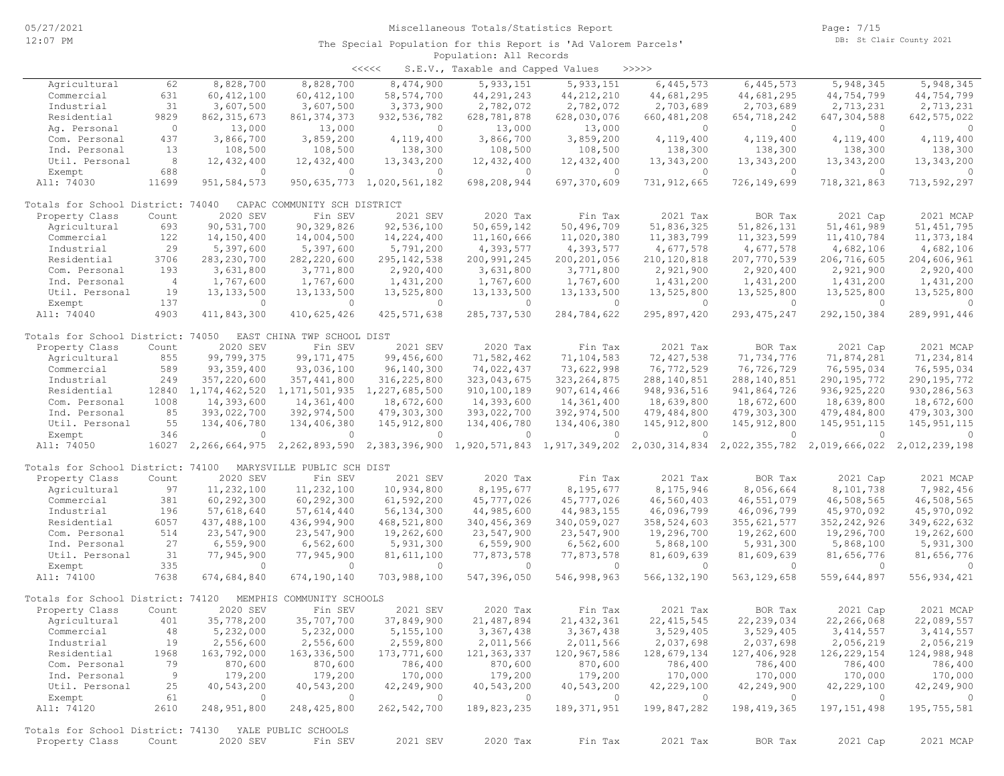|                                                              |                |                        |                              | <<<<                           | S.E.V., Taxable and Capped Values |                                                                                                                 | >>>>>          |                |               |                |
|--------------------------------------------------------------|----------------|------------------------|------------------------------|--------------------------------|-----------------------------------|-----------------------------------------------------------------------------------------------------------------|----------------|----------------|---------------|----------------|
| Agricultural                                                 | 62             | 8,828,700              | 8,828,700                    | 8,474,900                      | 5, 933, 151                       | 5,933,151                                                                                                       | 6,445,573      | 6,445,573      | 5,948,345     | 5,948,345      |
| Commercial                                                   | 631            | 60, 412, 100           | 60, 412, 100                 | 58, 574, 700                   | 44, 291, 243                      | 44, 212, 210                                                                                                    | 44,681,295     | 44,681,295     | 44,754,799    | 44,754,799     |
| Industrial                                                   | 31             | 3,607,500              | 3,607,500                    | 3,373,900                      | 2,782,072                         | 2,782,072                                                                                                       | 2,703,689      | 2,703,689      | 2,713,231     | 2,713,231      |
| Residential                                                  | 9829           | 862, 315, 673          | 861, 374, 373                | 932, 536, 782                  | 628,781,878                       | 628,030,076                                                                                                     | 660, 481, 208  | 654,718,242    | 647, 304, 588 | 642, 575, 022  |
| Ag. Personal                                                 | $\overline{0}$ | 13,000                 | 13,000                       | $\overline{0}$                 | 13,000                            | 13,000                                                                                                          | $\overline{0}$ | $\overline{0}$ | $\circ$       | $\circ$        |
| Com. Personal                                                | 437            | 3,866,700              | 3,859,200                    | 4,119,400                      | 3,866,700                         | 3,859,200                                                                                                       | 4,119,400      | 4,119,400      | 4,119,400     | 4,119,400      |
| Ind. Personal                                                | 13             | 108,500                | 108,500                      | 138,300                        | 108,500                           | 108,500                                                                                                         | 138,300        | 138,300        | 138,300       | 138,300        |
| Util. Personal                                               | 8              | 12,432,400             | 12,432,400                   | 13,343,200                     | 12,432,400                        | 12,432,400                                                                                                      | 13,343,200     | 13,343,200     | 13,343,200    | 13,343,200     |
| Exempt                                                       | 688            | $\circ$                | $\overline{0}$               | $\bigcirc$                     | $\overline{0}$                    | $\circ$                                                                                                         | $\overline{0}$ | $\circ$        | $\circ$       | $\circ$        |
| All: 74030                                                   | 11699          | 951,584,573            |                              | 950, 635, 773 1, 020, 561, 182 | 698,208,944                       | 697,370,609                                                                                                     | 731, 912, 665  | 726,149,699    | 718, 321, 863 | 713,592,297    |
|                                                              |                |                        |                              |                                |                                   |                                                                                                                 |                |                |               |                |
| Totals for School District: 74040                            |                |                        | CAPAC COMMUNITY SCH DISTRICT |                                |                                   |                                                                                                                 |                |                |               |                |
| Property Class                                               | Count          | 2020 SEV               | Fin SEV                      | 2021 SEV                       | 2020 Tax                          | Fin Tax                                                                                                         | 2021 Tax       | BOR Tax        | 2021 Cap      | 2021 MCAP      |
| Agricultural                                                 | 693            | 90,531,700             | 90, 329, 826                 | 92,536,100                     | 50,659,142                        | 50,496,709                                                                                                      | 51,836,325     | 51,826,131     | 51, 461, 989  | 51, 451, 795   |
| Commercial                                                   | 122            | 14,150,400             | 14,004,500                   | 14,224,400                     | 11,160,666                        | 11,020,380                                                                                                      | 11,383,799     | 11,323,599     | 11, 410, 784  | 11, 373, 184   |
| Industrial                                                   | 29             | 5,397,600              | 5,397,600                    | 5,791,200                      | 4,393,577                         | 4,393,577                                                                                                       | 4,677,578      | 4,677,578      | 4,682,106     | 4,682,106      |
| Residential                                                  | 3706           | 283, 230, 700          | 282, 220, 600                | 295, 142, 538                  | 200, 991, 245                     | 200, 201, 056                                                                                                   | 210, 120, 818  | 207,770,539    | 206,716,605   | 204,606,961    |
| Com. Personal                                                | 193            | 3,631,800              | 3,771,800                    | 2,920,400                      | 3,631,800                         | 3,771,800                                                                                                       | 2,921,900      | 2,920,400      | 2,921,900     | 2,920,400      |
| Ind. Personal                                                | $\overline{4}$ | 1,767,600              | 1,767,600                    | 1,431,200                      | 1,767,600                         | 1,767,600                                                                                                       | 1,431,200      | 1,431,200      | 1,431,200     | 1,431,200      |
| Util. Personal                                               | 19             | 13, 133, 500           | 13, 133, 500                 | 13,525,800                     | 13, 133, 500                      | 13, 133, 500                                                                                                    | 13,525,800     | 13,525,800     | 13,525,800    | 13,525,800     |
| Exempt                                                       | 137            | $\overline{0}$         | $\overline{0}$               | $\overline{0}$                 | $\overline{0}$                    | $\circ$                                                                                                         | $\overline{0}$ | $\overline{0}$ | $\circ$       | $\circ$        |
| All: 74040                                                   | 4903           | 411,843,300            | 410,625,426                  | 425, 571, 638                  | 285,737,530                       | 284,784,622                                                                                                     | 295,897,420    | 293, 475, 247  | 292, 150, 384 | 289,991,446    |
| Totals for School District: 74050 EAST CHINA TWP SCHOOL DIST |                |                        |                              |                                |                                   |                                                                                                                 |                |                |               |                |
| Property Class                                               | Count          | 2020 SEV               | Fin SEV                      | 2021 SEV                       | 2020 Tax                          | Fin Tax                                                                                                         | 2021 Tax       | BOR Tax        | 2021 Cap      | 2021 MCAP      |
| Agricultural                                                 | 855            | 99,799,375             | 99, 171, 475                 | 99,456,600                     | 71,582,462                        | 71,104,583                                                                                                      | 72, 427, 538   | 71,734,776     | 71,874,281    | 71,234,814     |
| Commercial                                                   | 589            | 93, 359, 400           | 93,036,100                   | 96,140,300                     | 74,022,437                        | 73,622,998                                                                                                      | 76, 772, 529   | 76,726,729     | 76,595,034    | 76,595,034     |
| Industrial                                                   | 249            | 357,220,600            | 357, 441, 800                | 316,225,800                    | 323,043,675                       | 323, 264, 875                                                                                                   | 288,140,851    | 288, 140, 851  | 290, 195, 772 | 290, 195, 772  |
| Residential                                                  |                | 12840 1, 174, 462, 520 | 1,171,501,935                | 1,227,685,500                  | 910,100,189                       | 907, 614, 466                                                                                                   | 948, 936, 516  | 941,864,726    | 936, 925, 220 | 930, 286, 563  |
| Com. Personal                                                | 1008           | 14,393,600             | 14,361,400                   | 18,672,600                     | 14,393,600                        | 14,361,400                                                                                                      | 18,639,800     | 18,672,600     | 18,639,800    | 18,672,600     |
| Ind. Personal                                                | 85             | 393,022,700            | 392,974,500                  | 479,303,300                    | 393,022,700                       | 392,974,500                                                                                                     | 479,484,800    | 479,303,300    | 479,484,800   | 479, 303, 300  |
| Util. Personal                                               | 55             | 134,406,780            | 134,406,380                  | 145, 912, 800                  | 134,406,780                       | 134,406,380                                                                                                     | 145, 912, 800  | 145, 912, 800  | 145, 951, 115 | 145, 951, 115  |
| Exempt                                                       | 346            | $\Omega$               | $\Omega$                     | $\Omega$                       | $\circ$                           | $\circ$                                                                                                         | $\circ$        | $\circ$        | $\Omega$      | $\Omega$       |
| All: 74050                                                   | 16027          |                        |                              |                                |                                   | 2,266,664,975 2,262,893,590 2,383,396,900 1,920,571,843 1,917,349,202 2,030,314,834 2,022,355,782 2,019,666,022 |                |                |               | 2,012,239,198  |
|                                                              |                |                        |                              |                                |                                   |                                                                                                                 |                |                |               |                |
| Totals for School District: 74100 MARYSVILLE PUBLIC SCH DIST |                |                        |                              |                                |                                   |                                                                                                                 |                |                |               |                |
| Property Class                                               | Count          | 2020 SEV               | Fin SEV                      | 2021 SEV                       | 2020 Tax                          | Fin Tax                                                                                                         | 2021 Tax       | BOR Tax        | 2021 Cap      | 2021 MCAP      |
| Agricultural                                                 | 97             | 11,232,100             | 11,232,100                   | 10,934,800                     | 8,195,677                         | 8,195,677                                                                                                       | 8,175,946      | 8,056,664      | 8,101,738     | 7,982,456      |
| Commercial                                                   | 381            | 60,292,300             | 60,292,300                   | 61,592,200                     | 45,777,026                        | 45,777,026                                                                                                      | 46,560,403     | 46,551,079     | 46,508,565    | 46,508,565     |
| Industrial                                                   | 196            | 57,618,640             | 57,614,440                   | 56, 134, 300                   | 44,985,600                        | 44, 983, 155                                                                                                    | 46,096,799     | 46,096,799     | 45,970,092    | 45,970,092     |
| Residential                                                  | 6057           | 437, 488, 100          | 436,994,900                  | 468,521,800                    | 340, 456, 369                     | 340,059,027                                                                                                     | 358,524,603    | 355,621,577    | 352, 242, 926 | 349,622,632    |
| Com. Personal                                                | 514            | 23,547,900             | 23,547,900                   | 19,262,600                     | 23,547,900                        | 23,547,900                                                                                                      | 19,296,700     | 19,262,600     | 19,296,700    | 19,262,600     |
| Ind. Personal                                                | 27             | 6,559,900              | 6,562,600                    | 5,931,300                      | 6,559,900                         | 6,562,600                                                                                                       | 5,868,100      | 5,931,300      | 5,868,100     | 5,931,300      |
| Util. Personal                                               | 31             | 77,945,900             | 77,945,900                   | 81,611,100                     | 77,873,578                        | 77,873,578                                                                                                      | 81,609,639     | 81,609,639     | 81,656,776    | 81,656,776     |
| Exempt                                                       | 335            | $\circ$                | $\overline{0}$               | $\overline{0}$                 | $\overline{0}$                    | $\overline{0}$                                                                                                  | $\overline{0}$ | $\overline{0}$ | $\circ$       | $\Omega$       |
| All: 74100                                                   | 7638           | 674,684,840            | 674,190,140                  | 703,988,100                    | 547,396,050                       | 546,998,963                                                                                                     | 566, 132, 190  | 563, 129, 658  | 559,644,897   | 556, 934, 421  |
| Totals for School District: 74120                            |                |                        | MEMPHIS COMMUNITY SCHOOLS    |                                |                                   |                                                                                                                 |                |                |               |                |
| Property Class                                               | Count          | 2020 SEV               | Fin SEV                      | 2021 SEV                       | 2020 Tax                          | Fin Tax                                                                                                         | 2021 Tax       | BOR Tax        | 2021 Cap      | 2021 MCAP      |
| Agricultural                                                 | 401            | 35,778,200             | 35,707,700                   | 37,849,900                     | 21, 487, 894                      | 21, 432, 361                                                                                                    | 22, 415, 545   | 22, 239, 034   | 22,266,068    | 22,089,557     |
| Commercial                                                   | 48             | 5,232,000              | 5,232,000                    | 5, 155, 100                    | 3, 367, 438                       | 3, 367, 438                                                                                                     | 3,529,405      | 3,529,405      | 3, 414, 557   | 3, 414, 557    |
| Industrial                                                   | 19             | 2,556,600              | 2,556,600                    | 2,559,800                      | 2,011,566                         | 2,011,566                                                                                                       | 2,037,698      | 2,037,698      | 2,056,219     | 2,056,219      |
| Residential                                                  | 1968           | 163,792,000            | 163,336,500                  | 173,771,600                    | 121, 363, 337                     | 120,967,586                                                                                                     | 128,679,134    | 127,406,928    | 126,229,154   | 124,988,948    |
| Com. Personal                                                | 79             | 870,600                | 870,600                      | 786,400                        | 870,600                           | 870,600                                                                                                         | 786,400        | 786,400        | 786,400       | 786,400        |
| Ind. Personal                                                | 9              | 179,200                | 179,200                      | 170,000                        | 179,200                           | 179,200                                                                                                         | 170,000        | 170,000        | 170,000       | 170,000        |
| Util. Personal                                               | 25             | 40,543,200             | 40,543,200                   | 42,249,900                     | 40,543,200                        | 40,543,200                                                                                                      | 42,229,100     | 42,249,900     | 42, 229, 100  | 42,249,900     |
| Exempt                                                       | 61             | $\circ$                | $\overline{0}$               | $\overline{0}$                 | $\overline{0}$                    | $\overline{0}$                                                                                                  | $\overline{0}$ | $\circ$        | $\circ$       | $\overline{0}$ |
| All: 74120                                                   | 2610           | 248,951,800            | 248, 425, 800                | 262,542,700                    | 189,823,235                       | 189, 371, 951                                                                                                   | 199,847,282    | 198, 419, 365  | 197, 151, 498 | 195,755,581    |
|                                                              |                |                        |                              |                                |                                   |                                                                                                                 |                |                |               |                |
| Totals for School District: 74130 YALE PUBLIC SCHOOLS        |                |                        |                              |                                |                                   |                                                                                                                 |                |                |               |                |
| Property Class                                               | Count          | 2020 SEV               | Fin SEV                      | 2021 SEV                       | 2020 Tax                          | Fin Tax                                                                                                         | 2021 Tax       | BOR Tax        | 2021 Cap      | 2021 MCAP      |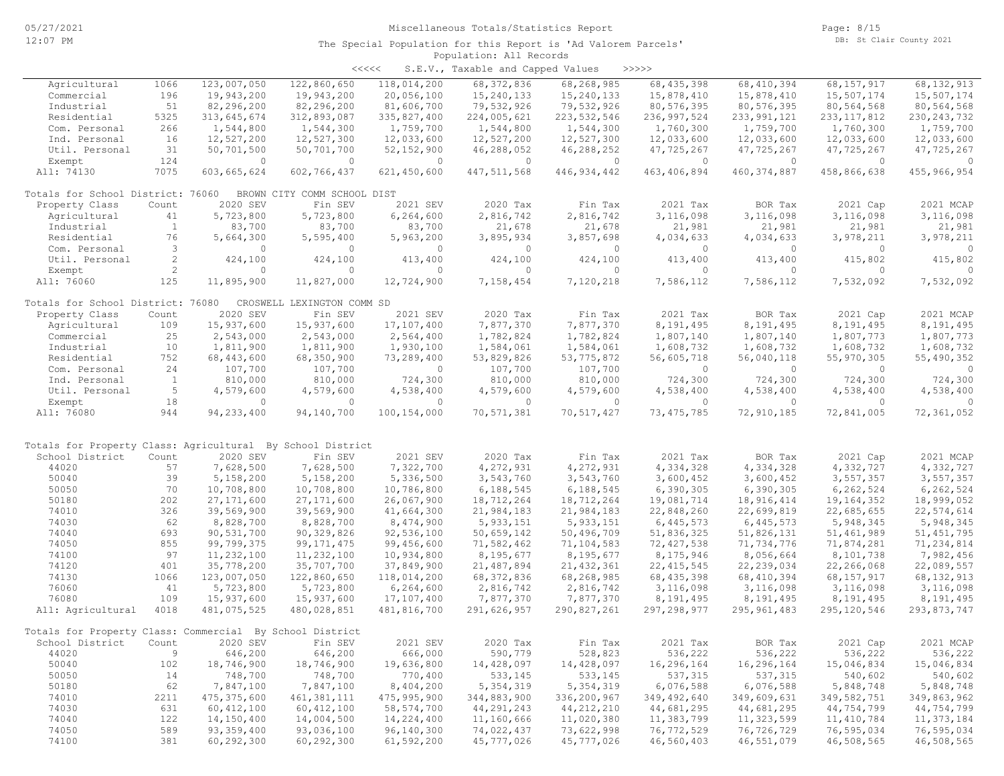| くくくくく | S.E.V., Taxable and Capped Values |  |  |  | >>>>> |
|-------|-----------------------------------|--|--|--|-------|
|-------|-----------------------------------|--|--|--|-------|

| Agricultural                                               | 1066         | 123,007,050   | 122,860,650                 | 118,014,200  | 68, 372, 836  | 68,268,985    | 68, 435, 398  | 68, 410, 394  | 68,157,917    | 68, 132, 913  |
|------------------------------------------------------------|--------------|---------------|-----------------------------|--------------|---------------|---------------|---------------|---------------|---------------|---------------|
| Commercial                                                 | 196          | 19,943,200    | 19,943,200                  | 20,056,100   | 15,240,133    | 15,240,133    | 15,878,410    | 15,878,410    | 15,507,174    | 15,507,174    |
| Industrial                                                 | 51           | 82,296,200    | 82,296,200                  | 81,606,700   | 79,532,926    | 79,532,926    | 80,576,395    | 80,576,395    | 80,564,568    | 80,564,568    |
| Residential                                                | 5325         | 313,645,674   | 312,893,087                 | 335,827,400  | 224,005,621   | 223, 532, 546 | 236, 997, 524 | 233, 991, 121 | 233, 117, 812 | 230, 243, 732 |
| Com. Personal                                              | 266          | 1,544,800     | 1,544,300                   | 1,759,700    | 1,544,800     | 1,544,300     | 1,760,300     | 1,759,700     | 1,760,300     | 1,759,700     |
| Ind. Personal                                              | 16           | 12,527,200    | 12,527,300                  | 12,033,600   | 12,527,200    | 12,527,300    | 12,033,600    | 12,033,600    | 12,033,600    | 12,033,600    |
| Util. Personal                                             | 31           | 50,701,500    | 50,701,700                  | 52, 152, 900 | 46,288,052    | 46,288,252    | 47,725,267    | 47,725,267    | 47,725,267    | 47,725,267    |
| Exempt                                                     | 124          | $\Omega$      | $\Omega$                    | $\circ$      | $\Omega$      | $\circ$       | $\mathbf{0}$  | $\circ$       | $\Omega$      | $\circ$       |
| All: 74130                                                 | 7075         | 603,665,624   | 602,766,437                 | 621,450,600  | 447, 511, 568 | 446, 934, 442 | 463, 406, 894 | 460, 374, 887 | 458,866,638   | 455, 966, 954 |
|                                                            |              |               |                             |              |               |               |               |               |               |               |
| Totals for School District: 76060                          |              |               | BROWN CITY COMM SCHOOL DIST |              |               |               |               |               |               |               |
| Property Class                                             | Count        | 2020 SEV      | Fin SEV                     | 2021 SEV     | 2020 Tax      | Fin Tax       | 2021 Tax      | BOR Tax       | 2021 Cap      | 2021 MCAP     |
| Agricultural                                               | 41           | 5,723,800     | 5,723,800                   | 6,264,600    | 2,816,742     | 2,816,742     | 3,116,098     | 3,116,098     | 3,116,098     | 3,116,098     |
| Industrial                                                 | $\mathbf{1}$ | 83,700        | 83,700                      | 83,700       | 21,678        | 21,678        | 21,981        | 21,981        | 21,981        | 21,981        |
| Residential                                                | 76           | 5,664,300     | 5,595,400                   | 5,963,200    | 3,895,934     | 3,857,698     | 4,034,633     | 4,034,633     | 3,978,211     | 3,978,211     |
| Com. Personal                                              | 3            | $\circ$       | $\circ$                     | $\circ$      | $\circ$       | $\circ$       | $\mathbf{0}$  | $\circ$       | 0             | $\circ$       |
|                                                            | 2            |               |                             |              |               |               |               |               |               |               |
| Util. Personal                                             |              | 424,100       | 424,100                     | 413,400      | 424,100       | 424,100       | 413,400       | 413,400       | 415,802       | 415,802       |
| Exempt                                                     | 2            | $\circ$       | $\circ$                     | $\circ$      | $\circ$       | $\circ$       | 0             | $\circ$       | $\mathbf{0}$  | $\Omega$      |
| All: 76060                                                 | 125          | 11,895,900    | 11,827,000                  | 12,724,900   | 7,158,454     | 7,120,218     | 7,586,112     | 7,586,112     | 7,532,092     | 7,532,092     |
| Totals for School District: 76080                          |              |               | CROSWELL LEXINGTON COMM SD  |              |               |               |               |               |               |               |
|                                                            |              | 2020 SEV      | Fin SEV                     | 2021 SEV     | 2020 Tax      | Fin Tax       | 2021 Tax      | BOR Tax       |               | 2021 MCAP     |
| Property Class                                             | Count        |               |                             |              |               |               |               |               | 2021 Cap      |               |
| Agricultural                                               | 109          | 15,937,600    | 15,937,600                  | 17,107,400   | 7,877,370     | 7,877,370     | 8,191,495     | 8,191,495     | 8,191,495     | 8,191,495     |
| Commercial                                                 | 25           | 2,543,000     | 2,543,000                   | 2,564,400    | 1,782,824     | 1,782,824     | 1,807,140     | 1,807,140     | 1,807,773     | 1,807,773     |
| Industrial                                                 | 10           | 1,811,900     | 1,811,900                   | 1,930,100    | 1,584,061     | 1,584,061     | 1,608,732     | 1,608,732     | 1,608,732     | 1,608,732     |
| Residential                                                | 752          | 68,443,600    | 68,350,900                  | 73,289,400   | 53,829,826    | 53, 775, 872  | 56,605,718    | 56,040,118    | 55,970,305    | 55,490,352    |
| Com. Personal                                              | 24           | 107,700       | 107,700                     | $\circ$      | 107,700       | 107,700       | $\mathbf{0}$  | $\circ$       | $\circ$       | $\Omega$      |
| Ind. Personal                                              | $\mathbf{1}$ | 810,000       | 810,000                     | 724,300      | 810,000       | 810,000       | 724,300       | 724,300       | 724,300       | 724,300       |
| Util. Personal                                             | 5            | 4,579,600     | 4,579,600                   | 4,538,400    | 4,579,600     | 4,579,600     | 4,538,400     | 4,538,400     | 4,538,400     | 4,538,400     |
| Exempt                                                     | 18           | $\circ$       | $\Omega$                    | $\circ$      | $\circ$       | $\circ$       | $\mathbf{0}$  | $\circ$       | $\mathbf{0}$  | $\cap$        |
| All: 76080                                                 | 944          | 94, 233, 400  | 94,140,700                  | 100,154,000  | 70,571,381    | 70,517,427    | 73, 475, 785  | 72,910,185    | 72,841,005    | 72,361,052    |
|                                                            |              |               |                             |              |               |               |               |               |               |               |
|                                                            |              |               |                             |              |               |               |               |               |               |               |
| Totals for Property Class: Agricultural By School District |              |               |                             |              |               |               |               |               |               |               |
| School District                                            | Count        | 2020 SEV      | Fin SEV                     | 2021 SEV     | 2020 Tax      | Fin Tax       | 2021 Tax      | BOR Tax       | 2021 Cap      | 2021 MCAP     |
| 44020                                                      | 57           | 7,628,500     | 7,628,500                   | 7,322,700    | 4,272,931     | 4,272,931     | 4,334,328     | 4,334,328     | 4,332,727     | 4,332,727     |
| 50040                                                      | 39           | 5,158,200     | 5,158,200                   | 5,336,500    | 3,543,760     | 3,543,760     | 3,600,452     | 3,600,452     | 3,557,357     | 3,557,357     |
| 50050                                                      | 70           | 10,708,800    | 10,708,800                  | 10,786,800   | 6,188,545     | 6,188,545     | 6,390,305     | 6,390,305     | 6,262,524     | 6,262,524     |
| 50180                                                      | 202          | 27, 171, 600  | 27, 171, 600                | 26,067,900   | 18,712,264    | 18,712,264    | 19,081,714    | 18,916,414    | 19,164,352    | 18,999,052    |
| 74010                                                      | 326          | 39,569,900    | 39,569,900                  | 41,664,300   | 21,984,183    | 21,984,183    | 22,848,260    | 22,699,819    | 22,685,655    | 22,574,614    |
| 74030                                                      | 62           | 8,828,700     | 8,828,700                   | 8,474,900    | 5, 933, 151   | 5, 933, 151   | 6,445,573     | 6,445,573     | 5,948,345     | 5,948,345     |
| 74040                                                      | 693          | 90,531,700    | 90,329,826                  | 92,536,100   | 50,659,142    | 50,496,709    | 51,836,325    | 51,826,131    | 51, 461, 989  | 51, 451, 795  |
| 74050                                                      | 855          | 99,799,375    | 99, 171, 475                | 99,456,600   | 71,582,462    | 71,104,583    | 72, 427, 538  | 71,734,776    | 71,874,281    | 71,234,814    |
| 74100                                                      | 97           | 11,232,100    | 11,232,100                  | 10,934,800   | 8,195,677     | 8,195,677     | 8,175,946     | 8,056,664     | 8,101,738     | 7,982,456     |
| 74120                                                      | 401          | 35,778,200    | 35,707,700                  | 37,849,900   | 21,487,894    | 21, 432, 361  | 22, 415, 545  | 22, 239, 034  | 22,266,068    | 22,089,557    |
| 74130                                                      | 1066         | 123,007,050   | 122,860,650                 | 118,014,200  | 68, 372, 836  | 68,268,985    |               | 68, 410, 394  |               | 68, 132, 913  |
|                                                            |              |               |                             |              |               |               | 68, 435, 398  |               | 68,157,917    |               |
| 76060                                                      | 41           | 5,723,800     | 5,723,800                   | 6, 264, 600  | 2,816,742     | 2,816,742     | 3,116,098     | 3,116,098     | 3,116,098     | 3,116,098     |
| 76080                                                      | 109          | 15,937,600    | 15,937,600                  | 17,107,400   | 7,877,370     | 7,877,370     | 8,191,495     | 8,191,495     | 8,191,495     | 8,191,495     |
| All: Agricultural                                          | 4018         | 481,075,525   | 480,028,851                 | 481,816,700  | 291,626,957   | 290,827,261   | 297, 298, 977 | 295,961,483   | 295, 120, 546 | 293,873,747   |
|                                                            |              |               |                             |              |               |               |               |               |               |               |
| Totals for Property Class: Commercial By School District   |              |               |                             |              |               |               |               |               |               |               |
| School District                                            | Count        | 2020 SEV      | Fin SEV                     | 2021 SEV     | 2020 Tax      | Fin Tax       | 2021 Tax      | BOR Tax       | 2021 Cap      | 2021 MCAP     |
| 44020                                                      | 9            | 646,200       | 646,200                     | 666,000      | 590,779       | 528,823       | 536,222       | 536,222       | 536,222       | 536,222       |
| 50040                                                      | 102          | 18,746,900    | 18,746,900                  | 19,636,800   | 14,428,097    | 14,428,097    | 16,296,164    | 16,296,164    | 15,046,834    | 15,046,834    |
| 50050                                                      | 14           | 748,700       | 748,700                     | 770,400      | 533,145       | 533,145       | 537, 315      | 537,315       | 540,602       | 540,602       |
| 50180                                                      | 62           | 7,847,100     | 7,847,100                   | 8,404,200    | 5, 354, 319   | 5,354,319     | 6,076,588     | 6,076,588     | 5,848,748     | 5,848,748     |
| 74010                                                      | 2211         | 475, 375, 600 | 461, 381, 111               | 475,995,900  | 344,883,900   | 336,200,967   | 349,492,640   | 349,609,631   | 349,582,751   | 349,863,962   |
| 74030                                                      | 631          | 60, 412, 100  | 60, 412, 100                | 58, 574, 700 | 44, 291, 243  | 44, 212, 210  | 44,681,295    | 44,681,295    | 44,754,799    | 44,754,799    |
| 74040                                                      | 122          | 14,150,400    | 14,004,500                  | 14,224,400   | 11,160,666    | 11,020,380    | 11,383,799    | 11,323,599    | 11,410,784    | 11,373,184    |
| 74050                                                      | 589          | 93, 359, 400  | 93,036,100                  | 96,140,300   | 74,022,437    | 73,622,998    | 76,772,529    | 76,726,729    | 76,595,034    | 76,595,034    |
| 74100                                                      | 381          | 60,292,300    | 60,292,300                  | 61,592,200   | 45,777,026    | 45,777,026    | 46,560,403    | 46,551,079    | 46,508,565    | 46,508,565    |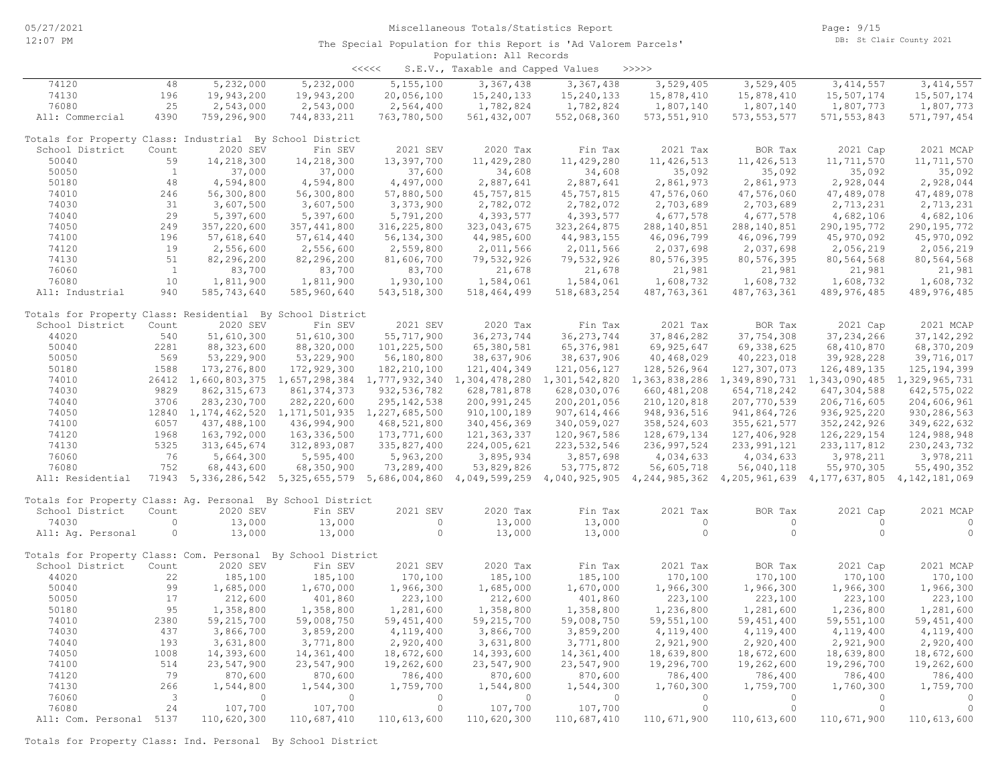<<<<< S.E.V., Taxable and Capped Values >>>>>

| 5,232,000<br>5,232,000<br>5, 155, 100<br>3, 367, 438<br>3, 367, 438<br>3,529,405<br>3,529,405<br>3, 414, 557<br>3, 414, 557<br>74120<br>48<br>74130<br>196<br>20,056,100<br>15,240,133<br>15, 240, 133<br>15,878,410<br>15,507,174<br>15,507,174<br>19,943,200<br>19,943,200<br>15,878,410<br>76080<br>25<br>2,543,000<br>2,543,000<br>2,564,400<br>1,782,824<br>1,807,140<br>1,807,773<br>1,807,773<br>1,782,824<br>1,807,140<br>All: Commercial<br>4390<br>759,296,900<br>744,833,211<br>763,780,500<br>561, 432, 007<br>552,068,360<br>573, 551, 910<br>573, 553, 577<br>571, 553, 843<br>571,797,454<br>Totals for Property Class: Industrial By School District<br>School District<br>2020 SEV<br>Fin SEV<br>2021 SEV<br>2020 Tax<br>Fin Tax<br>2021 Tax<br>BOR Tax<br>2021 Cap<br>2021 MCAP<br>Count<br>50040<br>59<br>14,218,300<br>14,218,300<br>13,397,700<br>11,429,280<br>11,429,280<br>11, 426, 513<br>11, 426, 513<br>11,711,570<br>11,711,570<br>50050<br>$\mathbf{1}$<br>37,000<br>37,000<br>37,600<br>34,608<br>34,608<br>35,092<br>35,092<br>35,092<br>35,092<br>48<br>50180<br>4,594,800<br>4,594,800<br>4,497,000<br>2,887,641<br>2,887,641<br>2,861,973<br>2,861,973<br>2,928,044<br>2,928,044<br>74010<br>246<br>56,300,800<br>56,300,800<br>57,880,500<br>45,757,815<br>45, 757, 815<br>47,576,060<br>47,576,060<br>47,489,078<br>47,489,078<br>74030<br>31<br>2,782,072<br>2,782,072<br>3,607,500<br>3,607,500<br>3,373,900<br>2,703,689<br>2,703,689<br>2,713,231<br>2,713,231<br>74040<br>29<br>5,397,600<br>5,397,600<br>5,791,200<br>4,393,577<br>4,393,577<br>4,677,578<br>4,677,578<br>4,682,106<br>4,682,106<br>74050<br>249<br>357,220,600<br>290, 195, 772<br>357, 441, 800<br>316, 225, 800<br>323,043,675<br>323, 264, 875<br>288, 140, 851<br>288, 140, 851<br>290, 195, 772<br>74100<br>56, 134, 300<br>44, 983, 155<br>46,096,799<br>46,096,799<br>45,970,092<br>45,970,092<br>196<br>57,618,640<br>57,614,440<br>44,985,600<br>19<br>74120<br>2,556,600<br>2,011,566<br>2,011,566<br>2,037,698<br>2,037,698<br>2,056,219<br>2,556,600<br>2,559,800<br>2,056,219<br>74130<br>51<br>82,296,200<br>82,296,200<br>81,606,700<br>79,532,926<br>79,532,926<br>80, 576, 395<br>80,576,395<br>80,564,568<br>80,564,568<br>76060<br>$\overline{1}$<br>83,700<br>83,700<br>83,700<br>21,678<br>21,678<br>21,981<br>21,981<br>21,981<br>21,981<br>76080<br>10<br>1,811,900<br>1,811,900<br>1,930,100<br>1,584,061<br>1,584,061<br>1,608,732<br>1,608,732<br>1,608,732<br>1,608,732<br>All: Industrial<br>940<br>585,743,640<br>489, 976, 485<br>585,960,640<br>543, 518, 300<br>518,464,499<br>518,683,254<br>487, 763, 361<br>487, 763, 361<br>489, 976, 485<br>Totals for Property Class: Residential By School District<br>2021 SEV<br>School District<br>2020 SEV<br>Fin SEV<br>2020 Tax<br>Fin Tax<br>2021 Tax<br>BOR Tax<br>2021 Cap<br>2021 MCAP<br>Count<br>55,717,900<br>36, 273, 744<br>37,754,308<br>37, 142, 292<br>44020<br>540<br>51,610,300<br>51,610,300<br>36, 273, 744<br>37,846,282<br>37, 234, 266<br>50040<br>2281<br>88, 323, 600<br>88,320,000<br>101,225,500<br>65,380,581<br>65, 376, 981<br>69, 925, 647<br>69,338,625<br>68, 410, 870<br>68,370,209<br>50050<br>569<br>53,229,900<br>53,229,900<br>56,180,800<br>38,637,906<br>38,637,906<br>40,468,029<br>40,223,018<br>39,928,228<br>39,716,017<br>50180<br>1588<br>173, 276, 800<br>172,929,300<br>182, 210, 100<br>121, 404, 349<br>121,056,127<br>128,526,964<br>126, 489, 135<br>125, 194, 399<br>127,307,073<br>74010<br>26412 1,660,803,375 1,657,298,384 1,777,932,340<br>1,304,478,280 1,301,542,820<br>1, 363, 838, 286 1, 349, 890, 731 1, 343, 090, 485 1, 329, 965, 731<br>9829<br>74030<br>861, 374, 373<br>647, 304, 588<br>862, 315, 673<br>932, 536, 782<br>628,781,878<br>628,030,076<br>660, 481, 208<br>654,718,242<br>642, 575, 022<br>74040<br>3706<br>283, 230, 700<br>282, 220, 600<br>295, 142, 538<br>200,991,245<br>200, 201, 056<br>210, 120, 818<br>207,770,539<br>206,716,605<br>204,606,961<br>74050<br>936, 925, 220<br>12840 1, 174, 462, 520 1, 171, 501, 935 1, 227, 685, 500<br>910,100,189<br>907, 614, 466<br>948, 936, 516<br>941,864,726<br>930, 286, 563<br>74100<br>6057<br>437,488,100<br>436,994,900<br>468,521,800<br>340, 456, 369<br>340,059,027<br>358,524,603<br>355, 621, 577<br>352, 242, 926<br>349,622,632<br>126, 229, 154<br>74120<br>1968<br>163,792,000<br>163, 336, 500<br>173,771,600<br>121, 363, 337<br>120,967,586<br>128,679,134<br>127,406,928<br>124,988,948<br>74130<br>5325<br>313,645,674<br>312,893,087<br>335,827,400<br>224,005,621<br>223, 532, 546<br>236,997,524<br>233, 991, 121<br>233, 117, 812<br>230, 243, 732<br>76<br>76060<br>5,664,300<br>5,595,400<br>5,963,200<br>3,895,934<br>3,857,698<br>4,034,633<br>4,034,633<br>3,978,211<br>3,978,211<br>76080<br>752<br>68, 443, 600<br>68,350,900<br>73,289,400<br>53,829,826<br>53, 775, 872<br>56,605,718<br>56,040,118<br>55,970,305<br>55,490,352<br>71943 5,336,286,542 5,325,655,579 5,686,004,860 4,049,599,259 4,040,925,905 4,244,985,362 4,205,961,639 4,177,637,805 4,142,181,069<br>All: Residential<br>Totals for Property Class: Aq. Personal By School District<br>2020 SEV<br>2021 SEV<br>2020 Tax<br>Fin Tax<br>2021 Tax<br>BOR Tax<br>2021 Cap<br>2021 MCAP<br>School District<br>Count<br>Fin SEV<br>74030<br>13,000<br>13,000<br>13,000<br>13,000<br>$\circ$<br>$\circ$<br>$\circ$<br>$\circ$<br>$\circ$<br>$\circ$<br>$\circ$<br>13,000<br>$\circ$<br>$\circ$<br>$\circ$<br>$\circ$<br>All: Aq. Personal<br>$\circ$<br>13,000<br>13,000<br>13,000<br>Totals for Property Class: Com. Personal By School District<br>School District<br>2020 SEV<br>Fin SEV<br>2021 SEV<br>2020 Tax<br>2021 Tax<br>BOR Tax<br>2021 MCAP<br>Count<br>Fin Tax<br>2021 Cap<br>170,100<br>185,100<br>170,100<br>44020<br>22<br>185,100<br>185,100<br>185,100<br>170,100<br>170,100<br>170,100<br>50040<br>99<br>1,670,000<br>1,685,000<br>1,670,000<br>1,966,300<br>1,966,300<br>1,966,300<br>1,966,300<br>1,685,000<br>1,966,300<br>50050<br>17<br>212,600<br>401,860<br>223,100<br>212,600<br>401,860<br>223,100<br>223,100<br>223,100<br>223,100<br>50180<br>95<br>1,281,600<br>1,358,800<br>1,358,800<br>1,281,600<br>1,358,800<br>1,358,800<br>1,236,800<br>1,281,600<br>1,236,800<br>74010<br>2380<br>59, 451, 400<br>59, 215, 700<br>59,008,750<br>59, 451, 400<br>59, 215, 700<br>59,008,750<br>59, 551, 100<br>59, 451, 400<br>59, 551, 100<br>74030<br>437<br>3,866,700<br>3,859,200<br>4,119,400<br>3,866,700<br>3,859,200<br>4,119,400<br>4,119,400<br>4,119,400<br>4,119,400<br>193<br>3,771,800<br>2,920,400<br>74040<br>3,631,800<br>2,920,400<br>3,631,800<br>3,771,800<br>2,921,900<br>2,920,400<br>2,921,900<br>74050<br>1008<br>14,361,400<br>18,672,600<br>14,393,600<br>18,672,600<br>14,393,600<br>14,361,400<br>18,639,800<br>18,672,600<br>18,639,800<br>74100<br>514<br>23,547,900<br>19,262,600<br>19,296,700<br>19,296,700<br>19,262,600<br>23,547,900<br>23,547,900<br>23,547,900<br>19,262,600<br>79<br>74120<br>870,600<br>870,600<br>786,400<br>870,600<br>870,600<br>786,400<br>786,400<br>786,400<br>786,400<br>74130<br>266<br>1,544,800<br>1,544,300<br>1,759,700<br>1,544,800<br>1,544,300<br>1,760,300<br>1,759,700<br>1,760,300<br>1,759,700<br>76060<br>$\overline{\phantom{a}}$<br>$\Omega$<br>$\circ$<br>$\Omega$<br>$\circ$<br>$\circ$<br>$\Omega$<br>$\overline{0}$<br>$\Omega$<br>$\circ$<br>24<br>$\circ$<br>76080<br>107,700<br>107,700<br>$\circ$<br>107,700<br>107,700<br>$\circ$<br>$\Omega$<br>$\circ$<br>All: Com. Personal 5137<br>110,620,300<br>110,687,410<br>110,613,600<br>110,620,300<br>110,687,410<br>110,671,900<br>110,613,600<br>110,671,900<br>110,613,600 |  |  |  |  |  |  |
|-----------------------------------------------------------------------------------------------------------------------------------------------------------------------------------------------------------------------------------------------------------------------------------------------------------------------------------------------------------------------------------------------------------------------------------------------------------------------------------------------------------------------------------------------------------------------------------------------------------------------------------------------------------------------------------------------------------------------------------------------------------------------------------------------------------------------------------------------------------------------------------------------------------------------------------------------------------------------------------------------------------------------------------------------------------------------------------------------------------------------------------------------------------------------------------------------------------------------------------------------------------------------------------------------------------------------------------------------------------------------------------------------------------------------------------------------------------------------------------------------------------------------------------------------------------------------------------------------------------------------------------------------------------------------------------------------------------------------------------------------------------------------------------------------------------------------------------------------------------------------------------------------------------------------------------------------------------------------------------------------------------------------------------------------------------------------------------------------------------------------------------------------------------------------------------------------------------------------------------------------------------------------------------------------------------------------------------------------------------------------------------------------------------------------------------------------------------------------------------------------------------------------------------------------------------------------------------------------------------------------------------------------------------------------------------------------------------------------------------------------------------------------------------------------------------------------------------------------------------------------------------------------------------------------------------------------------------------------------------------------------------------------------------------------------------------------------------------------------------------------------------------------------------------------------------------------------------------------------------------------------------------------------------------------------------------------------------------------------------------------------------------------------------------------------------------------------------------------------------------------------------------------------------------------------------------------------------------------------------------------------------------------------------------------------------------------------------------------------------------------------------------------------------------------------------------------------------------------------------------------------------------------------------------------------------------------------------------------------------------------------------------------------------------------------------------------------------------------------------------------------------------------------------------------------------------------------------------------------------------------------------------------------------------------------------------------------------------------------------------------------------------------------------------------------------------------------------------------------------------------------------------------------------------------------------------------------------------------------------------------------------------------------------------------------------------------------------------------------------------------------------------------------------------------------------------------------------------------------------------------------------------------------------------------------------------------------------------------------------------------------------------------------------------------------------------------------------------------------------------------------------------------------------------------------------------------------------------------------------------------------------------------------------------------------------------------------------------------------------------------------------------------------------------------------------------------------------------------------------------------------------------------------------------------------------------------------------------------------------------------------------------------------------------------------------------------------------------------------------------------------------------------------------------------------------------------------------------------------------------------------------------------------------------------------------------------------------------------------------------------------------------------------------------------------------------------------------------------------------------------------------------------------------------------------------------------------------------------------------------------------------------------------------------------------------------------------------------------------------------------------------------------------------------------------------------------------------------------------------------------------------------------------------------------------------------------------------------------------------------------------------------------------------------------------------------------------------------------------------------------------------------------------------------------------------------------------------------------------------------------------------------------------------------------------------------------------------------------------------------------------------------------------------------------------------------------------------------------------------------------------------------------------------------------------------------------------------------------------------------------------------------------------------------------------------------------------------------------------------------------------------------------------------------------------------------------------------------------------------------------------------------------------------------------------------------------------------------------------------------------------------------------------------------------------------------------------------------------------------------------------------------|--|--|--|--|--|--|
|                                                                                                                                                                                                                                                                                                                                                                                                                                                                                                                                                                                                                                                                                                                                                                                                                                                                                                                                                                                                                                                                                                                                                                                                                                                                                                                                                                                                                                                                                                                                                                                                                                                                                                                                                                                                                                                                                                                                                                                                                                                                                                                                                                                                                                                                                                                                                                                                                                                                                                                                                                                                                                                                                                                                                                                                                                                                                                                                                                                                                                                                                                                                                                                                                                                                                                                                                                                                                                                                                                                                                                                                                                                                                                                                                                                                                                                                                                                                                                                                                                                                                                                                                                                                                                                                                                                                                                                                                                                                                                                                                                                                                                                                                                                                                                                                                                                                                                                                                                                                                                                                                                                                                                                                                                                                                                                                                                                                                                                                                                                                                                                                                                                                                                                                                                                                                                                                                                                                                                                                                                                                                                                                                                                                                                                                                                                                                                                                                                                                                                                                                                                                                                                                                                                                                                                                                                                                                                                                                                                                                                                                                                                                                                                                                                                                                                                                                                                                                                                                                                                                                                                                                                                                                                                                                                 |  |  |  |  |  |  |
|                                                                                                                                                                                                                                                                                                                                                                                                                                                                                                                                                                                                                                                                                                                                                                                                                                                                                                                                                                                                                                                                                                                                                                                                                                                                                                                                                                                                                                                                                                                                                                                                                                                                                                                                                                                                                                                                                                                                                                                                                                                                                                                                                                                                                                                                                                                                                                                                                                                                                                                                                                                                                                                                                                                                                                                                                                                                                                                                                                                                                                                                                                                                                                                                                                                                                                                                                                                                                                                                                                                                                                                                                                                                                                                                                                                                                                                                                                                                                                                                                                                                                                                                                                                                                                                                                                                                                                                                                                                                                                                                                                                                                                                                                                                                                                                                                                                                                                                                                                                                                                                                                                                                                                                                                                                                                                                                                                                                                                                                                                                                                                                                                                                                                                                                                                                                                                                                                                                                                                                                                                                                                                                                                                                                                                                                                                                                                                                                                                                                                                                                                                                                                                                                                                                                                                                                                                                                                                                                                                                                                                                                                                                                                                                                                                                                                                                                                                                                                                                                                                                                                                                                                                                                                                                                                                 |  |  |  |  |  |  |
|                                                                                                                                                                                                                                                                                                                                                                                                                                                                                                                                                                                                                                                                                                                                                                                                                                                                                                                                                                                                                                                                                                                                                                                                                                                                                                                                                                                                                                                                                                                                                                                                                                                                                                                                                                                                                                                                                                                                                                                                                                                                                                                                                                                                                                                                                                                                                                                                                                                                                                                                                                                                                                                                                                                                                                                                                                                                                                                                                                                                                                                                                                                                                                                                                                                                                                                                                                                                                                                                                                                                                                                                                                                                                                                                                                                                                                                                                                                                                                                                                                                                                                                                                                                                                                                                                                                                                                                                                                                                                                                                                                                                                                                                                                                                                                                                                                                                                                                                                                                                                                                                                                                                                                                                                                                                                                                                                                                                                                                                                                                                                                                                                                                                                                                                                                                                                                                                                                                                                                                                                                                                                                                                                                                                                                                                                                                                                                                                                                                                                                                                                                                                                                                                                                                                                                                                                                                                                                                                                                                                                                                                                                                                                                                                                                                                                                                                                                                                                                                                                                                                                                                                                                                                                                                                                                 |  |  |  |  |  |  |
|                                                                                                                                                                                                                                                                                                                                                                                                                                                                                                                                                                                                                                                                                                                                                                                                                                                                                                                                                                                                                                                                                                                                                                                                                                                                                                                                                                                                                                                                                                                                                                                                                                                                                                                                                                                                                                                                                                                                                                                                                                                                                                                                                                                                                                                                                                                                                                                                                                                                                                                                                                                                                                                                                                                                                                                                                                                                                                                                                                                                                                                                                                                                                                                                                                                                                                                                                                                                                                                                                                                                                                                                                                                                                                                                                                                                                                                                                                                                                                                                                                                                                                                                                                                                                                                                                                                                                                                                                                                                                                                                                                                                                                                                                                                                                                                                                                                                                                                                                                                                                                                                                                                                                                                                                                                                                                                                                                                                                                                                                                                                                                                                                                                                                                                                                                                                                                                                                                                                                                                                                                                                                                                                                                                                                                                                                                                                                                                                                                                                                                                                                                                                                                                                                                                                                                                                                                                                                                                                                                                                                                                                                                                                                                                                                                                                                                                                                                                                                                                                                                                                                                                                                                                                                                                                                                 |  |  |  |  |  |  |
|                                                                                                                                                                                                                                                                                                                                                                                                                                                                                                                                                                                                                                                                                                                                                                                                                                                                                                                                                                                                                                                                                                                                                                                                                                                                                                                                                                                                                                                                                                                                                                                                                                                                                                                                                                                                                                                                                                                                                                                                                                                                                                                                                                                                                                                                                                                                                                                                                                                                                                                                                                                                                                                                                                                                                                                                                                                                                                                                                                                                                                                                                                                                                                                                                                                                                                                                                                                                                                                                                                                                                                                                                                                                                                                                                                                                                                                                                                                                                                                                                                                                                                                                                                                                                                                                                                                                                                                                                                                                                                                                                                                                                                                                                                                                                                                                                                                                                                                                                                                                                                                                                                                                                                                                                                                                                                                                                                                                                                                                                                                                                                                                                                                                                                                                                                                                                                                                                                                                                                                                                                                                                                                                                                                                                                                                                                                                                                                                                                                                                                                                                                                                                                                                                                                                                                                                                                                                                                                                                                                                                                                                                                                                                                                                                                                                                                                                                                                                                                                                                                                                                                                                                                                                                                                                                                 |  |  |  |  |  |  |
|                                                                                                                                                                                                                                                                                                                                                                                                                                                                                                                                                                                                                                                                                                                                                                                                                                                                                                                                                                                                                                                                                                                                                                                                                                                                                                                                                                                                                                                                                                                                                                                                                                                                                                                                                                                                                                                                                                                                                                                                                                                                                                                                                                                                                                                                                                                                                                                                                                                                                                                                                                                                                                                                                                                                                                                                                                                                                                                                                                                                                                                                                                                                                                                                                                                                                                                                                                                                                                                                                                                                                                                                                                                                                                                                                                                                                                                                                                                                                                                                                                                                                                                                                                                                                                                                                                                                                                                                                                                                                                                                                                                                                                                                                                                                                                                                                                                                                                                                                                                                                                                                                                                                                                                                                                                                                                                                                                                                                                                                                                                                                                                                                                                                                                                                                                                                                                                                                                                                                                                                                                                                                                                                                                                                                                                                                                                                                                                                                                                                                                                                                                                                                                                                                                                                                                                                                                                                                                                                                                                                                                                                                                                                                                                                                                                                                                                                                                                                                                                                                                                                                                                                                                                                                                                                                                 |  |  |  |  |  |  |
|                                                                                                                                                                                                                                                                                                                                                                                                                                                                                                                                                                                                                                                                                                                                                                                                                                                                                                                                                                                                                                                                                                                                                                                                                                                                                                                                                                                                                                                                                                                                                                                                                                                                                                                                                                                                                                                                                                                                                                                                                                                                                                                                                                                                                                                                                                                                                                                                                                                                                                                                                                                                                                                                                                                                                                                                                                                                                                                                                                                                                                                                                                                                                                                                                                                                                                                                                                                                                                                                                                                                                                                                                                                                                                                                                                                                                                                                                                                                                                                                                                                                                                                                                                                                                                                                                                                                                                                                                                                                                                                                                                                                                                                                                                                                                                                                                                                                                                                                                                                                                                                                                                                                                                                                                                                                                                                                                                                                                                                                                                                                                                                                                                                                                                                                                                                                                                                                                                                                                                                                                                                                                                                                                                                                                                                                                                                                                                                                                                                                                                                                                                                                                                                                                                                                                                                                                                                                                                                                                                                                                                                                                                                                                                                                                                                                                                                                                                                                                                                                                                                                                                                                                                                                                                                                                                 |  |  |  |  |  |  |
|                                                                                                                                                                                                                                                                                                                                                                                                                                                                                                                                                                                                                                                                                                                                                                                                                                                                                                                                                                                                                                                                                                                                                                                                                                                                                                                                                                                                                                                                                                                                                                                                                                                                                                                                                                                                                                                                                                                                                                                                                                                                                                                                                                                                                                                                                                                                                                                                                                                                                                                                                                                                                                                                                                                                                                                                                                                                                                                                                                                                                                                                                                                                                                                                                                                                                                                                                                                                                                                                                                                                                                                                                                                                                                                                                                                                                                                                                                                                                                                                                                                                                                                                                                                                                                                                                                                                                                                                                                                                                                                                                                                                                                                                                                                                                                                                                                                                                                                                                                                                                                                                                                                                                                                                                                                                                                                                                                                                                                                                                                                                                                                                                                                                                                                                                                                                                                                                                                                                                                                                                                                                                                                                                                                                                                                                                                                                                                                                                                                                                                                                                                                                                                                                                                                                                                                                                                                                                                                                                                                                                                                                                                                                                                                                                                                                                                                                                                                                                                                                                                                                                                                                                                                                                                                                                                 |  |  |  |  |  |  |
|                                                                                                                                                                                                                                                                                                                                                                                                                                                                                                                                                                                                                                                                                                                                                                                                                                                                                                                                                                                                                                                                                                                                                                                                                                                                                                                                                                                                                                                                                                                                                                                                                                                                                                                                                                                                                                                                                                                                                                                                                                                                                                                                                                                                                                                                                                                                                                                                                                                                                                                                                                                                                                                                                                                                                                                                                                                                                                                                                                                                                                                                                                                                                                                                                                                                                                                                                                                                                                                                                                                                                                                                                                                                                                                                                                                                                                                                                                                                                                                                                                                                                                                                                                                                                                                                                                                                                                                                                                                                                                                                                                                                                                                                                                                                                                                                                                                                                                                                                                                                                                                                                                                                                                                                                                                                                                                                                                                                                                                                                                                                                                                                                                                                                                                                                                                                                                                                                                                                                                                                                                                                                                                                                                                                                                                                                                                                                                                                                                                                                                                                                                                                                                                                                                                                                                                                                                                                                                                                                                                                                                                                                                                                                                                                                                                                                                                                                                                                                                                                                                                                                                                                                                                                                                                                                                 |  |  |  |  |  |  |
|                                                                                                                                                                                                                                                                                                                                                                                                                                                                                                                                                                                                                                                                                                                                                                                                                                                                                                                                                                                                                                                                                                                                                                                                                                                                                                                                                                                                                                                                                                                                                                                                                                                                                                                                                                                                                                                                                                                                                                                                                                                                                                                                                                                                                                                                                                                                                                                                                                                                                                                                                                                                                                                                                                                                                                                                                                                                                                                                                                                                                                                                                                                                                                                                                                                                                                                                                                                                                                                                                                                                                                                                                                                                                                                                                                                                                                                                                                                                                                                                                                                                                                                                                                                                                                                                                                                                                                                                                                                                                                                                                                                                                                                                                                                                                                                                                                                                                                                                                                                                                                                                                                                                                                                                                                                                                                                                                                                                                                                                                                                                                                                                                                                                                                                                                                                                                                                                                                                                                                                                                                                                                                                                                                                                                                                                                                                                                                                                                                                                                                                                                                                                                                                                                                                                                                                                                                                                                                                                                                                                                                                                                                                                                                                                                                                                                                                                                                                                                                                                                                                                                                                                                                                                                                                                                                 |  |  |  |  |  |  |
|                                                                                                                                                                                                                                                                                                                                                                                                                                                                                                                                                                                                                                                                                                                                                                                                                                                                                                                                                                                                                                                                                                                                                                                                                                                                                                                                                                                                                                                                                                                                                                                                                                                                                                                                                                                                                                                                                                                                                                                                                                                                                                                                                                                                                                                                                                                                                                                                                                                                                                                                                                                                                                                                                                                                                                                                                                                                                                                                                                                                                                                                                                                                                                                                                                                                                                                                                                                                                                                                                                                                                                                                                                                                                                                                                                                                                                                                                                                                                                                                                                                                                                                                                                                                                                                                                                                                                                                                                                                                                                                                                                                                                                                                                                                                                                                                                                                                                                                                                                                                                                                                                                                                                                                                                                                                                                                                                                                                                                                                                                                                                                                                                                                                                                                                                                                                                                                                                                                                                                                                                                                                                                                                                                                                                                                                                                                                                                                                                                                                                                                                                                                                                                                                                                                                                                                                                                                                                                                                                                                                                                                                                                                                                                                                                                                                                                                                                                                                                                                                                                                                                                                                                                                                                                                                                                 |  |  |  |  |  |  |
|                                                                                                                                                                                                                                                                                                                                                                                                                                                                                                                                                                                                                                                                                                                                                                                                                                                                                                                                                                                                                                                                                                                                                                                                                                                                                                                                                                                                                                                                                                                                                                                                                                                                                                                                                                                                                                                                                                                                                                                                                                                                                                                                                                                                                                                                                                                                                                                                                                                                                                                                                                                                                                                                                                                                                                                                                                                                                                                                                                                                                                                                                                                                                                                                                                                                                                                                                                                                                                                                                                                                                                                                                                                                                                                                                                                                                                                                                                                                                                                                                                                                                                                                                                                                                                                                                                                                                                                                                                                                                                                                                                                                                                                                                                                                                                                                                                                                                                                                                                                                                                                                                                                                                                                                                                                                                                                                                                                                                                                                                                                                                                                                                                                                                                                                                                                                                                                                                                                                                                                                                                                                                                                                                                                                                                                                                                                                                                                                                                                                                                                                                                                                                                                                                                                                                                                                                                                                                                                                                                                                                                                                                                                                                                                                                                                                                                                                                                                                                                                                                                                                                                                                                                                                                                                                                                 |  |  |  |  |  |  |
|                                                                                                                                                                                                                                                                                                                                                                                                                                                                                                                                                                                                                                                                                                                                                                                                                                                                                                                                                                                                                                                                                                                                                                                                                                                                                                                                                                                                                                                                                                                                                                                                                                                                                                                                                                                                                                                                                                                                                                                                                                                                                                                                                                                                                                                                                                                                                                                                                                                                                                                                                                                                                                                                                                                                                                                                                                                                                                                                                                                                                                                                                                                                                                                                                                                                                                                                                                                                                                                                                                                                                                                                                                                                                                                                                                                                                                                                                                                                                                                                                                                                                                                                                                                                                                                                                                                                                                                                                                                                                                                                                                                                                                                                                                                                                                                                                                                                                                                                                                                                                                                                                                                                                                                                                                                                                                                                                                                                                                                                                                                                                                                                                                                                                                                                                                                                                                                                                                                                                                                                                                                                                                                                                                                                                                                                                                                                                                                                                                                                                                                                                                                                                                                                                                                                                                                                                                                                                                                                                                                                                                                                                                                                                                                                                                                                                                                                                                                                                                                                                                                                                                                                                                                                                                                                                                 |  |  |  |  |  |  |
|                                                                                                                                                                                                                                                                                                                                                                                                                                                                                                                                                                                                                                                                                                                                                                                                                                                                                                                                                                                                                                                                                                                                                                                                                                                                                                                                                                                                                                                                                                                                                                                                                                                                                                                                                                                                                                                                                                                                                                                                                                                                                                                                                                                                                                                                                                                                                                                                                                                                                                                                                                                                                                                                                                                                                                                                                                                                                                                                                                                                                                                                                                                                                                                                                                                                                                                                                                                                                                                                                                                                                                                                                                                                                                                                                                                                                                                                                                                                                                                                                                                                                                                                                                                                                                                                                                                                                                                                                                                                                                                                                                                                                                                                                                                                                                                                                                                                                                                                                                                                                                                                                                                                                                                                                                                                                                                                                                                                                                                                                                                                                                                                                                                                                                                                                                                                                                                                                                                                                                                                                                                                                                                                                                                                                                                                                                                                                                                                                                                                                                                                                                                                                                                                                                                                                                                                                                                                                                                                                                                                                                                                                                                                                                                                                                                                                                                                                                                                                                                                                                                                                                                                                                                                                                                                                                 |  |  |  |  |  |  |
|                                                                                                                                                                                                                                                                                                                                                                                                                                                                                                                                                                                                                                                                                                                                                                                                                                                                                                                                                                                                                                                                                                                                                                                                                                                                                                                                                                                                                                                                                                                                                                                                                                                                                                                                                                                                                                                                                                                                                                                                                                                                                                                                                                                                                                                                                                                                                                                                                                                                                                                                                                                                                                                                                                                                                                                                                                                                                                                                                                                                                                                                                                                                                                                                                                                                                                                                                                                                                                                                                                                                                                                                                                                                                                                                                                                                                                                                                                                                                                                                                                                                                                                                                                                                                                                                                                                                                                                                                                                                                                                                                                                                                                                                                                                                                                                                                                                                                                                                                                                                                                                                                                                                                                                                                                                                                                                                                                                                                                                                                                                                                                                                                                                                                                                                                                                                                                                                                                                                                                                                                                                                                                                                                                                                                                                                                                                                                                                                                                                                                                                                                                                                                                                                                                                                                                                                                                                                                                                                                                                                                                                                                                                                                                                                                                                                                                                                                                                                                                                                                                                                                                                                                                                                                                                                                                 |  |  |  |  |  |  |
|                                                                                                                                                                                                                                                                                                                                                                                                                                                                                                                                                                                                                                                                                                                                                                                                                                                                                                                                                                                                                                                                                                                                                                                                                                                                                                                                                                                                                                                                                                                                                                                                                                                                                                                                                                                                                                                                                                                                                                                                                                                                                                                                                                                                                                                                                                                                                                                                                                                                                                                                                                                                                                                                                                                                                                                                                                                                                                                                                                                                                                                                                                                                                                                                                                                                                                                                                                                                                                                                                                                                                                                                                                                                                                                                                                                                                                                                                                                                                                                                                                                                                                                                                                                                                                                                                                                                                                                                                                                                                                                                                                                                                                                                                                                                                                                                                                                                                                                                                                                                                                                                                                                                                                                                                                                                                                                                                                                                                                                                                                                                                                                                                                                                                                                                                                                                                                                                                                                                                                                                                                                                                                                                                                                                                                                                                                                                                                                                                                                                                                                                                                                                                                                                                                                                                                                                                                                                                                                                                                                                                                                                                                                                                                                                                                                                                                                                                                                                                                                                                                                                                                                                                                                                                                                                                                 |  |  |  |  |  |  |
|                                                                                                                                                                                                                                                                                                                                                                                                                                                                                                                                                                                                                                                                                                                                                                                                                                                                                                                                                                                                                                                                                                                                                                                                                                                                                                                                                                                                                                                                                                                                                                                                                                                                                                                                                                                                                                                                                                                                                                                                                                                                                                                                                                                                                                                                                                                                                                                                                                                                                                                                                                                                                                                                                                                                                                                                                                                                                                                                                                                                                                                                                                                                                                                                                                                                                                                                                                                                                                                                                                                                                                                                                                                                                                                                                                                                                                                                                                                                                                                                                                                                                                                                                                                                                                                                                                                                                                                                                                                                                                                                                                                                                                                                                                                                                                                                                                                                                                                                                                                                                                                                                                                                                                                                                                                                                                                                                                                                                                                                                                                                                                                                                                                                                                                                                                                                                                                                                                                                                                                                                                                                                                                                                                                                                                                                                                                                                                                                                                                                                                                                                                                                                                                                                                                                                                                                                                                                                                                                                                                                                                                                                                                                                                                                                                                                                                                                                                                                                                                                                                                                                                                                                                                                                                                                                                 |  |  |  |  |  |  |
|                                                                                                                                                                                                                                                                                                                                                                                                                                                                                                                                                                                                                                                                                                                                                                                                                                                                                                                                                                                                                                                                                                                                                                                                                                                                                                                                                                                                                                                                                                                                                                                                                                                                                                                                                                                                                                                                                                                                                                                                                                                                                                                                                                                                                                                                                                                                                                                                                                                                                                                                                                                                                                                                                                                                                                                                                                                                                                                                                                                                                                                                                                                                                                                                                                                                                                                                                                                                                                                                                                                                                                                                                                                                                                                                                                                                                                                                                                                                                                                                                                                                                                                                                                                                                                                                                                                                                                                                                                                                                                                                                                                                                                                                                                                                                                                                                                                                                                                                                                                                                                                                                                                                                                                                                                                                                                                                                                                                                                                                                                                                                                                                                                                                                                                                                                                                                                                                                                                                                                                                                                                                                                                                                                                                                                                                                                                                                                                                                                                                                                                                                                                                                                                                                                                                                                                                                                                                                                                                                                                                                                                                                                                                                                                                                                                                                                                                                                                                                                                                                                                                                                                                                                                                                                                                                                 |  |  |  |  |  |  |
|                                                                                                                                                                                                                                                                                                                                                                                                                                                                                                                                                                                                                                                                                                                                                                                                                                                                                                                                                                                                                                                                                                                                                                                                                                                                                                                                                                                                                                                                                                                                                                                                                                                                                                                                                                                                                                                                                                                                                                                                                                                                                                                                                                                                                                                                                                                                                                                                                                                                                                                                                                                                                                                                                                                                                                                                                                                                                                                                                                                                                                                                                                                                                                                                                                                                                                                                                                                                                                                                                                                                                                                                                                                                                                                                                                                                                                                                                                                                                                                                                                                                                                                                                                                                                                                                                                                                                                                                                                                                                                                                                                                                                                                                                                                                                                                                                                                                                                                                                                                                                                                                                                                                                                                                                                                                                                                                                                                                                                                                                                                                                                                                                                                                                                                                                                                                                                                                                                                                                                                                                                                                                                                                                                                                                                                                                                                                                                                                                                                                                                                                                                                                                                                                                                                                                                                                                                                                                                                                                                                                                                                                                                                                                                                                                                                                                                                                                                                                                                                                                                                                                                                                                                                                                                                                                                 |  |  |  |  |  |  |
|                                                                                                                                                                                                                                                                                                                                                                                                                                                                                                                                                                                                                                                                                                                                                                                                                                                                                                                                                                                                                                                                                                                                                                                                                                                                                                                                                                                                                                                                                                                                                                                                                                                                                                                                                                                                                                                                                                                                                                                                                                                                                                                                                                                                                                                                                                                                                                                                                                                                                                                                                                                                                                                                                                                                                                                                                                                                                                                                                                                                                                                                                                                                                                                                                                                                                                                                                                                                                                                                                                                                                                                                                                                                                                                                                                                                                                                                                                                                                                                                                                                                                                                                                                                                                                                                                                                                                                                                                                                                                                                                                                                                                                                                                                                                                                                                                                                                                                                                                                                                                                                                                                                                                                                                                                                                                                                                                                                                                                                                                                                                                                                                                                                                                                                                                                                                                                                                                                                                                                                                                                                                                                                                                                                                                                                                                                                                                                                                                                                                                                                                                                                                                                                                                                                                                                                                                                                                                                                                                                                                                                                                                                                                                                                                                                                                                                                                                                                                                                                                                                                                                                                                                                                                                                                                                                 |  |  |  |  |  |  |
|                                                                                                                                                                                                                                                                                                                                                                                                                                                                                                                                                                                                                                                                                                                                                                                                                                                                                                                                                                                                                                                                                                                                                                                                                                                                                                                                                                                                                                                                                                                                                                                                                                                                                                                                                                                                                                                                                                                                                                                                                                                                                                                                                                                                                                                                                                                                                                                                                                                                                                                                                                                                                                                                                                                                                                                                                                                                                                                                                                                                                                                                                                                                                                                                                                                                                                                                                                                                                                                                                                                                                                                                                                                                                                                                                                                                                                                                                                                                                                                                                                                                                                                                                                                                                                                                                                                                                                                                                                                                                                                                                                                                                                                                                                                                                                                                                                                                                                                                                                                                                                                                                                                                                                                                                                                                                                                                                                                                                                                                                                                                                                                                                                                                                                                                                                                                                                                                                                                                                                                                                                                                                                                                                                                                                                                                                                                                                                                                                                                                                                                                                                                                                                                                                                                                                                                                                                                                                                                                                                                                                                                                                                                                                                                                                                                                                                                                                                                                                                                                                                                                                                                                                                                                                                                                                                 |  |  |  |  |  |  |
|                                                                                                                                                                                                                                                                                                                                                                                                                                                                                                                                                                                                                                                                                                                                                                                                                                                                                                                                                                                                                                                                                                                                                                                                                                                                                                                                                                                                                                                                                                                                                                                                                                                                                                                                                                                                                                                                                                                                                                                                                                                                                                                                                                                                                                                                                                                                                                                                                                                                                                                                                                                                                                                                                                                                                                                                                                                                                                                                                                                                                                                                                                                                                                                                                                                                                                                                                                                                                                                                                                                                                                                                                                                                                                                                                                                                                                                                                                                                                                                                                                                                                                                                                                                                                                                                                                                                                                                                                                                                                                                                                                                                                                                                                                                                                                                                                                                                                                                                                                                                                                                                                                                                                                                                                                                                                                                                                                                                                                                                                                                                                                                                                                                                                                                                                                                                                                                                                                                                                                                                                                                                                                                                                                                                                                                                                                                                                                                                                                                                                                                                                                                                                                                                                                                                                                                                                                                                                                                                                                                                                                                                                                                                                                                                                                                                                                                                                                                                                                                                                                                                                                                                                                                                                                                                                                 |  |  |  |  |  |  |
|                                                                                                                                                                                                                                                                                                                                                                                                                                                                                                                                                                                                                                                                                                                                                                                                                                                                                                                                                                                                                                                                                                                                                                                                                                                                                                                                                                                                                                                                                                                                                                                                                                                                                                                                                                                                                                                                                                                                                                                                                                                                                                                                                                                                                                                                                                                                                                                                                                                                                                                                                                                                                                                                                                                                                                                                                                                                                                                                                                                                                                                                                                                                                                                                                                                                                                                                                                                                                                                                                                                                                                                                                                                                                                                                                                                                                                                                                                                                                                                                                                                                                                                                                                                                                                                                                                                                                                                                                                                                                                                                                                                                                                                                                                                                                                                                                                                                                                                                                                                                                                                                                                                                                                                                                                                                                                                                                                                                                                                                                                                                                                                                                                                                                                                                                                                                                                                                                                                                                                                                                                                                                                                                                                                                                                                                                                                                                                                                                                                                                                                                                                                                                                                                                                                                                                                                                                                                                                                                                                                                                                                                                                                                                                                                                                                                                                                                                                                                                                                                                                                                                                                                                                                                                                                                                                 |  |  |  |  |  |  |
|                                                                                                                                                                                                                                                                                                                                                                                                                                                                                                                                                                                                                                                                                                                                                                                                                                                                                                                                                                                                                                                                                                                                                                                                                                                                                                                                                                                                                                                                                                                                                                                                                                                                                                                                                                                                                                                                                                                                                                                                                                                                                                                                                                                                                                                                                                                                                                                                                                                                                                                                                                                                                                                                                                                                                                                                                                                                                                                                                                                                                                                                                                                                                                                                                                                                                                                                                                                                                                                                                                                                                                                                                                                                                                                                                                                                                                                                                                                                                                                                                                                                                                                                                                                                                                                                                                                                                                                                                                                                                                                                                                                                                                                                                                                                                                                                                                                                                                                                                                                                                                                                                                                                                                                                                                                                                                                                                                                                                                                                                                                                                                                                                                                                                                                                                                                                                                                                                                                                                                                                                                                                                                                                                                                                                                                                                                                                                                                                                                                                                                                                                                                                                                                                                                                                                                                                                                                                                                                                                                                                                                                                                                                                                                                                                                                                                                                                                                                                                                                                                                                                                                                                                                                                                                                                                                 |  |  |  |  |  |  |
|                                                                                                                                                                                                                                                                                                                                                                                                                                                                                                                                                                                                                                                                                                                                                                                                                                                                                                                                                                                                                                                                                                                                                                                                                                                                                                                                                                                                                                                                                                                                                                                                                                                                                                                                                                                                                                                                                                                                                                                                                                                                                                                                                                                                                                                                                                                                                                                                                                                                                                                                                                                                                                                                                                                                                                                                                                                                                                                                                                                                                                                                                                                                                                                                                                                                                                                                                                                                                                                                                                                                                                                                                                                                                                                                                                                                                                                                                                                                                                                                                                                                                                                                                                                                                                                                                                                                                                                                                                                                                                                                                                                                                                                                                                                                                                                                                                                                                                                                                                                                                                                                                                                                                                                                                                                                                                                                                                                                                                                                                                                                                                                                                                                                                                                                                                                                                                                                                                                                                                                                                                                                                                                                                                                                                                                                                                                                                                                                                                                                                                                                                                                                                                                                                                                                                                                                                                                                                                                                                                                                                                                                                                                                                                                                                                                                                                                                                                                                                                                                                                                                                                                                                                                                                                                                                                 |  |  |  |  |  |  |
|                                                                                                                                                                                                                                                                                                                                                                                                                                                                                                                                                                                                                                                                                                                                                                                                                                                                                                                                                                                                                                                                                                                                                                                                                                                                                                                                                                                                                                                                                                                                                                                                                                                                                                                                                                                                                                                                                                                                                                                                                                                                                                                                                                                                                                                                                                                                                                                                                                                                                                                                                                                                                                                                                                                                                                                                                                                                                                                                                                                                                                                                                                                                                                                                                                                                                                                                                                                                                                                                                                                                                                                                                                                                                                                                                                                                                                                                                                                                                                                                                                                                                                                                                                                                                                                                                                                                                                                                                                                                                                                                                                                                                                                                                                                                                                                                                                                                                                                                                                                                                                                                                                                                                                                                                                                                                                                                                                                                                                                                                                                                                                                                                                                                                                                                                                                                                                                                                                                                                                                                                                                                                                                                                                                                                                                                                                                                                                                                                                                                                                                                                                                                                                                                                                                                                                                                                                                                                                                                                                                                                                                                                                                                                                                                                                                                                                                                                                                                                                                                                                                                                                                                                                                                                                                                                                 |  |  |  |  |  |  |
|                                                                                                                                                                                                                                                                                                                                                                                                                                                                                                                                                                                                                                                                                                                                                                                                                                                                                                                                                                                                                                                                                                                                                                                                                                                                                                                                                                                                                                                                                                                                                                                                                                                                                                                                                                                                                                                                                                                                                                                                                                                                                                                                                                                                                                                                                                                                                                                                                                                                                                                                                                                                                                                                                                                                                                                                                                                                                                                                                                                                                                                                                                                                                                                                                                                                                                                                                                                                                                                                                                                                                                                                                                                                                                                                                                                                                                                                                                                                                                                                                                                                                                                                                                                                                                                                                                                                                                                                                                                                                                                                                                                                                                                                                                                                                                                                                                                                                                                                                                                                                                                                                                                                                                                                                                                                                                                                                                                                                                                                                                                                                                                                                                                                                                                                                                                                                                                                                                                                                                                                                                                                                                                                                                                                                                                                                                                                                                                                                                                                                                                                                                                                                                                                                                                                                                                                                                                                                                                                                                                                                                                                                                                                                                                                                                                                                                                                                                                                                                                                                                                                                                                                                                                                                                                                                                 |  |  |  |  |  |  |
|                                                                                                                                                                                                                                                                                                                                                                                                                                                                                                                                                                                                                                                                                                                                                                                                                                                                                                                                                                                                                                                                                                                                                                                                                                                                                                                                                                                                                                                                                                                                                                                                                                                                                                                                                                                                                                                                                                                                                                                                                                                                                                                                                                                                                                                                                                                                                                                                                                                                                                                                                                                                                                                                                                                                                                                                                                                                                                                                                                                                                                                                                                                                                                                                                                                                                                                                                                                                                                                                                                                                                                                                                                                                                                                                                                                                                                                                                                                                                                                                                                                                                                                                                                                                                                                                                                                                                                                                                                                                                                                                                                                                                                                                                                                                                                                                                                                                                                                                                                                                                                                                                                                                                                                                                                                                                                                                                                                                                                                                                                                                                                                                                                                                                                                                                                                                                                                                                                                                                                                                                                                                                                                                                                                                                                                                                                                                                                                                                                                                                                                                                                                                                                                                                                                                                                                                                                                                                                                                                                                                                                                                                                                                                                                                                                                                                                                                                                                                                                                                                                                                                                                                                                                                                                                                                                 |  |  |  |  |  |  |
|                                                                                                                                                                                                                                                                                                                                                                                                                                                                                                                                                                                                                                                                                                                                                                                                                                                                                                                                                                                                                                                                                                                                                                                                                                                                                                                                                                                                                                                                                                                                                                                                                                                                                                                                                                                                                                                                                                                                                                                                                                                                                                                                                                                                                                                                                                                                                                                                                                                                                                                                                                                                                                                                                                                                                                                                                                                                                                                                                                                                                                                                                                                                                                                                                                                                                                                                                                                                                                                                                                                                                                                                                                                                                                                                                                                                                                                                                                                                                                                                                                                                                                                                                                                                                                                                                                                                                                                                                                                                                                                                                                                                                                                                                                                                                                                                                                                                                                                                                                                                                                                                                                                                                                                                                                                                                                                                                                                                                                                                                                                                                                                                                                                                                                                                                                                                                                                                                                                                                                                                                                                                                                                                                                                                                                                                                                                                                                                                                                                                                                                                                                                                                                                                                                                                                                                                                                                                                                                                                                                                                                                                                                                                                                                                                                                                                                                                                                                                                                                                                                                                                                                                                                                                                                                                                                 |  |  |  |  |  |  |
|                                                                                                                                                                                                                                                                                                                                                                                                                                                                                                                                                                                                                                                                                                                                                                                                                                                                                                                                                                                                                                                                                                                                                                                                                                                                                                                                                                                                                                                                                                                                                                                                                                                                                                                                                                                                                                                                                                                                                                                                                                                                                                                                                                                                                                                                                                                                                                                                                                                                                                                                                                                                                                                                                                                                                                                                                                                                                                                                                                                                                                                                                                                                                                                                                                                                                                                                                                                                                                                                                                                                                                                                                                                                                                                                                                                                                                                                                                                                                                                                                                                                                                                                                                                                                                                                                                                                                                                                                                                                                                                                                                                                                                                                                                                                                                                                                                                                                                                                                                                                                                                                                                                                                                                                                                                                                                                                                                                                                                                                                                                                                                                                                                                                                                                                                                                                                                                                                                                                                                                                                                                                                                                                                                                                                                                                                                                                                                                                                                                                                                                                                                                                                                                                                                                                                                                                                                                                                                                                                                                                                                                                                                                                                                                                                                                                                                                                                                                                                                                                                                                                                                                                                                                                                                                                                                 |  |  |  |  |  |  |
|                                                                                                                                                                                                                                                                                                                                                                                                                                                                                                                                                                                                                                                                                                                                                                                                                                                                                                                                                                                                                                                                                                                                                                                                                                                                                                                                                                                                                                                                                                                                                                                                                                                                                                                                                                                                                                                                                                                                                                                                                                                                                                                                                                                                                                                                                                                                                                                                                                                                                                                                                                                                                                                                                                                                                                                                                                                                                                                                                                                                                                                                                                                                                                                                                                                                                                                                                                                                                                                                                                                                                                                                                                                                                                                                                                                                                                                                                                                                                                                                                                                                                                                                                                                                                                                                                                                                                                                                                                                                                                                                                                                                                                                                                                                                                                                                                                                                                                                                                                                                                                                                                                                                                                                                                                                                                                                                                                                                                                                                                                                                                                                                                                                                                                                                                                                                                                                                                                                                                                                                                                                                                                                                                                                                                                                                                                                                                                                                                                                                                                                                                                                                                                                                                                                                                                                                                                                                                                                                                                                                                                                                                                                                                                                                                                                                                                                                                                                                                                                                                                                                                                                                                                                                                                                                                                 |  |  |  |  |  |  |
|                                                                                                                                                                                                                                                                                                                                                                                                                                                                                                                                                                                                                                                                                                                                                                                                                                                                                                                                                                                                                                                                                                                                                                                                                                                                                                                                                                                                                                                                                                                                                                                                                                                                                                                                                                                                                                                                                                                                                                                                                                                                                                                                                                                                                                                                                                                                                                                                                                                                                                                                                                                                                                                                                                                                                                                                                                                                                                                                                                                                                                                                                                                                                                                                                                                                                                                                                                                                                                                                                                                                                                                                                                                                                                                                                                                                                                                                                                                                                                                                                                                                                                                                                                                                                                                                                                                                                                                                                                                                                                                                                                                                                                                                                                                                                                                                                                                                                                                                                                                                                                                                                                                                                                                                                                                                                                                                                                                                                                                                                                                                                                                                                                                                                                                                                                                                                                                                                                                                                                                                                                                                                                                                                                                                                                                                                                                                                                                                                                                                                                                                                                                                                                                                                                                                                                                                                                                                                                                                                                                                                                                                                                                                                                                                                                                                                                                                                                                                                                                                                                                                                                                                                                                                                                                                                                 |  |  |  |  |  |  |
|                                                                                                                                                                                                                                                                                                                                                                                                                                                                                                                                                                                                                                                                                                                                                                                                                                                                                                                                                                                                                                                                                                                                                                                                                                                                                                                                                                                                                                                                                                                                                                                                                                                                                                                                                                                                                                                                                                                                                                                                                                                                                                                                                                                                                                                                                                                                                                                                                                                                                                                                                                                                                                                                                                                                                                                                                                                                                                                                                                                                                                                                                                                                                                                                                                                                                                                                                                                                                                                                                                                                                                                                                                                                                                                                                                                                                                                                                                                                                                                                                                                                                                                                                                                                                                                                                                                                                                                                                                                                                                                                                                                                                                                                                                                                                                                                                                                                                                                                                                                                                                                                                                                                                                                                                                                                                                                                                                                                                                                                                                                                                                                                                                                                                                                                                                                                                                                                                                                                                                                                                                                                                                                                                                                                                                                                                                                                                                                                                                                                                                                                                                                                                                                                                                                                                                                                                                                                                                                                                                                                                                                                                                                                                                                                                                                                                                                                                                                                                                                                                                                                                                                                                                                                                                                                                                 |  |  |  |  |  |  |
|                                                                                                                                                                                                                                                                                                                                                                                                                                                                                                                                                                                                                                                                                                                                                                                                                                                                                                                                                                                                                                                                                                                                                                                                                                                                                                                                                                                                                                                                                                                                                                                                                                                                                                                                                                                                                                                                                                                                                                                                                                                                                                                                                                                                                                                                                                                                                                                                                                                                                                                                                                                                                                                                                                                                                                                                                                                                                                                                                                                                                                                                                                                                                                                                                                                                                                                                                                                                                                                                                                                                                                                                                                                                                                                                                                                                                                                                                                                                                                                                                                                                                                                                                                                                                                                                                                                                                                                                                                                                                                                                                                                                                                                                                                                                                                                                                                                                                                                                                                                                                                                                                                                                                                                                                                                                                                                                                                                                                                                                                                                                                                                                                                                                                                                                                                                                                                                                                                                                                                                                                                                                                                                                                                                                                                                                                                                                                                                                                                                                                                                                                                                                                                                                                                                                                                                                                                                                                                                                                                                                                                                                                                                                                                                                                                                                                                                                                                                                                                                                                                                                                                                                                                                                                                                                                                 |  |  |  |  |  |  |
|                                                                                                                                                                                                                                                                                                                                                                                                                                                                                                                                                                                                                                                                                                                                                                                                                                                                                                                                                                                                                                                                                                                                                                                                                                                                                                                                                                                                                                                                                                                                                                                                                                                                                                                                                                                                                                                                                                                                                                                                                                                                                                                                                                                                                                                                                                                                                                                                                                                                                                                                                                                                                                                                                                                                                                                                                                                                                                                                                                                                                                                                                                                                                                                                                                                                                                                                                                                                                                                                                                                                                                                                                                                                                                                                                                                                                                                                                                                                                                                                                                                                                                                                                                                                                                                                                                                                                                                                                                                                                                                                                                                                                                                                                                                                                                                                                                                                                                                                                                                                                                                                                                                                                                                                                                                                                                                                                                                                                                                                                                                                                                                                                                                                                                                                                                                                                                                                                                                                                                                                                                                                                                                                                                                                                                                                                                                                                                                                                                                                                                                                                                                                                                                                                                                                                                                                                                                                                                                                                                                                                                                                                                                                                                                                                                                                                                                                                                                                                                                                                                                                                                                                                                                                                                                                                                 |  |  |  |  |  |  |
|                                                                                                                                                                                                                                                                                                                                                                                                                                                                                                                                                                                                                                                                                                                                                                                                                                                                                                                                                                                                                                                                                                                                                                                                                                                                                                                                                                                                                                                                                                                                                                                                                                                                                                                                                                                                                                                                                                                                                                                                                                                                                                                                                                                                                                                                                                                                                                                                                                                                                                                                                                                                                                                                                                                                                                                                                                                                                                                                                                                                                                                                                                                                                                                                                                                                                                                                                                                                                                                                                                                                                                                                                                                                                                                                                                                                                                                                                                                                                                                                                                                                                                                                                                                                                                                                                                                                                                                                                                                                                                                                                                                                                                                                                                                                                                                                                                                                                                                                                                                                                                                                                                                                                                                                                                                                                                                                                                                                                                                                                                                                                                                                                                                                                                                                                                                                                                                                                                                                                                                                                                                                                                                                                                                                                                                                                                                                                                                                                                                                                                                                                                                                                                                                                                                                                                                                                                                                                                                                                                                                                                                                                                                                                                                                                                                                                                                                                                                                                                                                                                                                                                                                                                                                                                                                                                 |  |  |  |  |  |  |
|                                                                                                                                                                                                                                                                                                                                                                                                                                                                                                                                                                                                                                                                                                                                                                                                                                                                                                                                                                                                                                                                                                                                                                                                                                                                                                                                                                                                                                                                                                                                                                                                                                                                                                                                                                                                                                                                                                                                                                                                                                                                                                                                                                                                                                                                                                                                                                                                                                                                                                                                                                                                                                                                                                                                                                                                                                                                                                                                                                                                                                                                                                                                                                                                                                                                                                                                                                                                                                                                                                                                                                                                                                                                                                                                                                                                                                                                                                                                                                                                                                                                                                                                                                                                                                                                                                                                                                                                                                                                                                                                                                                                                                                                                                                                                                                                                                                                                                                                                                                                                                                                                                                                                                                                                                                                                                                                                                                                                                                                                                                                                                                                                                                                                                                                                                                                                                                                                                                                                                                                                                                                                                                                                                                                                                                                                                                                                                                                                                                                                                                                                                                                                                                                                                                                                                                                                                                                                                                                                                                                                                                                                                                                                                                                                                                                                                                                                                                                                                                                                                                                                                                                                                                                                                                                                                 |  |  |  |  |  |  |
|                                                                                                                                                                                                                                                                                                                                                                                                                                                                                                                                                                                                                                                                                                                                                                                                                                                                                                                                                                                                                                                                                                                                                                                                                                                                                                                                                                                                                                                                                                                                                                                                                                                                                                                                                                                                                                                                                                                                                                                                                                                                                                                                                                                                                                                                                                                                                                                                                                                                                                                                                                                                                                                                                                                                                                                                                                                                                                                                                                                                                                                                                                                                                                                                                                                                                                                                                                                                                                                                                                                                                                                                                                                                                                                                                                                                                                                                                                                                                                                                                                                                                                                                                                                                                                                                                                                                                                                                                                                                                                                                                                                                                                                                                                                                                                                                                                                                                                                                                                                                                                                                                                                                                                                                                                                                                                                                                                                                                                                                                                                                                                                                                                                                                                                                                                                                                                                                                                                                                                                                                                                                                                                                                                                                                                                                                                                                                                                                                                                                                                                                                                                                                                                                                                                                                                                                                                                                                                                                                                                                                                                                                                                                                                                                                                                                                                                                                                                                                                                                                                                                                                                                                                                                                                                                                                 |  |  |  |  |  |  |
|                                                                                                                                                                                                                                                                                                                                                                                                                                                                                                                                                                                                                                                                                                                                                                                                                                                                                                                                                                                                                                                                                                                                                                                                                                                                                                                                                                                                                                                                                                                                                                                                                                                                                                                                                                                                                                                                                                                                                                                                                                                                                                                                                                                                                                                                                                                                                                                                                                                                                                                                                                                                                                                                                                                                                                                                                                                                                                                                                                                                                                                                                                                                                                                                                                                                                                                                                                                                                                                                                                                                                                                                                                                                                                                                                                                                                                                                                                                                                                                                                                                                                                                                                                                                                                                                                                                                                                                                                                                                                                                                                                                                                                                                                                                                                                                                                                                                                                                                                                                                                                                                                                                                                                                                                                                                                                                                                                                                                                                                                                                                                                                                                                                                                                                                                                                                                                                                                                                                                                                                                                                                                                                                                                                                                                                                                                                                                                                                                                                                                                                                                                                                                                                                                                                                                                                                                                                                                                                                                                                                                                                                                                                                                                                                                                                                                                                                                                                                                                                                                                                                                                                                                                                                                                                                                                 |  |  |  |  |  |  |
|                                                                                                                                                                                                                                                                                                                                                                                                                                                                                                                                                                                                                                                                                                                                                                                                                                                                                                                                                                                                                                                                                                                                                                                                                                                                                                                                                                                                                                                                                                                                                                                                                                                                                                                                                                                                                                                                                                                                                                                                                                                                                                                                                                                                                                                                                                                                                                                                                                                                                                                                                                                                                                                                                                                                                                                                                                                                                                                                                                                                                                                                                                                                                                                                                                                                                                                                                                                                                                                                                                                                                                                                                                                                                                                                                                                                                                                                                                                                                                                                                                                                                                                                                                                                                                                                                                                                                                                                                                                                                                                                                                                                                                                                                                                                                                                                                                                                                                                                                                                                                                                                                                                                                                                                                                                                                                                                                                                                                                                                                                                                                                                                                                                                                                                                                                                                                                                                                                                                                                                                                                                                                                                                                                                                                                                                                                                                                                                                                                                                                                                                                                                                                                                                                                                                                                                                                                                                                                                                                                                                                                                                                                                                                                                                                                                                                                                                                                                                                                                                                                                                                                                                                                                                                                                                                                 |  |  |  |  |  |  |
|                                                                                                                                                                                                                                                                                                                                                                                                                                                                                                                                                                                                                                                                                                                                                                                                                                                                                                                                                                                                                                                                                                                                                                                                                                                                                                                                                                                                                                                                                                                                                                                                                                                                                                                                                                                                                                                                                                                                                                                                                                                                                                                                                                                                                                                                                                                                                                                                                                                                                                                                                                                                                                                                                                                                                                                                                                                                                                                                                                                                                                                                                                                                                                                                                                                                                                                                                                                                                                                                                                                                                                                                                                                                                                                                                                                                                                                                                                                                                                                                                                                                                                                                                                                                                                                                                                                                                                                                                                                                                                                                                                                                                                                                                                                                                                                                                                                                                                                                                                                                                                                                                                                                                                                                                                                                                                                                                                                                                                                                                                                                                                                                                                                                                                                                                                                                                                                                                                                                                                                                                                                                                                                                                                                                                                                                                                                                                                                                                                                                                                                                                                                                                                                                                                                                                                                                                                                                                                                                                                                                                                                                                                                                                                                                                                                                                                                                                                                                                                                                                                                                                                                                                                                                                                                                                                 |  |  |  |  |  |  |
|                                                                                                                                                                                                                                                                                                                                                                                                                                                                                                                                                                                                                                                                                                                                                                                                                                                                                                                                                                                                                                                                                                                                                                                                                                                                                                                                                                                                                                                                                                                                                                                                                                                                                                                                                                                                                                                                                                                                                                                                                                                                                                                                                                                                                                                                                                                                                                                                                                                                                                                                                                                                                                                                                                                                                                                                                                                                                                                                                                                                                                                                                                                                                                                                                                                                                                                                                                                                                                                                                                                                                                                                                                                                                                                                                                                                                                                                                                                                                                                                                                                                                                                                                                                                                                                                                                                                                                                                                                                                                                                                                                                                                                                                                                                                                                                                                                                                                                                                                                                                                                                                                                                                                                                                                                                                                                                                                                                                                                                                                                                                                                                                                                                                                                                                                                                                                                                                                                                                                                                                                                                                                                                                                                                                                                                                                                                                                                                                                                                                                                                                                                                                                                                                                                                                                                                                                                                                                                                                                                                                                                                                                                                                                                                                                                                                                                                                                                                                                                                                                                                                                                                                                                                                                                                                                                 |  |  |  |  |  |  |
|                                                                                                                                                                                                                                                                                                                                                                                                                                                                                                                                                                                                                                                                                                                                                                                                                                                                                                                                                                                                                                                                                                                                                                                                                                                                                                                                                                                                                                                                                                                                                                                                                                                                                                                                                                                                                                                                                                                                                                                                                                                                                                                                                                                                                                                                                                                                                                                                                                                                                                                                                                                                                                                                                                                                                                                                                                                                                                                                                                                                                                                                                                                                                                                                                                                                                                                                                                                                                                                                                                                                                                                                                                                                                                                                                                                                                                                                                                                                                                                                                                                                                                                                                                                                                                                                                                                                                                                                                                                                                                                                                                                                                                                                                                                                                                                                                                                                                                                                                                                                                                                                                                                                                                                                                                                                                                                                                                                                                                                                                                                                                                                                                                                                                                                                                                                                                                                                                                                                                                                                                                                                                                                                                                                                                                                                                                                                                                                                                                                                                                                                                                                                                                                                                                                                                                                                                                                                                                                                                                                                                                                                                                                                                                                                                                                                                                                                                                                                                                                                                                                                                                                                                                                                                                                                                                 |  |  |  |  |  |  |
|                                                                                                                                                                                                                                                                                                                                                                                                                                                                                                                                                                                                                                                                                                                                                                                                                                                                                                                                                                                                                                                                                                                                                                                                                                                                                                                                                                                                                                                                                                                                                                                                                                                                                                                                                                                                                                                                                                                                                                                                                                                                                                                                                                                                                                                                                                                                                                                                                                                                                                                                                                                                                                                                                                                                                                                                                                                                                                                                                                                                                                                                                                                                                                                                                                                                                                                                                                                                                                                                                                                                                                                                                                                                                                                                                                                                                                                                                                                                                                                                                                                                                                                                                                                                                                                                                                                                                                                                                                                                                                                                                                                                                                                                                                                                                                                                                                                                                                                                                                                                                                                                                                                                                                                                                                                                                                                                                                                                                                                                                                                                                                                                                                                                                                                                                                                                                                                                                                                                                                                                                                                                                                                                                                                                                                                                                                                                                                                                                                                                                                                                                                                                                                                                                                                                                                                                                                                                                                                                                                                                                                                                                                                                                                                                                                                                                                                                                                                                                                                                                                                                                                                                                                                                                                                                                                 |  |  |  |  |  |  |
|                                                                                                                                                                                                                                                                                                                                                                                                                                                                                                                                                                                                                                                                                                                                                                                                                                                                                                                                                                                                                                                                                                                                                                                                                                                                                                                                                                                                                                                                                                                                                                                                                                                                                                                                                                                                                                                                                                                                                                                                                                                                                                                                                                                                                                                                                                                                                                                                                                                                                                                                                                                                                                                                                                                                                                                                                                                                                                                                                                                                                                                                                                                                                                                                                                                                                                                                                                                                                                                                                                                                                                                                                                                                                                                                                                                                                                                                                                                                                                                                                                                                                                                                                                                                                                                                                                                                                                                                                                                                                                                                                                                                                                                                                                                                                                                                                                                                                                                                                                                                                                                                                                                                                                                                                                                                                                                                                                                                                                                                                                                                                                                                                                                                                                                                                                                                                                                                                                                                                                                                                                                                                                                                                                                                                                                                                                                                                                                                                                                                                                                                                                                                                                                                                                                                                                                                                                                                                                                                                                                                                                                                                                                                                                                                                                                                                                                                                                                                                                                                                                                                                                                                                                                                                                                                                                 |  |  |  |  |  |  |
|                                                                                                                                                                                                                                                                                                                                                                                                                                                                                                                                                                                                                                                                                                                                                                                                                                                                                                                                                                                                                                                                                                                                                                                                                                                                                                                                                                                                                                                                                                                                                                                                                                                                                                                                                                                                                                                                                                                                                                                                                                                                                                                                                                                                                                                                                                                                                                                                                                                                                                                                                                                                                                                                                                                                                                                                                                                                                                                                                                                                                                                                                                                                                                                                                                                                                                                                                                                                                                                                                                                                                                                                                                                                                                                                                                                                                                                                                                                                                                                                                                                                                                                                                                                                                                                                                                                                                                                                                                                                                                                                                                                                                                                                                                                                                                                                                                                                                                                                                                                                                                                                                                                                                                                                                                                                                                                                                                                                                                                                                                                                                                                                                                                                                                                                                                                                                                                                                                                                                                                                                                                                                                                                                                                                                                                                                                                                                                                                                                                                                                                                                                                                                                                                                                                                                                                                                                                                                                                                                                                                                                                                                                                                                                                                                                                                                                                                                                                                                                                                                                                                                                                                                                                                                                                                                                 |  |  |  |  |  |  |
|                                                                                                                                                                                                                                                                                                                                                                                                                                                                                                                                                                                                                                                                                                                                                                                                                                                                                                                                                                                                                                                                                                                                                                                                                                                                                                                                                                                                                                                                                                                                                                                                                                                                                                                                                                                                                                                                                                                                                                                                                                                                                                                                                                                                                                                                                                                                                                                                                                                                                                                                                                                                                                                                                                                                                                                                                                                                                                                                                                                                                                                                                                                                                                                                                                                                                                                                                                                                                                                                                                                                                                                                                                                                                                                                                                                                                                                                                                                                                                                                                                                                                                                                                                                                                                                                                                                                                                                                                                                                                                                                                                                                                                                                                                                                                                                                                                                                                                                                                                                                                                                                                                                                                                                                                                                                                                                                                                                                                                                                                                                                                                                                                                                                                                                                                                                                                                                                                                                                                                                                                                                                                                                                                                                                                                                                                                                                                                                                                                                                                                                                                                                                                                                                                                                                                                                                                                                                                                                                                                                                                                                                                                                                                                                                                                                                                                                                                                                                                                                                                                                                                                                                                                                                                                                                                                 |  |  |  |  |  |  |
|                                                                                                                                                                                                                                                                                                                                                                                                                                                                                                                                                                                                                                                                                                                                                                                                                                                                                                                                                                                                                                                                                                                                                                                                                                                                                                                                                                                                                                                                                                                                                                                                                                                                                                                                                                                                                                                                                                                                                                                                                                                                                                                                                                                                                                                                                                                                                                                                                                                                                                                                                                                                                                                                                                                                                                                                                                                                                                                                                                                                                                                                                                                                                                                                                                                                                                                                                                                                                                                                                                                                                                                                                                                                                                                                                                                                                                                                                                                                                                                                                                                                                                                                                                                                                                                                                                                                                                                                                                                                                                                                                                                                                                                                                                                                                                                                                                                                                                                                                                                                                                                                                                                                                                                                                                                                                                                                                                                                                                                                                                                                                                                                                                                                                                                                                                                                                                                                                                                                                                                                                                                                                                                                                                                                                                                                                                                                                                                                                                                                                                                                                                                                                                                                                                                                                                                                                                                                                                                                                                                                                                                                                                                                                                                                                                                                                                                                                                                                                                                                                                                                                                                                                                                                                                                                                                 |  |  |  |  |  |  |
|                                                                                                                                                                                                                                                                                                                                                                                                                                                                                                                                                                                                                                                                                                                                                                                                                                                                                                                                                                                                                                                                                                                                                                                                                                                                                                                                                                                                                                                                                                                                                                                                                                                                                                                                                                                                                                                                                                                                                                                                                                                                                                                                                                                                                                                                                                                                                                                                                                                                                                                                                                                                                                                                                                                                                                                                                                                                                                                                                                                                                                                                                                                                                                                                                                                                                                                                                                                                                                                                                                                                                                                                                                                                                                                                                                                                                                                                                                                                                                                                                                                                                                                                                                                                                                                                                                                                                                                                                                                                                                                                                                                                                                                                                                                                                                                                                                                                                                                                                                                                                                                                                                                                                                                                                                                                                                                                                                                                                                                                                                                                                                                                                                                                                                                                                                                                                                                                                                                                                                                                                                                                                                                                                                                                                                                                                                                                                                                                                                                                                                                                                                                                                                                                                                                                                                                                                                                                                                                                                                                                                                                                                                                                                                                                                                                                                                                                                                                                                                                                                                                                                                                                                                                                                                                                                                 |  |  |  |  |  |  |
|                                                                                                                                                                                                                                                                                                                                                                                                                                                                                                                                                                                                                                                                                                                                                                                                                                                                                                                                                                                                                                                                                                                                                                                                                                                                                                                                                                                                                                                                                                                                                                                                                                                                                                                                                                                                                                                                                                                                                                                                                                                                                                                                                                                                                                                                                                                                                                                                                                                                                                                                                                                                                                                                                                                                                                                                                                                                                                                                                                                                                                                                                                                                                                                                                                                                                                                                                                                                                                                                                                                                                                                                                                                                                                                                                                                                                                                                                                                                                                                                                                                                                                                                                                                                                                                                                                                                                                                                                                                                                                                                                                                                                                                                                                                                                                                                                                                                                                                                                                                                                                                                                                                                                                                                                                                                                                                                                                                                                                                                                                                                                                                                                                                                                                                                                                                                                                                                                                                                                                                                                                                                                                                                                                                                                                                                                                                                                                                                                                                                                                                                                                                                                                                                                                                                                                                                                                                                                                                                                                                                                                                                                                                                                                                                                                                                                                                                                                                                                                                                                                                                                                                                                                                                                                                                                                 |  |  |  |  |  |  |
|                                                                                                                                                                                                                                                                                                                                                                                                                                                                                                                                                                                                                                                                                                                                                                                                                                                                                                                                                                                                                                                                                                                                                                                                                                                                                                                                                                                                                                                                                                                                                                                                                                                                                                                                                                                                                                                                                                                                                                                                                                                                                                                                                                                                                                                                                                                                                                                                                                                                                                                                                                                                                                                                                                                                                                                                                                                                                                                                                                                                                                                                                                                                                                                                                                                                                                                                                                                                                                                                                                                                                                                                                                                                                                                                                                                                                                                                                                                                                                                                                                                                                                                                                                                                                                                                                                                                                                                                                                                                                                                                                                                                                                                                                                                                                                                                                                                                                                                                                                                                                                                                                                                                                                                                                                                                                                                                                                                                                                                                                                                                                                                                                                                                                                                                                                                                                                                                                                                                                                                                                                                                                                                                                                                                                                                                                                                                                                                                                                                                                                                                                                                                                                                                                                                                                                                                                                                                                                                                                                                                                                                                                                                                                                                                                                                                                                                                                                                                                                                                                                                                                                                                                                                                                                                                                                 |  |  |  |  |  |  |
|                                                                                                                                                                                                                                                                                                                                                                                                                                                                                                                                                                                                                                                                                                                                                                                                                                                                                                                                                                                                                                                                                                                                                                                                                                                                                                                                                                                                                                                                                                                                                                                                                                                                                                                                                                                                                                                                                                                                                                                                                                                                                                                                                                                                                                                                                                                                                                                                                                                                                                                                                                                                                                                                                                                                                                                                                                                                                                                                                                                                                                                                                                                                                                                                                                                                                                                                                                                                                                                                                                                                                                                                                                                                                                                                                                                                                                                                                                                                                                                                                                                                                                                                                                                                                                                                                                                                                                                                                                                                                                                                                                                                                                                                                                                                                                                                                                                                                                                                                                                                                                                                                                                                                                                                                                                                                                                                                                                                                                                                                                                                                                                                                                                                                                                                                                                                                                                                                                                                                                                                                                                                                                                                                                                                                                                                                                                                                                                                                                                                                                                                                                                                                                                                                                                                                                                                                                                                                                                                                                                                                                                                                                                                                                                                                                                                                                                                                                                                                                                                                                                                                                                                                                                                                                                                                                 |  |  |  |  |  |  |
|                                                                                                                                                                                                                                                                                                                                                                                                                                                                                                                                                                                                                                                                                                                                                                                                                                                                                                                                                                                                                                                                                                                                                                                                                                                                                                                                                                                                                                                                                                                                                                                                                                                                                                                                                                                                                                                                                                                                                                                                                                                                                                                                                                                                                                                                                                                                                                                                                                                                                                                                                                                                                                                                                                                                                                                                                                                                                                                                                                                                                                                                                                                                                                                                                                                                                                                                                                                                                                                                                                                                                                                                                                                                                                                                                                                                                                                                                                                                                                                                                                                                                                                                                                                                                                                                                                                                                                                                                                                                                                                                                                                                                                                                                                                                                                                                                                                                                                                                                                                                                                                                                                                                                                                                                                                                                                                                                                                                                                                                                                                                                                                                                                                                                                                                                                                                                                                                                                                                                                                                                                                                                                                                                                                                                                                                                                                                                                                                                                                                                                                                                                                                                                                                                                                                                                                                                                                                                                                                                                                                                                                                                                                                                                                                                                                                                                                                                                                                                                                                                                                                                                                                                                                                                                                                                                 |  |  |  |  |  |  |
|                                                                                                                                                                                                                                                                                                                                                                                                                                                                                                                                                                                                                                                                                                                                                                                                                                                                                                                                                                                                                                                                                                                                                                                                                                                                                                                                                                                                                                                                                                                                                                                                                                                                                                                                                                                                                                                                                                                                                                                                                                                                                                                                                                                                                                                                                                                                                                                                                                                                                                                                                                                                                                                                                                                                                                                                                                                                                                                                                                                                                                                                                                                                                                                                                                                                                                                                                                                                                                                                                                                                                                                                                                                                                                                                                                                                                                                                                                                                                                                                                                                                                                                                                                                                                                                                                                                                                                                                                                                                                                                                                                                                                                                                                                                                                                                                                                                                                                                                                                                                                                                                                                                                                                                                                                                                                                                                                                                                                                                                                                                                                                                                                                                                                                                                                                                                                                                                                                                                                                                                                                                                                                                                                                                                                                                                                                                                                                                                                                                                                                                                                                                                                                                                                                                                                                                                                                                                                                                                                                                                                                                                                                                                                                                                                                                                                                                                                                                                                                                                                                                                                                                                                                                                                                                                                                 |  |  |  |  |  |  |
|                                                                                                                                                                                                                                                                                                                                                                                                                                                                                                                                                                                                                                                                                                                                                                                                                                                                                                                                                                                                                                                                                                                                                                                                                                                                                                                                                                                                                                                                                                                                                                                                                                                                                                                                                                                                                                                                                                                                                                                                                                                                                                                                                                                                                                                                                                                                                                                                                                                                                                                                                                                                                                                                                                                                                                                                                                                                                                                                                                                                                                                                                                                                                                                                                                                                                                                                                                                                                                                                                                                                                                                                                                                                                                                                                                                                                                                                                                                                                                                                                                                                                                                                                                                                                                                                                                                                                                                                                                                                                                                                                                                                                                                                                                                                                                                                                                                                                                                                                                                                                                                                                                                                                                                                                                                                                                                                                                                                                                                                                                                                                                                                                                                                                                                                                                                                                                                                                                                                                                                                                                                                                                                                                                                                                                                                                                                                                                                                                                                                                                                                                                                                                                                                                                                                                                                                                                                                                                                                                                                                                                                                                                                                                                                                                                                                                                                                                                                                                                                                                                                                                                                                                                                                                                                                                                 |  |  |  |  |  |  |
|                                                                                                                                                                                                                                                                                                                                                                                                                                                                                                                                                                                                                                                                                                                                                                                                                                                                                                                                                                                                                                                                                                                                                                                                                                                                                                                                                                                                                                                                                                                                                                                                                                                                                                                                                                                                                                                                                                                                                                                                                                                                                                                                                                                                                                                                                                                                                                                                                                                                                                                                                                                                                                                                                                                                                                                                                                                                                                                                                                                                                                                                                                                                                                                                                                                                                                                                                                                                                                                                                                                                                                                                                                                                                                                                                                                                                                                                                                                                                                                                                                                                                                                                                                                                                                                                                                                                                                                                                                                                                                                                                                                                                                                                                                                                                                                                                                                                                                                                                                                                                                                                                                                                                                                                                                                                                                                                                                                                                                                                                                                                                                                                                                                                                                                                                                                                                                                                                                                                                                                                                                                                                                                                                                                                                                                                                                                                                                                                                                                                                                                                                                                                                                                                                                                                                                                                                                                                                                                                                                                                                                                                                                                                                                                                                                                                                                                                                                                                                                                                                                                                                                                                                                                                                                                                                                 |  |  |  |  |  |  |
|                                                                                                                                                                                                                                                                                                                                                                                                                                                                                                                                                                                                                                                                                                                                                                                                                                                                                                                                                                                                                                                                                                                                                                                                                                                                                                                                                                                                                                                                                                                                                                                                                                                                                                                                                                                                                                                                                                                                                                                                                                                                                                                                                                                                                                                                                                                                                                                                                                                                                                                                                                                                                                                                                                                                                                                                                                                                                                                                                                                                                                                                                                                                                                                                                                                                                                                                                                                                                                                                                                                                                                                                                                                                                                                                                                                                                                                                                                                                                                                                                                                                                                                                                                                                                                                                                                                                                                                                                                                                                                                                                                                                                                                                                                                                                                                                                                                                                                                                                                                                                                                                                                                                                                                                                                                                                                                                                                                                                                                                                                                                                                                                                                                                                                                                                                                                                                                                                                                                                                                                                                                                                                                                                                                                                                                                                                                                                                                                                                                                                                                                                                                                                                                                                                                                                                                                                                                                                                                                                                                                                                                                                                                                                                                                                                                                                                                                                                                                                                                                                                                                                                                                                                                                                                                                                                 |  |  |  |  |  |  |
|                                                                                                                                                                                                                                                                                                                                                                                                                                                                                                                                                                                                                                                                                                                                                                                                                                                                                                                                                                                                                                                                                                                                                                                                                                                                                                                                                                                                                                                                                                                                                                                                                                                                                                                                                                                                                                                                                                                                                                                                                                                                                                                                                                                                                                                                                                                                                                                                                                                                                                                                                                                                                                                                                                                                                                                                                                                                                                                                                                                                                                                                                                                                                                                                                                                                                                                                                                                                                                                                                                                                                                                                                                                                                                                                                                                                                                                                                                                                                                                                                                                                                                                                                                                                                                                                                                                                                                                                                                                                                                                                                                                                                                                                                                                                                                                                                                                                                                                                                                                                                                                                                                                                                                                                                                                                                                                                                                                                                                                                                                                                                                                                                                                                                                                                                                                                                                                                                                                                                                                                                                                                                                                                                                                                                                                                                                                                                                                                                                                                                                                                                                                                                                                                                                                                                                                                                                                                                                                                                                                                                                                                                                                                                                                                                                                                                                                                                                                                                                                                                                                                                                                                                                                                                                                                                                 |  |  |  |  |  |  |
|                                                                                                                                                                                                                                                                                                                                                                                                                                                                                                                                                                                                                                                                                                                                                                                                                                                                                                                                                                                                                                                                                                                                                                                                                                                                                                                                                                                                                                                                                                                                                                                                                                                                                                                                                                                                                                                                                                                                                                                                                                                                                                                                                                                                                                                                                                                                                                                                                                                                                                                                                                                                                                                                                                                                                                                                                                                                                                                                                                                                                                                                                                                                                                                                                                                                                                                                                                                                                                                                                                                                                                                                                                                                                                                                                                                                                                                                                                                                                                                                                                                                                                                                                                                                                                                                                                                                                                                                                                                                                                                                                                                                                                                                                                                                                                                                                                                                                                                                                                                                                                                                                                                                                                                                                                                                                                                                                                                                                                                                                                                                                                                                                                                                                                                                                                                                                                                                                                                                                                                                                                                                                                                                                                                                                                                                                                                                                                                                                                                                                                                                                                                                                                                                                                                                                                                                                                                                                                                                                                                                                                                                                                                                                                                                                                                                                                                                                                                                                                                                                                                                                                                                                                                                                                                                                                 |  |  |  |  |  |  |
|                                                                                                                                                                                                                                                                                                                                                                                                                                                                                                                                                                                                                                                                                                                                                                                                                                                                                                                                                                                                                                                                                                                                                                                                                                                                                                                                                                                                                                                                                                                                                                                                                                                                                                                                                                                                                                                                                                                                                                                                                                                                                                                                                                                                                                                                                                                                                                                                                                                                                                                                                                                                                                                                                                                                                                                                                                                                                                                                                                                                                                                                                                                                                                                                                                                                                                                                                                                                                                                                                                                                                                                                                                                                                                                                                                                                                                                                                                                                                                                                                                                                                                                                                                                                                                                                                                                                                                                                                                                                                                                                                                                                                                                                                                                                                                                                                                                                                                                                                                                                                                                                                                                                                                                                                                                                                                                                                                                                                                                                                                                                                                                                                                                                                                                                                                                                                                                                                                                                                                                                                                                                                                                                                                                                                                                                                                                                                                                                                                                                                                                                                                                                                                                                                                                                                                                                                                                                                                                                                                                                                                                                                                                                                                                                                                                                                                                                                                                                                                                                                                                                                                                                                                                                                                                                                                 |  |  |  |  |  |  |
|                                                                                                                                                                                                                                                                                                                                                                                                                                                                                                                                                                                                                                                                                                                                                                                                                                                                                                                                                                                                                                                                                                                                                                                                                                                                                                                                                                                                                                                                                                                                                                                                                                                                                                                                                                                                                                                                                                                                                                                                                                                                                                                                                                                                                                                                                                                                                                                                                                                                                                                                                                                                                                                                                                                                                                                                                                                                                                                                                                                                                                                                                                                                                                                                                                                                                                                                                                                                                                                                                                                                                                                                                                                                                                                                                                                                                                                                                                                                                                                                                                                                                                                                                                                                                                                                                                                                                                                                                                                                                                                                                                                                                                                                                                                                                                                                                                                                                                                                                                                                                                                                                                                                                                                                                                                                                                                                                                                                                                                                                                                                                                                                                                                                                                                                                                                                                                                                                                                                                                                                                                                                                                                                                                                                                                                                                                                                                                                                                                                                                                                                                                                                                                                                                                                                                                                                                                                                                                                                                                                                                                                                                                                                                                                                                                                                                                                                                                                                                                                                                                                                                                                                                                                                                                                                                                 |  |  |  |  |  |  |
|                                                                                                                                                                                                                                                                                                                                                                                                                                                                                                                                                                                                                                                                                                                                                                                                                                                                                                                                                                                                                                                                                                                                                                                                                                                                                                                                                                                                                                                                                                                                                                                                                                                                                                                                                                                                                                                                                                                                                                                                                                                                                                                                                                                                                                                                                                                                                                                                                                                                                                                                                                                                                                                                                                                                                                                                                                                                                                                                                                                                                                                                                                                                                                                                                                                                                                                                                                                                                                                                                                                                                                                                                                                                                                                                                                                                                                                                                                                                                                                                                                                                                                                                                                                                                                                                                                                                                                                                                                                                                                                                                                                                                                                                                                                                                                                                                                                                                                                                                                                                                                                                                                                                                                                                                                                                                                                                                                                                                                                                                                                                                                                                                                                                                                                                                                                                                                                                                                                                                                                                                                                                                                                                                                                                                                                                                                                                                                                                                                                                                                                                                                                                                                                                                                                                                                                                                                                                                                                                                                                                                                                                                                                                                                                                                                                                                                                                                                                                                                                                                                                                                                                                                                                                                                                                                                 |  |  |  |  |  |  |
|                                                                                                                                                                                                                                                                                                                                                                                                                                                                                                                                                                                                                                                                                                                                                                                                                                                                                                                                                                                                                                                                                                                                                                                                                                                                                                                                                                                                                                                                                                                                                                                                                                                                                                                                                                                                                                                                                                                                                                                                                                                                                                                                                                                                                                                                                                                                                                                                                                                                                                                                                                                                                                                                                                                                                                                                                                                                                                                                                                                                                                                                                                                                                                                                                                                                                                                                                                                                                                                                                                                                                                                                                                                                                                                                                                                                                                                                                                                                                                                                                                                                                                                                                                                                                                                                                                                                                                                                                                                                                                                                                                                                                                                                                                                                                                                                                                                                                                                                                                                                                                                                                                                                                                                                                                                                                                                                                                                                                                                                                                                                                                                                                                                                                                                                                                                                                                                                                                                                                                                                                                                                                                                                                                                                                                                                                                                                                                                                                                                                                                                                                                                                                                                                                                                                                                                                                                                                                                                                                                                                                                                                                                                                                                                                                                                                                                                                                                                                                                                                                                                                                                                                                                                                                                                                                                 |  |  |  |  |  |  |
|                                                                                                                                                                                                                                                                                                                                                                                                                                                                                                                                                                                                                                                                                                                                                                                                                                                                                                                                                                                                                                                                                                                                                                                                                                                                                                                                                                                                                                                                                                                                                                                                                                                                                                                                                                                                                                                                                                                                                                                                                                                                                                                                                                                                                                                                                                                                                                                                                                                                                                                                                                                                                                                                                                                                                                                                                                                                                                                                                                                                                                                                                                                                                                                                                                                                                                                                                                                                                                                                                                                                                                                                                                                                                                                                                                                                                                                                                                                                                                                                                                                                                                                                                                                                                                                                                                                                                                                                                                                                                                                                                                                                                                                                                                                                                                                                                                                                                                                                                                                                                                                                                                                                                                                                                                                                                                                                                                                                                                                                                                                                                                                                                                                                                                                                                                                                                                                                                                                                                                                                                                                                                                                                                                                                                                                                                                                                                                                                                                                                                                                                                                                                                                                                                                                                                                                                                                                                                                                                                                                                                                                                                                                                                                                                                                                                                                                                                                                                                                                                                                                                                                                                                                                                                                                                                                 |  |  |  |  |  |  |
|                                                                                                                                                                                                                                                                                                                                                                                                                                                                                                                                                                                                                                                                                                                                                                                                                                                                                                                                                                                                                                                                                                                                                                                                                                                                                                                                                                                                                                                                                                                                                                                                                                                                                                                                                                                                                                                                                                                                                                                                                                                                                                                                                                                                                                                                                                                                                                                                                                                                                                                                                                                                                                                                                                                                                                                                                                                                                                                                                                                                                                                                                                                                                                                                                                                                                                                                                                                                                                                                                                                                                                                                                                                                                                                                                                                                                                                                                                                                                                                                                                                                                                                                                                                                                                                                                                                                                                                                                                                                                                                                                                                                                                                                                                                                                                                                                                                                                                                                                                                                                                                                                                                                                                                                                                                                                                                                                                                                                                                                                                                                                                                                                                                                                                                                                                                                                                                                                                                                                                                                                                                                                                                                                                                                                                                                                                                                                                                                                                                                                                                                                                                                                                                                                                                                                                                                                                                                                                                                                                                                                                                                                                                                                                                                                                                                                                                                                                                                                                                                                                                                                                                                                                                                                                                                                                 |  |  |  |  |  |  |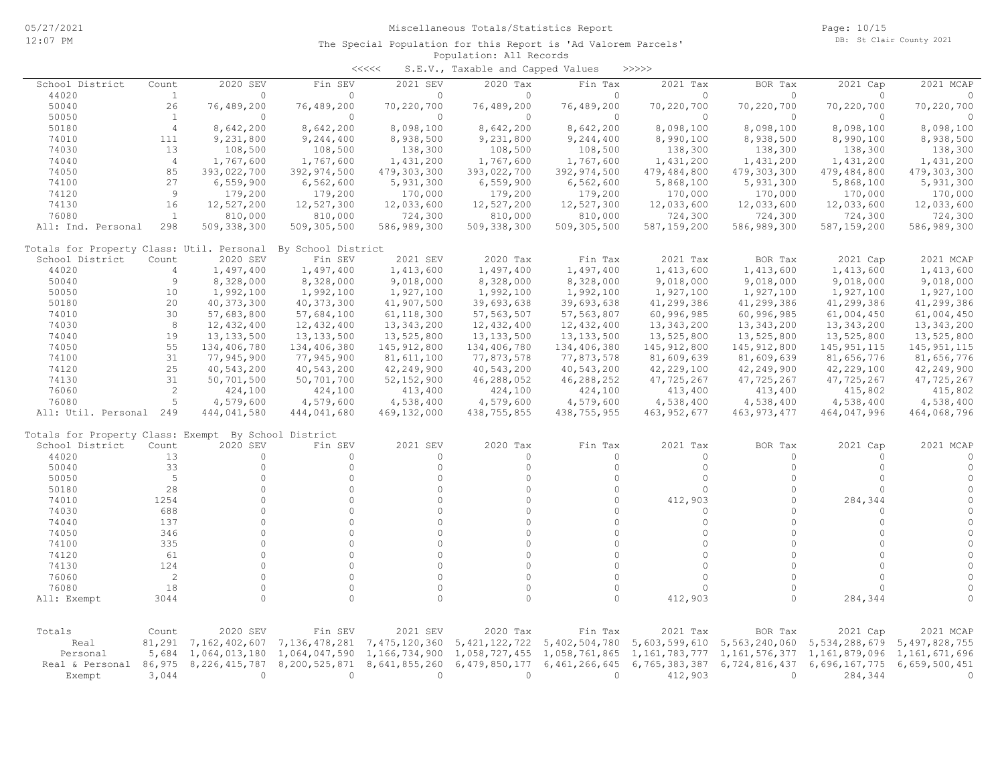|                                                      |                |                  |                    | <<<<          | S.E.V., Taxable and Capped Values |               | >>>>>         |               |               |               |
|------------------------------------------------------|----------------|------------------|--------------------|---------------|-----------------------------------|---------------|---------------|---------------|---------------|---------------|
| School District                                      | Count          | 2020 SEV         | Fin SEV            | 2021 SEV      | 2020 Tax                          | Fin Tax       | 2021 Tax      | BOR Tax       | 2021 Cap      | 2021 MCAP     |
| 44020                                                | 1              | $\Omega$         | $\Omega$           | $\Omega$      | $\Omega$                          | $\Omega$      | $\Omega$      | $\circ$       | $\Omega$      | $\Omega$      |
| 50040                                                | 26             | 76,489,200       | 76,489,200         | 70,220,700    | 76,489,200                        | 76,489,200    | 70,220,700    | 70,220,700    | 70,220,700    | 70,220,700    |
| 50050                                                | <sup>1</sup>   | $\circ$          | 0                  | $\circ$       | $\circ$                           | $\circ$       | $\circ$       | $\circ$       | $\circ$       | $\Omega$      |
| 50180                                                | $\overline{4}$ | 8,642,200        | 8,642,200          | 8,098,100     | 8,642,200                         | 8,642,200     | 8,098,100     | 8,098,100     | 8,098,100     | 8,098,100     |
| 74010                                                | 111            | 9,231,800        | 9,244,400          | 8,938,500     | 9,231,800                         | 9,244,400     | 8,990,100     | 8,938,500     | 8,990,100     | 8,938,500     |
| 74030                                                | 13             | 108,500          | 108,500            | 138,300       | 108,500                           | 108,500       | 138,300       | 138,300       | 138,300       | 138,300       |
| 74040                                                | $\overline{4}$ | 1,767,600        | 1,767,600          | 1,431,200     | 1,767,600                         | 1,767,600     | 1,431,200     | 1,431,200     | 1,431,200     | 1,431,200     |
| 74050                                                | 85             | 393,022,700      | 392,974,500        | 479,303,300   | 393,022,700                       | 392,974,500   | 479,484,800   | 479,303,300   | 479,484,800   | 479,303,300   |
| 74100                                                | 27             | 6,559,900        | 6,562,600          | 5,931,300     | 6,559,900                         | 6,562,600     | 5,868,100     | 5,931,300     | 5,868,100     | 5,931,300     |
| 74120                                                | 9              | 179,200          | 179,200            | 170,000       | 179,200                           | 179,200       | 170,000       | 170,000       | 170,000       | 170,000       |
| 74130                                                | 16             | 12,527,200       | 12,527,300         | 12,033,600    | 12,527,200                        | 12,527,300    | 12,033,600    | 12,033,600    | 12,033,600    | 12,033,600    |
| 76080                                                | <sup>1</sup>   | 810,000          | 810,000            | 724,300       | 810,000                           | 810,000       | 724,300       | 724,300       | 724,300       | 724,300       |
| All: Ind. Personal                                   | 298            | 509, 338, 300    | 509,305,500        | 586,989,300   | 509, 338, 300                     | 509,305,500   | 587, 159, 200 | 586,989,300   | 587,159,200   | 586,989,300   |
| Totals for Property Class: Util. Personal            |                |                  | By School District |               |                                   |               |               |               |               |               |
| School District                                      | Count          | 2020 SEV         | Fin SEV            | 2021 SEV      | 2020 Tax                          | Fin Tax       | 2021 Tax      | BOR Tax       | 2021 Cap      | 2021 MCAP     |
| 44020                                                | $\overline{4}$ | 1,497,400        | 1,497,400          | 1,413,600     | 1,497,400                         | 1,497,400     | 1,413,600     | 1,413,600     | 1,413,600     | 1,413,600     |
| 50040                                                | 9              | 8,328,000        | 8,328,000          | 9,018,000     | 8,328,000                         | 8,328,000     | 9,018,000     | 9,018,000     | 9,018,000     | 9,018,000     |
| 50050                                                | 10             | 1,992,100        | 1,992,100          | 1,927,100     | 1,992,100                         | 1,992,100     | 1,927,100     | 1,927,100     | 1,927,100     | 1,927,100     |
| 50180                                                | 20             | 40, 373, 300     | 40, 373, 300       | 41,907,500    | 39,693,638                        | 39,693,638    | 41,299,386    | 41,299,386    | 41,299,386    | 41,299,386    |
| 74010                                                | 30             | 57,683,800       | 57,684,100         | 61, 118, 300  | 57, 563, 507                      | 57, 563, 807  | 60,996,985    | 60,996,985    | 61,004,450    | 61,004,450    |
| 74030                                                | 8              | 12,432,400       | 12,432,400         | 13, 343, 200  | 12,432,400                        | 12,432,400    | 13, 343, 200  | 13,343,200    | 13,343,200    | 13, 343, 200  |
| 74040                                                | 19             | 13, 133, 500     | 13, 133, 500       | 13,525,800    | 13, 133, 500                      | 13, 133, 500  | 13,525,800    | 13,525,800    | 13,525,800    | 13,525,800    |
| 74050                                                | 55             | 134,406,780      | 134,406,380        | 145, 912, 800 | 134,406,780                       | 134,406,380   | 145, 912, 800 | 145, 912, 800 | 145, 951, 115 | 145, 951, 115 |
| 74100                                                | 31             | 77,945,900       | 77,945,900         | 81,611,100    | 77,873,578                        | 77,873,578    | 81,609,639    | 81,609,639    | 81,656,776    | 81,656,776    |
| 74120                                                | 25             | 40,543,200       | 40,543,200         | 42,249,900    | 40,543,200                        | 40,543,200    | 42,229,100    | 42,249,900    | 42,229,100    | 42,249,900    |
| 74130                                                | 31             | 50,701,500       | 50,701,700         | 52, 152, 900  | 46,288,052                        | 46,288,252    | 47,725,267    | 47,725,267    | 47,725,267    | 47,725,267    |
| 76060                                                | 2              | 424,100          | 424,100            | 413,400       | 424,100                           | 424,100       | 413,400       | 413,400       | 415,802       | 415,802       |
| 76080                                                | 5              | 4,579,600        | 4,579,600          | 4,538,400     | 4,579,600                         | 4,579,600     | 4,538,400     | 4,538,400     | 4,538,400     | 4,538,400     |
| All: Util. Personal 249                              |                | 444,041,580      | 444,041,680        | 469,132,000   | 438,755,855                       | 438,755,955   | 463, 952, 677 | 463, 973, 477 | 464,047,996   | 464,068,796   |
| Totals for Property Class: Exempt By School District |                |                  |                    |               |                                   |               |               |               |               |               |
| School District                                      | Count          | 2020 SEV         | Fin SEV            | 2021 SEV      | 2020 Tax                          | Fin Tax       | 2021 Tax      | BOR Tax       | 2021 Cap      | 2021 MCAP     |
| 44020                                                | 13             | $\circ$          | $\circ$            | $\circ$       | $\circ$                           | $\Omega$      | $\Omega$      | $\Omega$      | $\Omega$      | $\Omega$      |
| 50040                                                | 33             | $\circ$          | $\circ$            | $\Omega$      | $\circ$                           | $\circ$       | $\Omega$      | $\Omega$      | $\Omega$      | $\circ$       |
| 50050                                                | 5              | $\circ$          | $\circ$            | $\Omega$      | $\circ$                           | $\Omega$      | $\Omega$      | $\Omega$      | $\Omega$      | $\circ$       |
| 50180                                                | 28             | $\circ$          | $\Omega$           | $\Omega$      | $\circ$                           | $\Omega$      | $\Omega$      | $\Omega$      | $\Omega$      | $\circ$       |
| 74010                                                | 1254           | $\circ$          | $\Omega$           | $\Omega$      | $\circ$                           | $\Omega$      | 412,903       | $\Omega$      | 284,344       | $\circ$       |
| 74030                                                | 688            | $\circ$          | $\Omega$           | $\Omega$      | $\circ$                           | $\Omega$      | $\Omega$      | $\Omega$      | $\circ$       | $\circ$       |
| 74040                                                | 137            | $\circ$          | $\circ$            | $\circ$       | $\circ$                           | $\circ$       | $\Omega$      | $\Omega$      | $\circ$       | $\circ$       |
| 74050                                                | 346            | $\Omega$         | $\Omega$           | $\Omega$      | $\Omega$                          | $\Omega$      | $\Omega$      | $\Omega$      | $\cap$        | $\circ$       |
| 74100                                                | 335            | $\Omega$         | $\Omega$           | $\Omega$      | $\Omega$                          | $\Omega$      | $\Omega$      | $\cap$        | $\Omega$      | $\circ$       |
| 74120                                                | 61             | $\circ$          | $\Omega$           | $\Omega$      | $\circ$                           | $\circ$       | $\Omega$      | $\Omega$      | $\Omega$      | $\circ$       |
| 74130                                                | 124            | $\circ$          | $\Omega$           | $\Omega$      | $\circ$                           | $\Omega$      | $\Omega$      | $\Omega$      | $\Omega$      | $\circ$       |
| 76060                                                | 2              | $\Omega$         | $\Omega$           | $\Omega$      | $\circ$                           | $\Omega$      | $\Omega$      | $\Omega$      | $\Omega$      | $\circ$       |
| 76080                                                | 18             | $\circ$          | $\circ$            | $\circ$       | $\circ$                           | $\circ$       | $\Omega$      | $\Omega$      | $\Omega$      | $\circ$       |
| All: Exempt                                          | 3044           | $\circ$          | $\cap$             | $\Omega$      | $\circ$                           | $\Omega$      | 412,903       |               | 284,344       | $\Omega$      |
|                                                      |                |                  |                    |               |                                   |               |               |               |               |               |
| Totals                                               | Count          | 2020 SEV         | Fin SEV            | 2021 SEV      | 2020 Tax                          | Fin Tax       | 2021 Tax      | BOR Tax       | 2021 Cap      | 2021 MCAP     |
| Real                                                 | 81,291         | 7,162,402,607    | 7,136,478,281      | 7,475,120,360 | 5, 421, 122, 722                  | 5,402,504,780 | 5,603,599,610 | 5,563,240,060 | 5,534,288,679 | 5,497,828,755 |
| Personal                                             | 5,684          | 1,064,013,180    | 1,064,047,590      | 1,166,734,900 | 1,058,727,455                     | 1,058,761,865 | 1,161,783,777 | 1,161,576,377 | 1,161,879,096 | 1,161,671,696 |
| Real & Personal                                      | 86,975         | 8, 226, 415, 787 | 8,200,525,871      | 8,641,855,260 | 6,479,850,177                     | 6,461,266,645 | 6,765,383,387 | 6,724,816,437 | 6,696,167,775 | 6,659,500,451 |
| Exempt                                               | 3,044          | $\circ$          | $\circ$            | $\circ$       | $\circ$                           | $\circ$       | 412,903       | $\mathbf{0}$  | 284,344       | $\circ$       |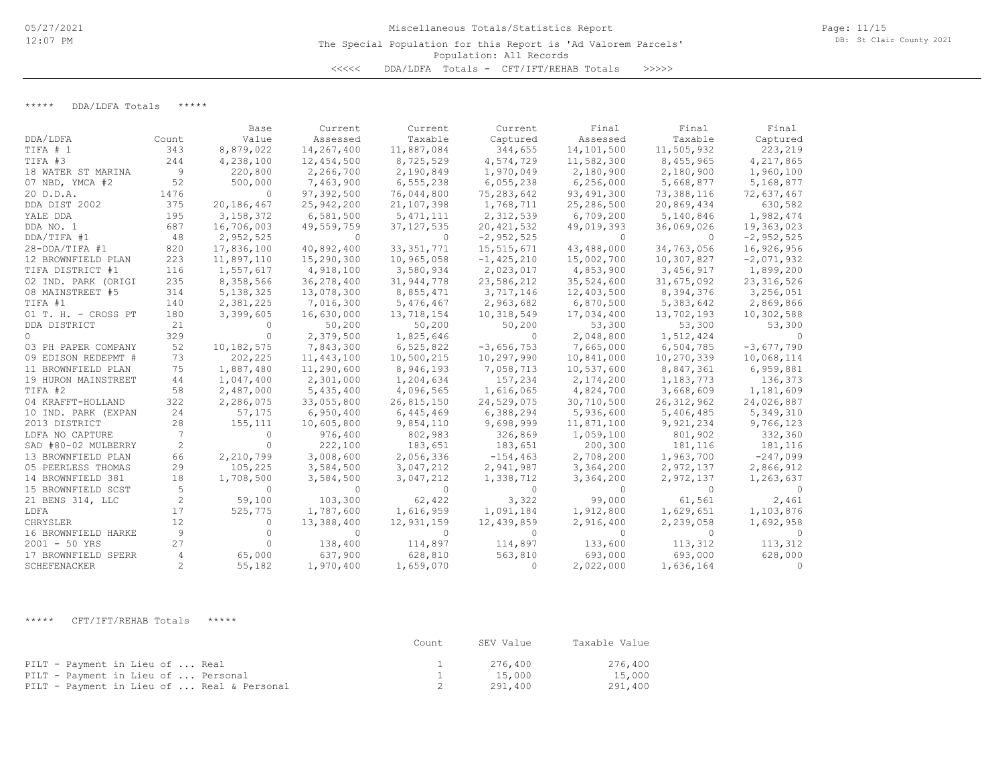\*\*\*\*\* DDA/LDFA Totals \*\*\*\*\*

|                     |       | Base        | Current    | Current      | Current        | Final        | Final        | Final          |
|---------------------|-------|-------------|------------|--------------|----------------|--------------|--------------|----------------|
| DDA/LDFA            | Count | Value       | Assessed   | Taxable      | Captured       | Assessed     | Taxable      | Captured       |
| TIFA # 1            | 343   | 8,879,022   | 14,267,400 | 11,887,084   | 344,655        | 14,101,500   | 11,505,932   | 223,219        |
| TIFA #3             | 244   | 4,238,100   | 12,454,500 | 8,725,529    | 4,574,729      | 11,582,300   | 8,455,965    | 4,217,865      |
| 18 WATER ST MARINA  | 9     | 220,800     | 2,266,700  | 2,190,849    | 1,970,049      | 2,180,900    | 2,180,900    | 1,960,100      |
| 07 NBD, YMCA #2     | 52    | 500,000     | 7,463,900  | 6,555,238    | 6,055,238      | 6, 256, 000  | 5,668,877    | 5,168,877      |
| 20 D.D.A.           | 1476  | $\Omega$    | 97,392,500 | 76,044,800   | 75,283,642     | 93, 491, 300 | 73,388,116   | 72,637,467     |
| DDA DIST 2002       | 375   | 20,186,467  | 25,942,200 | 21,107,398   | 1,768,711      | 25,286,500   | 20,869,434   | 630,582        |
| YALE DDA            | 195   | 3,158,372   | 6,581,500  | 5, 471, 111  | 2,312,539      | 6,709,200    | 5,140,846    | 1,982,474      |
| DDA NO. 1           | 687   | 16,706,003  | 49,559,759 | 37, 127, 535 | 20, 421, 532   | 49,019,393   | 36,069,026   | 19,363,023     |
| DDA/TIFA #1         | 48    | 2,952,525   |            | 0            | $-2,952,525$   | 0            |              | $-2, 952, 525$ |
| 28-DDA/TIFA #1      | 820   | 17,836,100  | 40,892,400 | 33, 351, 771 | 15,515,671     | 43,488,000   | 34,763,056   | 16,926,956     |
| 12 BROWNFIELD PLAN  | 223   | 11,897,110  | 15,290,300 | 10,965,058   | $-1, 425, 210$ | 15,002,700   | 10,307,827   | $-2,071,932$   |
| TIFA DISTRICT #1    | 116   | 1,557,617   | 4,918,100  | 3,580,934    | 2,023,017      | 4,853,900    | 3,456,917    | 1,899,200      |
| 02 IND. PARK (ORIGI | 235   | 8,358,566   | 36,278,400 | 31,944,778   | 23,586,212     | 35,524,600   | 31,675,092   | 23, 316, 526   |
| 08 MAINSTREET #5    | 314   | 5, 138, 325 | 13,078,300 | 8,855,471    | 3,717,146      | 12,403,500   | 8,394,376    | 3,256,051      |
| TIFA #1             | 140   | 2,381,225   | 7,016,300  | 5,476,467    | 2,963,682      | 6,870,500    | 5,383,642    | 2,869,866      |
| 01 T. H. - CROSS PT | 180   | 3,399,605   | 16,630,000 | 13,718,154   | 10,318,549     | 17,034,400   | 13,702,193   | 10,302,588     |
| DDA DISTRICT        | 21    | $\Omega$    | 50,200     | 50,200       | 50,200         | 53,300       | 53,300       | 53,300         |
| $\circ$             | 329   | $\Omega$    | 2,379,500  | 1,825,646    | $\bigcap$      | 2,048,800    | 1,512,424    | $\Omega$       |
| 03 PH PAPER COMPANY | 52    | 10,182,575  | 7,843,300  | 6,525,822    | $-3,656,753$   | 7,665,000    | 6,504,785    | $-3,677,790$   |
| 09 EDISON REDEPMT # | 73    | 202,225     | 11,443,100 | 10,500,215   | 10,297,990     | 10,841,000   | 10,270,339   | 10,068,114     |
| 11 BROWNFIELD PLAN  | 75    | 1,887,480   | 11,290,600 | 8,946,193    | 7,058,713      | 10,537,600   | 8,847,361    | 6,959,881      |
| 19 HURON MAINSTREET | 44    | 1,047,400   | 2,301,000  | 1,204,634    | 157,234        | 2,174,200    | 1,183,773    | 136,373        |
| TIFA #2             | 58    | 2,487,000   | 5,435,400  | 4,096,565    | 1,616,065      | 4,824,700    | 3,668,609    | 1,181,609      |
| 04 KRAFFT-HOLLAND   | 322   | 2,286,075   | 33,055,800 | 26,815,150   | 24,529,075     | 30,710,500   | 26, 312, 962 | 24,026,887     |
| 10 IND. PARK (EXPAN | 24    | 57,175      | 6,950,400  | 6,445,469    | 6,388,294      | 5,936,600    | 5,406,485    | 5,349,310      |
| 2013 DISTRICT       | 28    | 155, 111    | 10,605,800 | 9,854,110    | 9,698,999      | 11,871,100   | 9,921,234    | 9,766,123      |
| LDFA NO CAPTURE     | 7     | $\Omega$    | 976,400    | 802,983      | 326,869        | 1,059,100    | 801,902      | 332,360        |
| SAD #80-02 MULBERRY | 2     | $\Omega$    | 222,100    | 183,651      | 183,651        | 200,300      | 181,116      | 181,116        |
| 13 BROWNFIELD PLAN  | 66    | 2,210,799   | 3,008,600  | 2,056,336    | $-154, 463$    | 2,708,200    | 1,963,700    | $-247,099$     |
| 05 PEERLESS THOMAS  | 29    | 105,225     | 3,584,500  | 3,047,212    | 2,941,987      | 3,364,200    | 2,972,137    | 2,866,912      |
| 14 BROWNFIELD 381   | 18    | 1,708,500   | 3,584,500  | 3,047,212    | 1,338,712      | 3,364,200    | 2,972,137    | 1,263,637      |
| 15 BROWNFIELD SCST  | 5     | $\Omega$    |            | $\Omega$     | $\Omega$       | $\Omega$     |              |                |
| 21 BENS 314, LLC    | 2     | 59,100      | 103,300    | 62,422       | 3,322          | 99,000       | 61,561       | 2,461          |
| LDFA                | 17    | 525,775     | 1,787,600  | 1,616,959    | 1,091,184      | 1,912,800    | 1,629,651    | 1,103,876      |
| CHRYSLER            | 12    | $\Omega$    | 13,388,400 | 12,931,159   | 12,439,859     | 2,916,400    | 2,239,058    | 1,692,958      |
| 16 BROWNFIELD HARKE | 9     | $\Omega$    | $\bigcap$  | $\Omega$     | $\bigcap$      | $\Omega$     | $\bigcap$    |                |
| $2001 - 50$ YRS     | 27    |             | 138,400    | 114,897      | 114,897        | 133,600      | 113,312      | 113,312        |
| 17 BROWNFIELD SPERR | 4     | 65,000      | 637,900    | 628,810      | 563,810        | 693,000      | 693,000      | 628,000        |
| SCHEFENACKER        | 2     | 55,182      | 1,970,400  | 1,659,070    | $\Omega$       | 2,022,000    | 1,636,164    | $\Omega$       |

\*\*\*\*\* CFT/IFT/REHAB Totals \*\*\*\*\*

|                                            | Count | SEV Value | Taxable Value |
|--------------------------------------------|-------|-----------|---------------|
| PILT - Payment in Lieu of  Real            |       | 276.400   | 276,400       |
| PILT - Payment in Lieu of  Personal        |       | 15,000    | 15,000        |
| PILT - Payment in Lieu of  Real & Personal |       | 291,400   | 291,400       |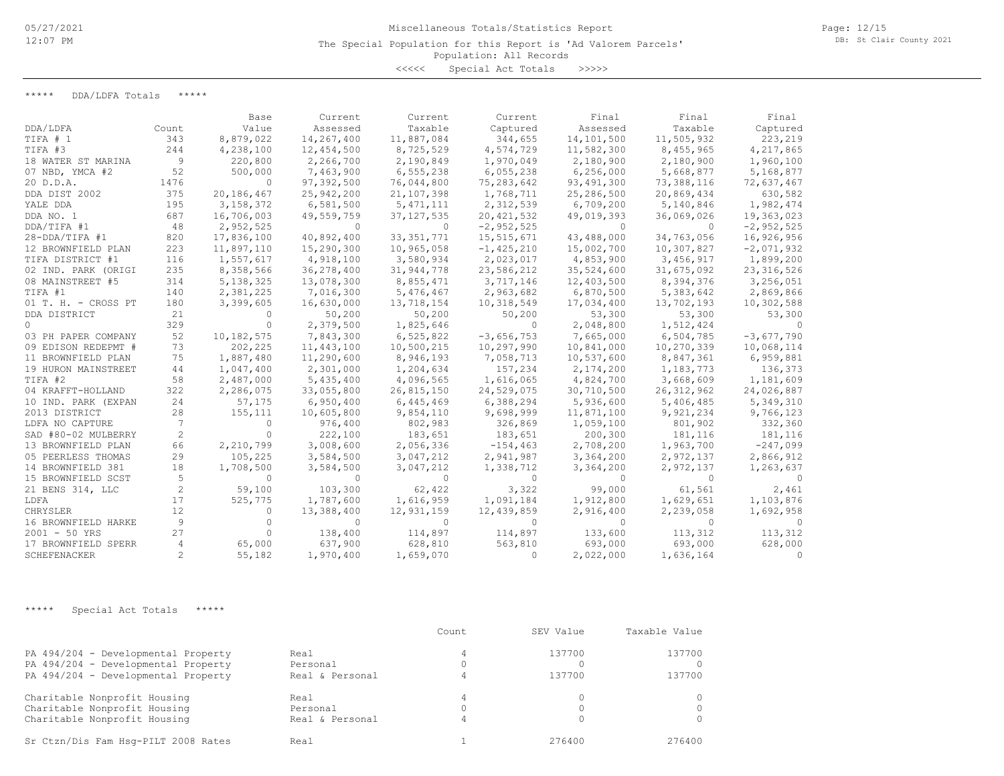The Special Population for this Report is 'Ad Valorem Parcels'

### Population: All Records

<<<<< Special Act Totals >>>>>

\*\*\*\*\* DDA/LDFA Totals \*\*\*\*\*

|                     |       | Base        | Current      | Current      | Current        | Final       | Final        | Final        |
|---------------------|-------|-------------|--------------|--------------|----------------|-------------|--------------|--------------|
| DDA/LDFA            | Count | Value       | Assessed     | Taxable      | Captured       | Assessed    | Taxable      | Captured     |
| TIFA # 1            | 343   | 8,879,022   | 14,267,400   | 11,887,084   | 344,655        | 14,101,500  | 11,505,932   | 223,219      |
| TIFA #3             | 244   | 4,238,100   | 12,454,500   | 8,725,529    | 4,574,729      | 11,582,300  | 8,455,965    | 4,217,865    |
| 18 WATER ST MARINA  | 9     | 220,800     | 2,266,700    | 2,190,849    | 1,970,049      | 2,180,900   | 2,180,900    | 1,960,100    |
| 07 NBD, YMCA #2     | 52    | 500,000     | 7,463,900    | 6, 555, 238  | 6,055,238      | 6, 256, 000 | 5,668,877    | 5,168,877    |
| 20 D.D.A.           | 1476  | $\Omega$    | 97,392,500   | 76,044,800   | 75,283,642     | 93,491,300  | 73,388,116   | 72,637,467   |
| DDA DIST 2002       | 375   | 20,186,467  | 25,942,200   | 21,107,398   | 1,768,711      | 25,286,500  | 20,869,434   | 630,582      |
| YALE DDA            | 195   | 3, 158, 372 | 6,581,500    | 5, 471, 111  | 2,312,539      | 6,709,200   | 5,140,846    | 1,982,474    |
| DDA NO. 1           | 687   | 16,706,003  | 49,559,759   | 37, 127, 535 | 20, 421, 532   | 49,019,393  | 36,069,026   | 19,363,023   |
| DDA/TIFA #1         | 48    | 2,952,525   | $\Omega$     | $\Omega$     | $-2,952,525$   | $\Omega$    | $\Omega$     | $-2,952,525$ |
| $28 - DDA/TIFA$ #1  | 820   | 17,836,100  | 40,892,400   | 33, 351, 771 | 15,515,671     | 43,488,000  | 34,763,056   | 16,926,956   |
| 12 BROWNFIELD PLAN  | 223   | 11,897,110  | 15,290,300   | 10,965,058   | $-1, 425, 210$ | 15,002,700  | 10,307,827   | $-2,071,932$ |
| TIFA DISTRICT #1    | 116   | 1,557,617   | 4,918,100    | 3,580,934    | 2,023,017      | 4,853,900   | 3,456,917    | 1,899,200    |
| 02 IND. PARK (ORIGI | 235   | 8,358,566   | 36,278,400   | 31,944,778   | 23,586,212     | 35,524,600  | 31,675,092   | 23, 316, 526 |
| 08 MAINSTREET #5    | 314   | 5, 138, 325 | 13,078,300   | 8,855,471    | 3,717,146      | 12,403,500  | 8,394,376    | 3,256,051    |
| TIFA #1             | 140   | 2,381,225   | 7,016,300    | 5,476,467    | 2,963,682      | 6,870,500   | 5,383,642    | 2,869,866    |
| 01 T. H. - CROSS PT | 180   | 3,399,605   | 16,630,000   | 13,718,154   | 10,318,549     | 17,034,400  | 13,702,193   | 10,302,588   |
| DDA DISTRICT        | 21    | $\Omega$    | 50,200       | 50,200       | 50,200         | 53,300      | 53,300       | 53,300       |
| $\Omega$            | 329   | $\bigcap$   | 2,379,500    | 1,825,646    | $\Omega$       | 2,048,800   | 1,512,424    |              |
| 03 PH PAPER COMPANY | 52    | 10,182,575  | 7,843,300    | 6,525,822    | $-3,656,753$   | 7,665,000   | 6,504,785    | $-3,677,790$ |
| 09 EDISON REDEPMT # | 73    | 202,225     | 11, 443, 100 | 10,500,215   | 10,297,990     | 10,841,000  | 10,270,339   | 10,068,114   |
| 11 BROWNFIELD PLAN  | 75    | 1,887,480   | 11,290,600   | 8,946,193    | 7,058,713      | 10,537,600  | 8,847,361    | 6,959,881    |
| 19 HURON MAINSTREET | 44    | 1,047,400   | 2,301,000    | 1,204,634    | 157,234        | 2,174,200   | 1,183,773    | 136,373      |
| TIFA #2             | 58    | 2,487,000   | 5,435,400    | 4,096,565    | 1,616,065      | 4,824,700   | 3,668,609    | 1,181,609    |
| 04 KRAFFT-HOLLAND   | 322   | 2,286,075   | 33,055,800   | 26,815,150   | 24,529,075     | 30,710,500  | 26, 312, 962 | 24,026,887   |
| 10 IND. PARK (EXPAN | 24    | 57,175      | 6,950,400    | 6,445,469    | 6,388,294      | 5,936,600   | 5,406,485    | 5,349,310    |
| 2013 DISTRICT       | 28    | 155,111     | 10,605,800   | 9,854,110    | 9,698,999      | 11,871,100  | 9,921,234    | 9,766,123    |
| LDFA NO CAPTURE     | 7     | $\Omega$    | 976,400      | 802,983      | 326,869        | 1,059,100   | 801,902      | 332,360      |
| SAD #80-02 MULBERRY | 2     | $\Omega$    | 222,100      | 183,651      | 183,651        | 200,300     | 181,116      | 181,116      |
| 13 BROWNFIELD PLAN  | 66    | 2,210,799   | 3,008,600    | 2,056,336    | $-154, 463$    | 2,708,200   | 1,963,700    | $-247,099$   |
| 05 PEERLESS THOMAS  | 29    | 105,225     | 3,584,500    | 3,047,212    | 2,941,987      | 3,364,200   | 2,972,137    | 2,866,912    |
| 14 BROWNFIELD 381   | 18    | 1,708,500   | 3,584,500    | 3,047,212    | 1,338,712      | 3,364,200   | 2,972,137    | 1,263,637    |
| 15 BROWNFIELD SCST  | 5     | $\Omega$    | $\Omega$     | 0            | $\Omega$       | 0           | $\Omega$     |              |
| 21 BENS 314, LLC    | 2     | 59,100      | 103,300      | 62,422       | 3,322          | 99,000      | 61,561       | 2,461        |
| LDFA                | 17    | 525,775     | 1,787,600    | 1,616,959    | 1,091,184      | 1,912,800   | 1,629,651    | 1,103,876    |
| CHRYSLER            | 12    | 0           | 13,388,400   | 12,931,159   | 12,439,859     | 2,916,400   | 2,239,058    | 1,692,958    |
| 16 BROWNFIELD HARKE | 9     | ∩           | $\Omega$     | 0            | $\Omega$       | 0           | $\Omega$     |              |
| $2001 - 50$ YRS     | 27    | $\Omega$    | 138,400      | 114,897      | 114,897        | 133,600     | 113,312      | 113,312      |
| 17 BROWNFIELD SPERR | 4     | 65,000      | 637,900      | 628,810      | 563,810        | 693,000     | 693,000      | 628,000      |
| SCHEFENACKER        | 2     | 55,182      | 1,970,400    | 1,659,070    | $\Omega$       | 2,022,000   | 1,636,164    | $\Omega$     |

\*\*\*\*\* Special Act Totals \*\*\*\*\*

|                                     |                 | Count | SEV Value | Taxable Value |
|-------------------------------------|-----------------|-------|-----------|---------------|
| PA 494/204 - Developmental Property | Real            |       | 137700    | 137700        |
| PA 494/204 - Developmental Property | Personal        |       |           |               |
| PA 494/204 - Developmental Property | Real & Personal |       | 137700    | 137700        |
| Charitable Nonprofit Housing        | Real            |       |           |               |
| Charitable Nonprofit Housing        | Personal        |       |           |               |
| Charitable Nonprofit Housing        | Real & Personal |       |           |               |
| Sr Ctzn/Dis Fam Hsq-PILT 2008 Rates | Real            |       | 276400    | 276400        |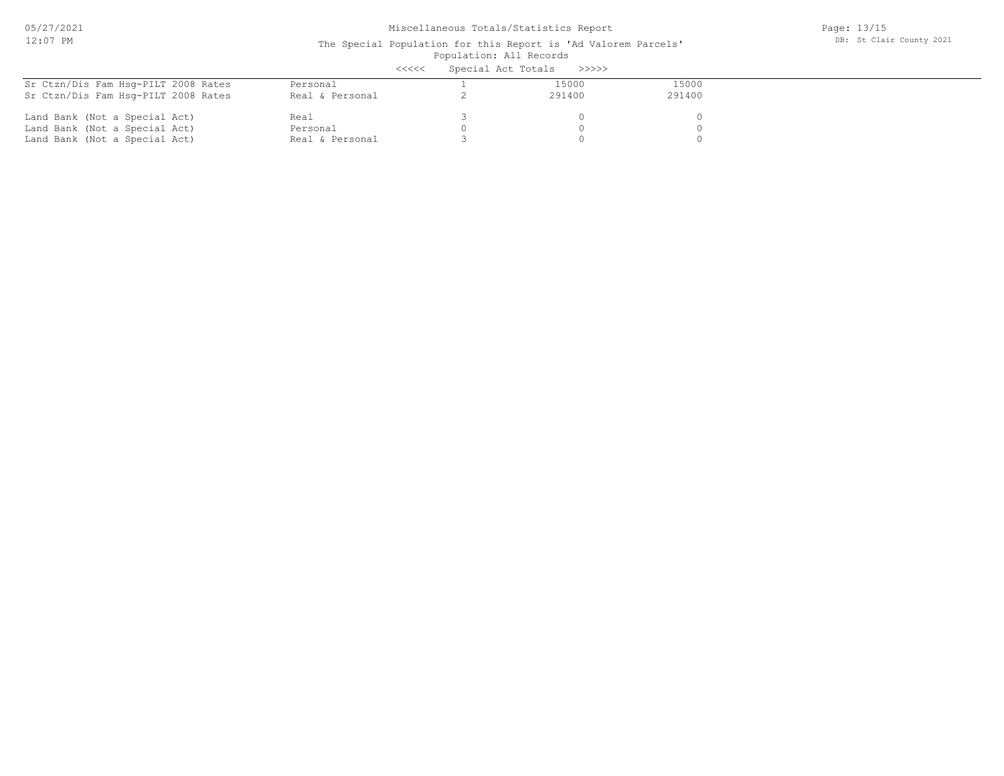05/27/2021 12:07 PM

# Miscellaneous Totals/Statistics Report

Page: 13/15 DB: St Clair County 2021

#### Population: All Records The Special Population for this Report is 'Ad Valorem Parcels' .<br><<<<< Special Act Totals >>>>>>>

|                                     | くくくくく           | SPECIAL ACT TOTALS |        |        |  |
|-------------------------------------|-----------------|--------------------|--------|--------|--|
| Sr Ctzn/Dis Fam Hsg-PILT 2008 Rates | Personal        |                    | 15000  | 15000  |  |
| Sr Ctzn/Dis Fam Hsq-PILT 2008 Rates | Real & Personal |                    | 291400 | 291400 |  |
| Land Bank (Not a Special Act)       | Real            |                    |        |        |  |
| Land Bank (Not a Special Act)       | Personal        |                    |        |        |  |
| Land Bank (Not a Special Act)       | Real & Personal |                    |        |        |  |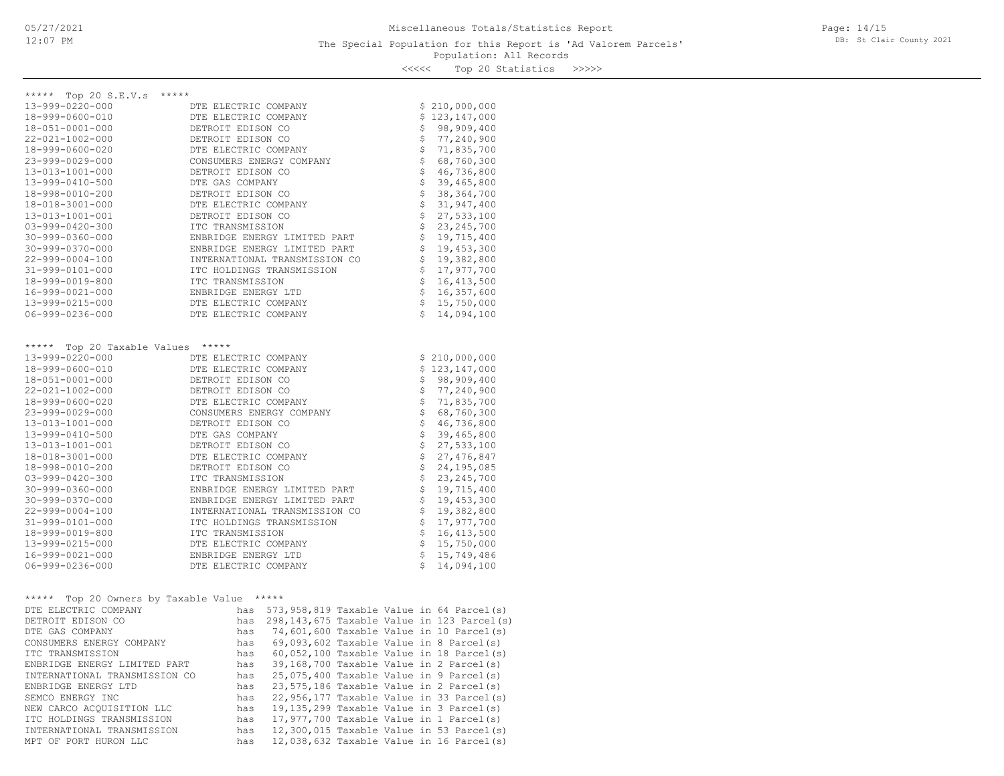\*\*\*\*\* Top 20 S.E.V.s \*\*\*\*\*

| 13-999-0220-000                   | DTE ELECTRIC COMPANY          |              | \$210,000,000                     |
|-----------------------------------|-------------------------------|--------------|-----------------------------------|
| 18-999-0600-010                   | DTE ELECTRIC COMPANY          |              | \$123,147,000                     |
| 18-051-0001-000                   | DETROIT EDISON CO             |              | \$98,909,400                      |
| $22 - 021 - 1002 - 000$           | DETROIT EDISON CO             |              | \$77,240,900                      |
| 18-999-0600-020                   | DTE ELECTRIC COMPANY          |              | \$71,835,700                      |
| $23 - 999 - 0029 - 000$           | CONSUMERS ENERGY COMPANY      |              | \$68, 760, 300                    |
| 13-013-1001-000                   | DETROIT EDISON CO             |              | \$46, 736, 800                    |
| 13-999-0410-500                   | DTE GAS COMPANY               |              | $$39,465,800$<br>$$38,364,700$    |
| 18-998-0010-200                   | DETROIT EDISON CO             |              |                                   |
| 18-018-3001-000                   | DTE ELECTRIC COMPANY          |              | \$31, 947, 400                    |
| 13-013-1001-001                   | DETROIT EDISON CO             |              | \$27,533,100                      |
| $03 - 999 - 0420 - 300$           | ITC TRANSMISSION              |              | \$23, 245, 700                    |
| $30 - 999 - 0360 - 000$           | ENBRIDGE ENERGY LIMITED PART  |              | \$19,715,400                      |
| $30 - 999 - 0370 - 000$           | ENBRIDGE ENERGY LIMITED PART  |              | \$19,453,300                      |
| 22-999-0004-100                   | INTERNATIONAL TRANSMISSION CO |              | \$19,382,800                      |
| 31-999-0101-000                   | ITC HOLDINGS TRANSMISSION     |              | \$17,977,700                      |
| 18-999-0019-800                   | ITC TRANSMISSION              |              | $\frac{1}{2}$<br>16, 413, 500     |
| 16-999-0021-000                   | ENBRIDGE ENERGY LTD           |              | $\ddot{\mathsf{s}}$<br>16,357,600 |
| 13-999-0215-000                   | DTE ELECTRIC COMPANY          |              | \$15,750,000                      |
| $06 - 999 - 0236 - 000$           | DTE ELECTRIC COMPANY          | $\mathsf{S}$ | 14,094,100                        |
| ***** Top 20 Taxable Values ***** |                               |              |                                   |
| $13 - 999 - 0220 - 000$           | DTE ELECTRIC COMPANY          |              | \$210,000,000                     |
| 18-999-0600-010                   | DTE ELECTRIC COMPANY          |              | \$123,147,000                     |
| 18-051-0001-000                   | DETROIT EDISON CO             |              | \$98,909,400                      |
| $22 - 021 - 1002 - 000$           | DETROIT EDISON CO             |              | \$77,240,900                      |
| 18-999-0600-020                   | DTE ELECTRIC COMPANY          |              | $$71,835,700$<br>$$68,760,300$    |
| $23 - 999 - 0029 - 000$           | CONSUMERS ENERGY COMPANY      |              |                                   |
| 13-013-1001-000                   | DETROIT EDISON CO             |              | \$46, 736, 800                    |
| 13-999-0410-500                   | DTE GAS COMPANY               |              | \$39,465,800                      |
| 13-013-1001-001                   | DETROIT EDISON CO             |              | $$27,533,100$<br>$$27,476,847$    |
| 18-018-3001-000                   | DTE ELECTRIC COMPANY          |              |                                   |
| 18-998-0010-200                   | DETROIT EDISON CO             |              | \$24, 195, 085                    |
| $03 - 999 - 0420 - 300$           | ITC TRANSMISSION              |              | \$23, 245, 700                    |
| $30 - 999 - 0360 - 000$           | ENBRIDGE ENERGY LIMITED PART  |              | \$19,715,400                      |
| $30 - 999 - 0370 - 000$           | ENBRIDGE ENERGY LIMITED PART  |              | \$19,453,300                      |
| $22 - 999 - 0004 - 100$           | INTERNATIONAL TRANSMISSION CO |              | \$19,382,800                      |
| 31-999-0101-000                   | ITC HOLDINGS TRANSMISSION     |              | \$17,977,700                      |
| 18-999-0019-800                   | ITC TRANSMISSION              |              | $\mathsf{S}^-$<br>16, 413, 500    |
| 13-999-0215-000                   | DTE ELECTRIC COMPANY          |              | $$15,750,000$<br>$$15,749,486$    |
| 16-999-0021-000                   | ENBRIDGE ENERGY LTD           |              |                                   |
| $06 - 999 - 0236 - 000$           | DTE ELECTRIC COMPANY          | Š.           | 14,094,100                        |

| *****<br>Top 20 Owners by Taxable Value |     | ***** |  |                                            |
|-----------------------------------------|-----|-------|--|--------------------------------------------|
| DTE ELECTRIC COMPANY                    | has |       |  | 573,958,819 Taxable Value in 64 Parcel(s)  |
| DETROIT EDISON CO                       | has |       |  | 298,143,675 Taxable Value in 123 Parcel(s) |
| DTE GAS COMPANY                         | has |       |  | 74,601,600 Taxable Value in 10 Parcel(s)   |
| CONSUMERS ENERGY COMPANY                | has |       |  | $69,093,602$ Taxable Value in 8 Parcel(s)  |
| ITC TRANSMISSION                        | has |       |  | $60,052,100$ Taxable Value in 18 Parcel(s) |
| ENBRIDGE ENERGY LIMITED PART            | has |       |  | 39,168,700 Taxable Value in 2 Parcel(s)    |
| INTERNATIONAL TRANSMISSION CO           | has |       |  | 25,075,400 Taxable Value in 9 Parcel(s)    |
| ENBRIDGE ENERGY LTD                     | has |       |  | 23,575,186 Taxable Value in 2 Parcel(s)    |
| SEMCO ENERGY INC                        | has |       |  | 22,956,177 Taxable Value in 33 Parcel(s)   |
| NEW CARCO ACOUISITION LLC               | has |       |  | 19,135,299 Taxable Value in 3 Parcel(s)    |
| ITC HOLDINGS TRANSMISSION               | has |       |  | $17,977,700$ Taxable Value in 1 Parcel(s)  |
| INTERNATIONAL TRANSMISSION              | has |       |  | 12,300,015 Taxable Value in 53 Parcel(s)   |
| MPT OF PORT HURON LLC                   | has |       |  | $12,038,632$ Taxable Value in 16 Parcel(s) |